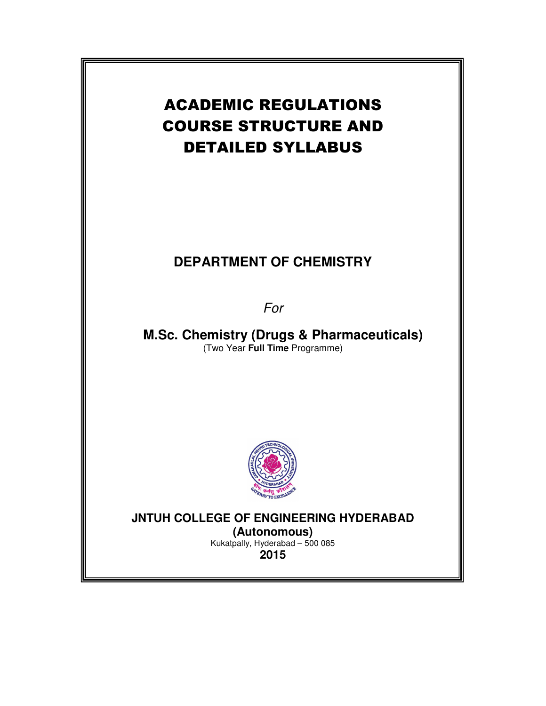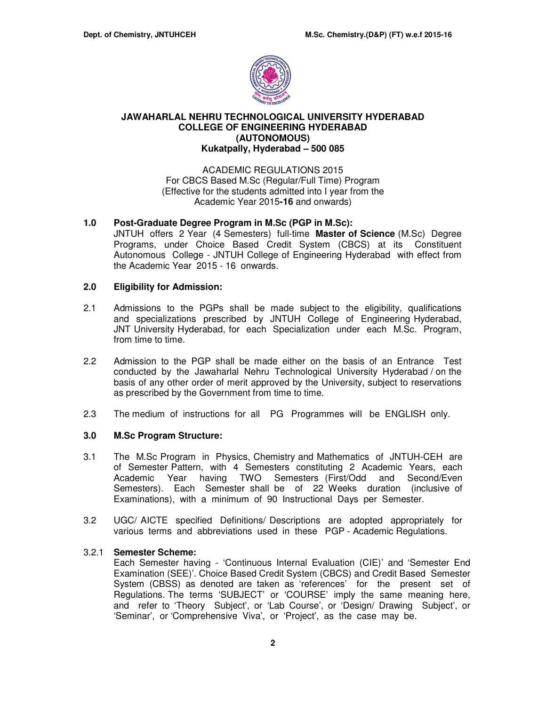

# **JAWAHARLAL NEHRU TECHNOLOGICAL UNIVERSITY HYDERABAD COLLEGE OF ENGINEERING HYDERABAD (AUTONOMOUS) Kukatpally, Hyderabad – 500 085**

## ACADEMIC REGULATIONS 2015 For CBCS Based M.Sc (Regular/Full Time) Program (Effective for the students admitted into I year from the Academic Year 2015**-16** and onwards)

# **1.0 Post-Graduate Degree Program in M.Sc (PGP in M.Sc):**

JNTUH offers 2 Year (4 Semesters) full-time **Master of Science** (M.Sc) Degree Programs, under Choice Based Credit System (CBCS) at its Constituent Autonomous College - JNTUH College of Engineering Hyderabad with effect from the Academic Year 2015 - 16 onwards.

## **2.0 Eligibility for Admission:**

- 2.1 Admissions to the PGPs shall be made subject to the eligibility, qualifications and specializations prescribed by JNTUH College of Engineering Hyderabad, JNT University Hyderabad, for each Specialization under each M.Sc. Program, from time to time.
- 2.2 Admission to the PGP shall be made either on the basis of an Entrance Test conducted by the Jawaharlal Nehru Technological University Hyderabad / on the basis of any other order of merit approved by the University, subject to reservations as prescribed by the Government from time to time.
- 2.3 The medium of instructions for all PG Programmes will be ENGLISH only.

## **3.0 M.Sc Program Structure:**

- 3.1 The M.Sc Program in Physics, Chemistry and Mathematics of JNTUH-CEH are of Semester Pattern, with 4 Semesters constituting 2 Academic Years, each Academic Year having TWO Semesters (First/Odd and Second/Even Semesters). Each Semester shall be of 22 Weeks duration (inclusive of Examinations), with a minimum of 90 Instructional Days per Semester.
- 3.2 UGC/ AICTE specified Definitions/ Descriptions are adopted appropriately for various terms and abbreviations used in these PGP - Academic Regulations.

## 3.2.1 **Semester Scheme:**

Each Semester having - 'Continuous Internal Evaluation (CIE)' and 'Semester End Examination (SEE)'. Choice Based Credit System (CBCS) and Credit Based Semester System (CBSS) as denoted are taken as 'references' for the present set of Regulations. The terms 'SUBJECT' or 'COURSE' imply the same meaning here, and refer to 'Theory Subject', or 'Lab Course', or 'Design/ Drawing Subject', or 'Seminar', or 'Comprehensive Viva', or 'Project', as the case may be.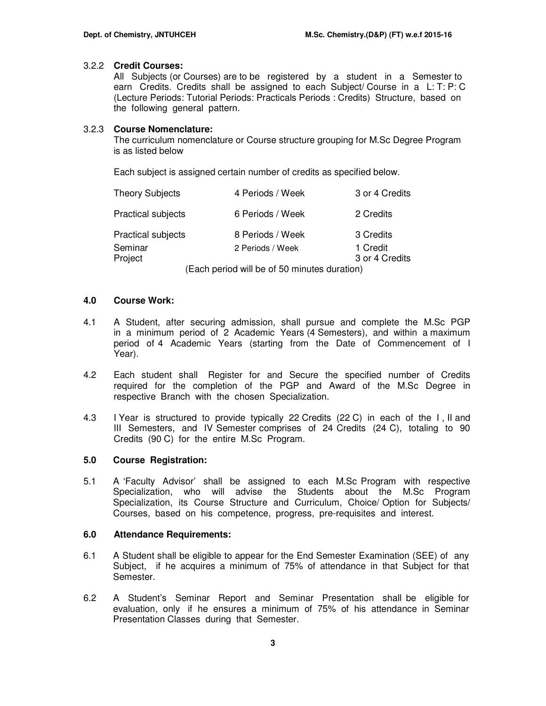## 3.2.2 **Credit Courses:**

All Subjects (or Courses) are to be registered by a student in a Semester to earn Credits. Credits shall be assigned to each Subject/ Course in a L: T: P: C (Lecture Periods: Tutorial Periods: Practicals Periods : Credits) Structure, based on the following general pattern.

## 3.2.3 **Course Nomenclature:**

The curriculum nomenclature or Course structure grouping for M.Sc Degree Program is as listed below

Each subject is assigned certain number of credits as specified below.

| <b>Theory Subjects</b>    | 4 Periods / Week                                                                         | 3 or 4 Credits |
|---------------------------|------------------------------------------------------------------------------------------|----------------|
| <b>Practical subjects</b> | 6 Periods / Week                                                                         | 2 Credits      |
| <b>Practical subjects</b> | 8 Periods / Week                                                                         | 3 Credits      |
| Seminar                   | 2 Periods / Week                                                                         | 1 Credit       |
| Project                   |                                                                                          | 3 or 4 Credits |
|                           | $\mathbf{r}$ , and $\mathbf{r}$ , and $\mathbf{r}$ , and $\mathbf{r}$ , and $\mathbf{r}$ |                |

(Each period will be of 50 minutes duration)

### **4.0 Course Work:**

- 4.1 A Student, after securing admission, shall pursue and complete the M.Sc PGP in a minimum period of 2 Academic Years (4 Semesters), and within a maximum period of 4 Academic Years (starting from the Date of Commencement of I Year).
- 4.2 Each student shall Register for and Secure the specified number of Credits required for the completion of the PGP and Award of the M.Sc Degree in respective Branch with the chosen Specialization.
- 4.3 I Year is structured to provide typically 22 Credits (22 C) in each of the I , II and III Semesters, and IV Semester comprises of 24 Credits (24 C), totaling to 90 Credits (90 C) for the entire M.Sc Program.

## **5.0 Course Registration:**

5.1 A 'Faculty Advisor' shall be assigned to each M.Sc Program with respective Specialization, who will advise the Students about the M.Sc Program Specialization, its Course Structure and Curriculum, Choice/ Option for Subjects/ Courses, based on his competence, progress, pre-requisites and interest.

#### **6.0 Attendance Requirements:**

- 6.1 A Student shall be eligible to appear for the End Semester Examination (SEE) of any Subject, if he acquires a minimum of 75% of attendance in that Subject for that Semester.
- 6.2 A Student's Seminar Report and Seminar Presentation shall be eligible for evaluation, only if he ensures a minimum of 75% of his attendance in Seminar Presentation Classes during that Semester.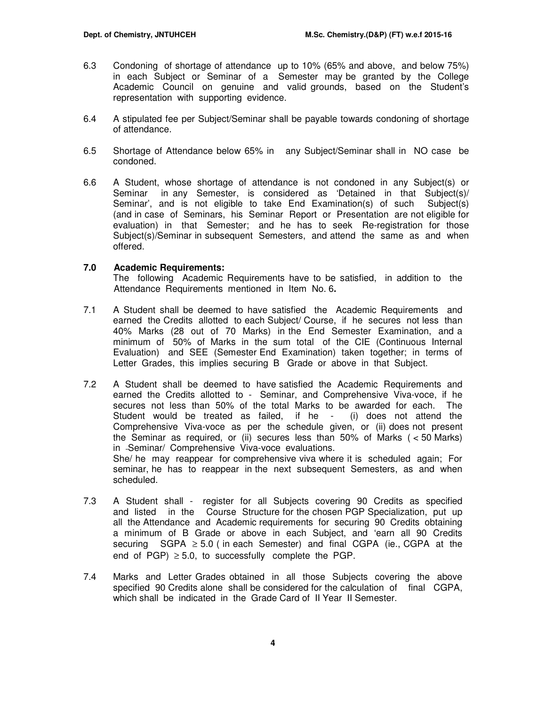- 6.3 Condoning of shortage of attendance up to 10% (65% and above, and below 75%) in each Subject or Seminar of a Semester may be granted by the College Academic Council on genuine and valid grounds, based on the Student's representation with supporting evidence.
- 6.4 A stipulated fee per Subject/Seminar shall be payable towards condoning of shortage of attendance.
- 6.5 Shortage of Attendance below 65% in any Subject/Seminar shall in NO case be condoned.
- 6.6 A Student, whose shortage of attendance is not condoned in any Subject(s) or Seminar in any Semester, is considered as 'Detained in that Subject(s)/ Seminar', and is not eligible to take End Examination(s) of such Subject(s) (and in case of Seminars, his Seminar Report or Presentation are not eligible for evaluation) in that Semester; and he has to seek Re-registration for those Subject(s)/Seminar in subsequent Semesters, and attend the same as and when offered.

## **7.0 Academic Requirements:**

The following Academic Requirements have to be satisfied, in addition to the Attendance Requirements mentioned in Item No. 6**.** 

- 7.1 A Student shall be deemed to have satisfied the Academic Requirements and earned the Credits allotted to each Subject/ Course, if he secures not less than 40% Marks (28 out of 70 Marks) in the End Semester Examination, and a minimum of 50% of Marks in the sum total of the CIE (Continuous Internal Evaluation) and SEE (Semester End Examination) taken together; in terms of Letter Grades, this implies securing B Grade or above in that Subject.
- 7.2A Student shall be deemed to have satisfied the Academic Requirements and earned the Credits allotted to - Seminar, and Comprehensive Viva-voce, if he secures not less than 50% of the total Marks to be awarded for each. The Student would be treated as failed, if he - (i) does not attend the Comprehensive Viva-voce as per the schedule given, or (ii) does not present the Seminar as required, or (ii) secures less than 50% of Marks ( < 50 Marks) in Seminar/ Comprehensive Viva-voce evaluations. She/ he may reappear for comprehensive viva where it is scheduled again; For seminar, he has to reappear in the next subsequent Semesters, as and when scheduled.
- 7.3 A Student shall register for all Subjects covering 90 Credits as specified and listed in the Course Structure for the chosen PGP Specialization, put up all the Attendance and Academic requirements for securing 90 Credits obtaining a minimum of B Grade or above in each Subject, and 'earn all 90 Credits securing SGPA ≥ 5.0 (in each Semester) and final CGPA (ie., CGPA at the end of PGP)  $\geq$  5.0, to successfully complete the PGP.
- 7.4 Marks and Letter Grades obtained in all those Subjects covering the above specified 90 Credits alone shall be considered for the calculation of final CGPA, which shall be indicated in the Grade Card of II Year II Semester.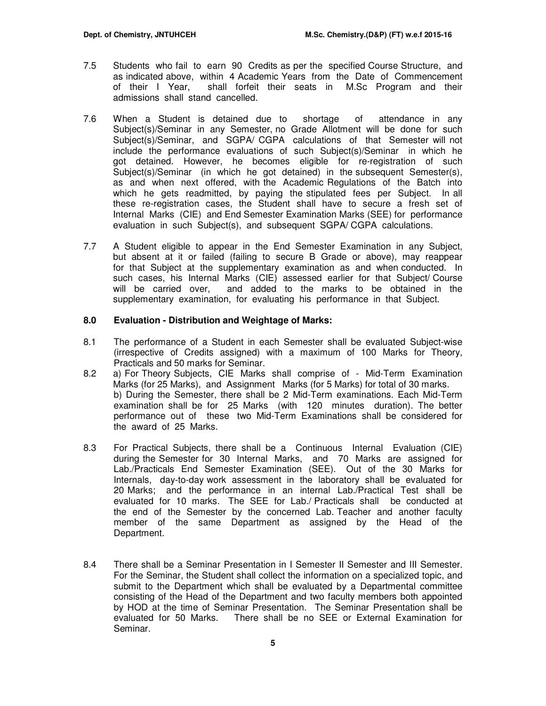- 7.5 Students who fail to earn 90 Credits as per the specified Course Structure, and as indicated above, within 4 Academic Years from the Date of Commencement of their I Year, shall forfeit their seats in M.Sc Program and their admissions shall stand cancelled.
- 7.6 When a Student is detained due to shortage of attendance in any Subject(s)/Seminar in any Semester, no Grade Allotment will be done for such Subject(s)/Seminar, and SGPA/ CGPA calculations of that Semester will not include the performance evaluations of such Subject(s)/Seminar in which he got detained. However, he becomes eligible for re-registration of such Subject(s)/Seminar (in which he got detained) in the subsequent Semester(s), as and when next offered, with the Academic Regulations of the Batch into which he gets readmitted, by paying the stipulated fees per Subject. In all these re-registration cases, the Student shall have to secure a fresh set of Internal Marks (CIE) and End Semester Examination Marks (SEE) for performance evaluation in such Subject(s), and subsequent SGPA/ CGPA calculations.
- 7.7 A Student eligible to appear in the End Semester Examination in any Subject, but absent at it or failed (failing to secure B Grade or above), may reappear for that Subject at the supplementary examination as and when conducted. In such cases, his Internal Marks (CIE) assessed earlier for that Subject/ Course will be carried over, and added to the marks to be obtained in the supplementary examination, for evaluating his performance in that Subject.

## **8.0 Evaluation - Distribution and Weightage of Marks:**

- 8.1 The performance of a Student in each Semester shall be evaluated Subject-wise (irrespective of Credits assigned) with a maximum of 100 Marks for Theory, Practicals and 50 marks for Seminar.
- 8.2 a) For Theory Subjects, CIE Marks shall comprise of Mid-Term Examination Marks (for 25 Marks), and Assignment Marks (for 5 Marks) for total of 30 marks. b) During the Semester, there shall be 2 Mid-Term examinations. Each Mid-Term examination shall be for 25 Marks (with 120 minutes duration). The better performance out of these two Mid-Term Examinations shall be considered for the award of 25 Marks.
- 8.3 For Practical Subjects, there shall be a Continuous Internal Evaluation (CIE) during the Semester for 30 Internal Marks, and 70 Marks are assigned for Lab./Practicals End Semester Examination (SEE). Out of the 30 Marks for Internals, day-to-day work assessment in the laboratory shall be evaluated for 20 Marks; and the performance in an internal Lab./Practical Test shall be evaluated for 10 marks. The SEE for Lab./ Practicals shall be conducted at the end of the Semester by the concerned Lab. Teacher and another faculty member of the same Department as assigned by the Head of the Department.
- 8.4 There shall be a Seminar Presentation in I Semester II Semester and III Semester. For the Seminar, the Student shall collect the information on a specialized topic, and submit to the Department which shall be evaluated by a Departmental committee consisting of the Head of the Department and two faculty members both appointed by HOD at the time of Seminar Presentation. The Seminar Presentation shall be evaluated for 50 Marks. There shall be no SEE or External Examination for Seminar.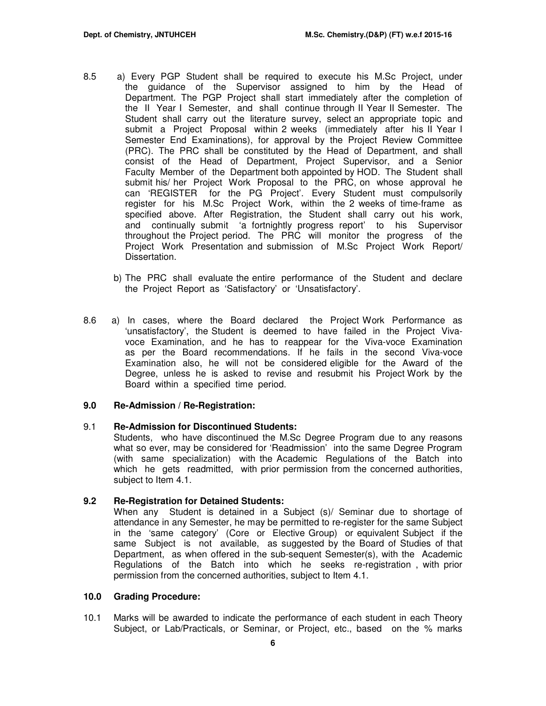- 8.5 a) Every PGP Student shall be required to execute his M.Sc Project, under the guidance of the Supervisor assigned to him by the Head of Department. The PGP Project shall start immediately after the completion of the II Year I Semester, and shall continue through II Year II Semester. The Student shall carry out the literature survey, select an appropriate topic and submit a Project Proposal within 2 weeks (immediately after his II Year I Semester End Examinations), for approval by the Project Review Committee (PRC). The PRC shall be constituted by the Head of Department, and shall consist of the Head of Department, Project Supervisor, and a Senior Faculty Member of the Department both appointed by HOD. The Student shall submit his/ her Project Work Proposal to the PRC, on whose approval he can 'REGISTER for the PG Project'. Every Student must compulsorily register for his M.Sc Project Work, within the 2 weeks of time-frame as specified above. After Registration, the Student shall carry out his work, and continually submit 'a fortnightly progress report' to his Supervisor throughout the Project period. The PRC will monitor the progress of the Project Work Presentation and submission of M.Sc Project Work Report/ Dissertation.
	- b) The PRC shall evaluate the entire performance of the Student and declare the Project Report as 'Satisfactory' or 'Unsatisfactory'.
- 8.6 a) In cases, where the Board declared the Project Work Performance as 'unsatisfactory', the Student is deemed to have failed in the Project Vivavoce Examination, and he has to reappear for the Viva-voce Examination as per the Board recommendations. If he fails in the second Viva-voce Examination also, he will not be considered eligible for the Award of the Degree, unless he is asked to revise and resubmit his Project Work by the Board within a specified time period.

#### **9.0 Re-Admission / Re-Registration:**

# 9.1 **Re-Admission for Discontinued Students:**

Students, who have discontinued the M.Sc Degree Program due to any reasons what so ever, may be considered for 'Readmission' into the same Degree Program (with same specialization) with the Academic Regulations of the Batch into which he gets readmitted, with prior permission from the concerned authorities, subject to Item 4.1.

# **9.2 Re-Registration for Detained Students:**

When any Student is detained in a Subject (s)/ Seminar due to shortage of attendance in any Semester, he may be permitted to re-register for the same Subject in the 'same category' (Core or Elective Group) or equivalent Subject if the same Subject is not available, as suggested by the Board of Studies of that Department, as when offered in the sub-sequent Semester(s), with the Academic Regulations of the Batch into which he seeks re-registration , with prior permission from the concerned authorities, subject to Item 4.1.

#### **10.0 Grading Procedure:**

10.1 Marks will be awarded to indicate the performance of each student in each Theory Subject, or Lab/Practicals, or Seminar, or Project, etc., based on the % marks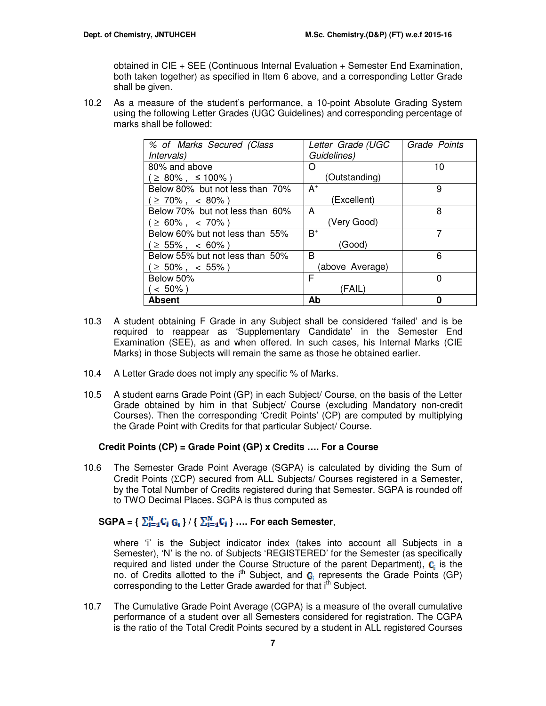obtained in CIE + SEE (Continuous Internal Evaluation + Semester End Examination, both taken together) as specified in Item 6 above, and a corresponding Letter Grade shall be given.

10.2 As a measure of the student's performance, a 10-point Absolute Grading System using the following Letter Grades (UGC Guidelines) and corresponding percentage of marks shall be followed:

| % of Marks Secured (Class       | Letter Grade (UGC | Grade Points |
|---------------------------------|-------------------|--------------|
| <i>Intervals</i> )              | Guidelines)       |              |
| 80% and above                   | ( )               | 10           |
| $\geq$ 80%, $\leq$ 100%)        | (Outstanding)     |              |
| Below 80% but not less than 70% | $A^+$             | 9            |
| $\geq 70\%$ , < 80%)            | (Excellent)       |              |
| Below 70% but not less than 60% | A                 | 8            |
| $\geq 60\%$ , < 70%)            | (Very Good)       |              |
| Below 60% but not less than 55% | $B^+$             | 7            |
| $\geq 55\%$ , < 60%)            | (Good)            |              |
| Below 55% but not less than 50% | B                 | 6            |
| $\geq 50\%$ , < 55%)            | (above Average)   |              |
| Below 50%                       | F                 | 0            |
| $\leq 50\%$ )                   | (FAIL)            |              |
| Absent                          | Ab                | ŋ            |

- 10.3 A student obtaining F Grade in any Subject shall be considered 'failed' and is be required to reappear as 'Supplementary Candidate' in the Semester End Examination (SEE), as and when offered. In such cases, his Internal Marks (CIE Marks) in those Subjects will remain the same as those he obtained earlier.
- 10.4 A Letter Grade does not imply any specific % of Marks.
- 10.5 A student earns Grade Point (GP) in each Subject/ Course, on the basis of the Letter Grade obtained by him in that Subject/ Course (excluding Mandatory non-credit Courses). Then the corresponding 'Credit Points' (CP) are computed by multiplying the Grade Point with Credits for that particular Subject/ Course.

## **Credit Points (CP) = Grade Point (GP) x Credits …. For a Course**

10.6 The Semester Grade Point Average (SGPA) is calculated by dividing the Sum of Credit Points (ΣCP) secured from ALL Subjects/ Courses registered in a Semester, by the Total Number of Credits registered during that Semester. SGPA is rounded off to TWO Decimal Places. SGPA is thus computed as

# **SGPA** = {  $\sum_{i=1}^{N} C_i$   $G_i$  } / {  $\sum_{i=1}^{N} C_i$  } ... For each Semester,

where 'i' is the Subject indicator index (takes into account all Subjects in a Semester), 'N' is the no. of Subjects 'REGISTERED' for the Semester (as specifically required and listed under the Course Structure of the parent Department),  $\mathbf{C}_i$  is the no. of Credits allotted to the i<sup>th</sup> Subject, and  $G_1$  represents the Grade Points (GP) corresponding to the Letter Grade awarded for that i<sup>th</sup> Subject.

10.7 The Cumulative Grade Point Average (CGPA) is a measure of the overall cumulative performance of a student over all Semesters considered for registration. The CGPA is the ratio of the Total Credit Points secured by a student in ALL registered Courses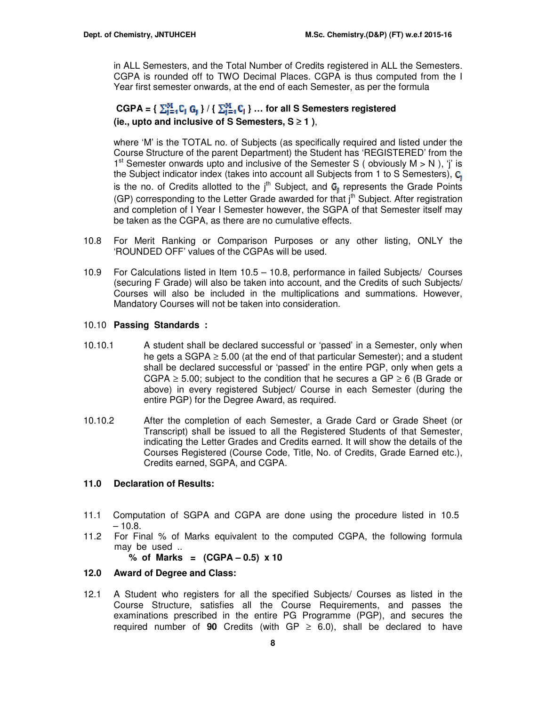in ALL Semesters, and the Total Number of Credits registered in ALL the Semesters. CGPA is rounded off to TWO Decimal Places. CGPA is thus computed from the I Year first semester onwards, at the end of each Semester, as per the formula

# $CGPA = \{ \sum_{i=1}^{M} C_i \ G_i \} / \{ \sum_{i=1}^{M} C_i \} ...$  for all S Semesters registered **(ie., upto and inclusive of S Semesters, S** ≥ **1 )**,

where 'M' is the TOTAL no. of Subjects (as specifically required and listed under the Course Structure of the parent Department) the Student has 'REGISTERED' from the 1<sup>st</sup> Semester onwards upto and inclusive of the Semester S (obviously  $M > N$ ), 'j' is the Subject indicator index (takes into account all Subjects from 1 to S Semesters),  $C_1$ is the no. of Credits allotted to the  $j<sup>th</sup>$  Subject, and  $G_i$  represents the Grade Points (GP) corresponding to the Letter Grade awarded for that j<sup>th</sup> Subject. After registration and completion of I Year I Semester however, the SGPA of that Semester itself may be taken as the CGPA, as there are no cumulative effects.

- 10.8 For Merit Ranking or Comparison Purposes or any other listing, ONLY the 'ROUNDED OFF' values of the CGPAs will be used.
- 10.9 For Calculations listed in Item 10.5 10.8, performance in failed Subjects/ Courses (securing F Grade) will also be taken into account, and the Credits of such Subjects/ Courses will also be included in the multiplications and summations. However, Mandatory Courses will not be taken into consideration.

# 10.10 **Passing Standards :**

- 10.10.1 A student shall be declared successful or 'passed' in a Semester, only when he gets a SGPA  $\geq$  5.00 (at the end of that particular Semester); and a student shall be declared successful or 'passed' in the entire PGP, only when gets a CGPA  $\geq$  5.00; subject to the condition that he secures a GP  $\geq$  6 (B Grade or above) in every registered Subject/ Course in each Semester (during the entire PGP) for the Degree Award, as required.
- 10.10.2 After the completion of each Semester, a Grade Card or Grade Sheet (or Transcript) shall be issued to all the Registered Students of that Semester, indicating the Letter Grades and Credits earned. It will show the details of the Courses Registered (Course Code, Title, No. of Credits, Grade Earned etc.), Credits earned, SGPA, and CGPA.

# **11.0 Declaration of Results:**

- 11.1 Computation of SGPA and CGPA are done using the procedure listed in 10.5  $-10.8.$
- 11.2 For Final % of Marks equivalent to the computed CGPA, the following formula may be used ..

**% of Marks = (CGPA – 0.5) x 10** 

# **12.0 Award of Degree and Class:**

12.1 A Student who registers for all the specified Subjects/ Courses as listed in the Course Structure, satisfies all the Course Requirements, and passes the examinations prescribed in the entire PG Programme (PGP), and secures the required number of **90** Credits (with GP  $\geq$  6.0), shall be declared to have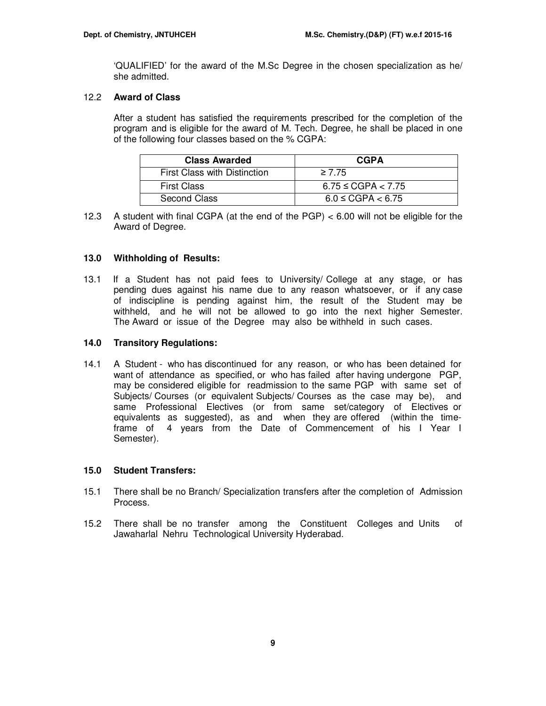'QUALIFIED' for the award of the M.Sc Degree in the chosen specialization as he/ she admitted.

## 12.2 **Award of Class**

After a student has satisfied the requirements prescribed for the completion of the program and is eligible for the award of M. Tech. Degree, he shall be placed in one of the following four classes based on the % CGPA:

| <b>Class Awarded</b>                | <b>CGPA</b>             |
|-------------------------------------|-------------------------|
| <b>First Class with Distinction</b> | $\geq 7.75$             |
| <b>First Class</b>                  | $6.75 \leq CGPA < 7.75$ |
| Second Class                        | $6.0 \leq CGPA < 6.75$  |

12.3 A student with final CGPA (at the end of the PGP) < 6.00 will not be eligible for the Award of Degree.

## **13.0 Withholding of Results:**

13.1 If a Student has not paid fees to University/ College at any stage, or has pending dues against his name due to any reason whatsoever, or if any case of indiscipline is pending against him, the result of the Student may be withheld, and he will not be allowed to go into the next higher Semester. The Award or issue of the Degree may also be withheld in such cases.

## **14.0 Transitory Regulations:**

14.1 A Student - who has discontinued for any reason, or who has been detained for want of attendance as specified, or who has failed after having undergone PGP, may be considered eligible for readmission to the same PGP with same set of Subjects/ Courses (or equivalent Subjects/ Courses as the case may be), and same Professional Electives (or from same set/category of Electives or equivalents as suggested), as and when they are offered (within the timeframe of 4 years from the Date of Commencement of his I Year I Semester).

## **15.0 Student Transfers:**

- 15.1 There shall be no Branch/ Specialization transfers after the completion of Admission Process.
- 15.2 There shall be no transfer among the Constituent Colleges and Units of Jawaharlal Nehru Technological University Hyderabad.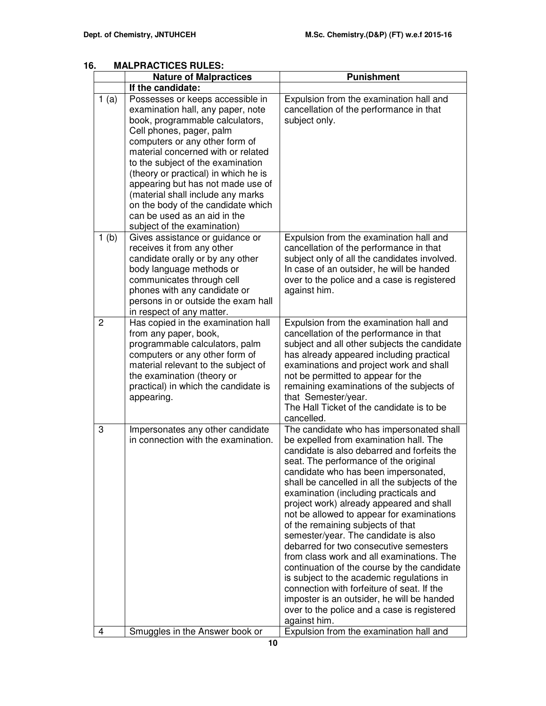| ხ.             | MALPRACTICES RULES:                                                                                                                                                                                                                                                                                                                                                                                                                                                      |                                                                                                                                                                                                                                                                                                                                                                                                                                                                                                                                                                                                                                                                                                                                                                                                                                  |  |  |  |  |
|----------------|--------------------------------------------------------------------------------------------------------------------------------------------------------------------------------------------------------------------------------------------------------------------------------------------------------------------------------------------------------------------------------------------------------------------------------------------------------------------------|----------------------------------------------------------------------------------------------------------------------------------------------------------------------------------------------------------------------------------------------------------------------------------------------------------------------------------------------------------------------------------------------------------------------------------------------------------------------------------------------------------------------------------------------------------------------------------------------------------------------------------------------------------------------------------------------------------------------------------------------------------------------------------------------------------------------------------|--|--|--|--|
|                | <b>Nature of Malpractices</b>                                                                                                                                                                                                                                                                                                                                                                                                                                            | <b>Punishment</b>                                                                                                                                                                                                                                                                                                                                                                                                                                                                                                                                                                                                                                                                                                                                                                                                                |  |  |  |  |
|                | If the candidate:                                                                                                                                                                                                                                                                                                                                                                                                                                                        |                                                                                                                                                                                                                                                                                                                                                                                                                                                                                                                                                                                                                                                                                                                                                                                                                                  |  |  |  |  |
| 1(a)           | Possesses or keeps accessible in<br>examination hall, any paper, note<br>book, programmable calculators,<br>Cell phones, pager, palm<br>computers or any other form of<br>material concerned with or related<br>to the subject of the examination<br>(theory or practical) in which he is<br>appearing but has not made use of<br>(material shall include any marks<br>on the body of the candidate which<br>can be used as an aid in the<br>subject of the examination) | Expulsion from the examination hall and<br>cancellation of the performance in that<br>subject only.                                                                                                                                                                                                                                                                                                                                                                                                                                                                                                                                                                                                                                                                                                                              |  |  |  |  |
| 1(b)           | Gives assistance or guidance or<br>receives it from any other<br>candidate orally or by any other<br>body language methods or<br>communicates through cell<br>phones with any candidate or<br>persons in or outside the exam hall<br>in respect of any matter.                                                                                                                                                                                                           | Expulsion from the examination hall and<br>cancellation of the performance in that<br>subject only of all the candidates involved.<br>In case of an outsider, he will be handed<br>over to the police and a case is registered<br>against him.                                                                                                                                                                                                                                                                                                                                                                                                                                                                                                                                                                                   |  |  |  |  |
| $\overline{2}$ | Has copied in the examination hall<br>from any paper, book,<br>programmable calculators, palm<br>computers or any other form of<br>material relevant to the subject of<br>the examination (theory or<br>practical) in which the candidate is<br>appearing.                                                                                                                                                                                                               | Expulsion from the examination hall and<br>cancellation of the performance in that<br>subject and all other subjects the candidate<br>has already appeared including practical<br>examinations and project work and shall<br>not be permitted to appear for the<br>remaining examinations of the subjects of<br>that Semester/year.<br>The Hall Ticket of the candidate is to be<br>cancelled.                                                                                                                                                                                                                                                                                                                                                                                                                                   |  |  |  |  |
| 3              | Impersonates any other candidate<br>in connection with the examination.                                                                                                                                                                                                                                                                                                                                                                                                  | The candidate who has impersonated shall<br>be expelled from examination hall. The<br>candidate is also debarred and forfeits the<br>seat. The performance of the original<br>candidate who has been impersonated,<br>shall be cancelled in all the subjects of the<br>examination (including practicals and<br>project work) already appeared and shall<br>not be allowed to appear for examinations<br>of the remaining subjects of that<br>semester/year. The candidate is also<br>debarred for two consecutive semesters<br>from class work and all examinations. The<br>continuation of the course by the candidate<br>is subject to the academic regulations in<br>connection with forfeiture of seat. If the<br>imposter is an outsider, he will be handed<br>over to the police and a case is registered<br>against him. |  |  |  |  |
| 4              | Smuggles in the Answer book or                                                                                                                                                                                                                                                                                                                                                                                                                                           | Expulsion from the examination hall and                                                                                                                                                                                                                                                                                                                                                                                                                                                                                                                                                                                                                                                                                                                                                                                          |  |  |  |  |

# **16. MALPRACTICES RULES**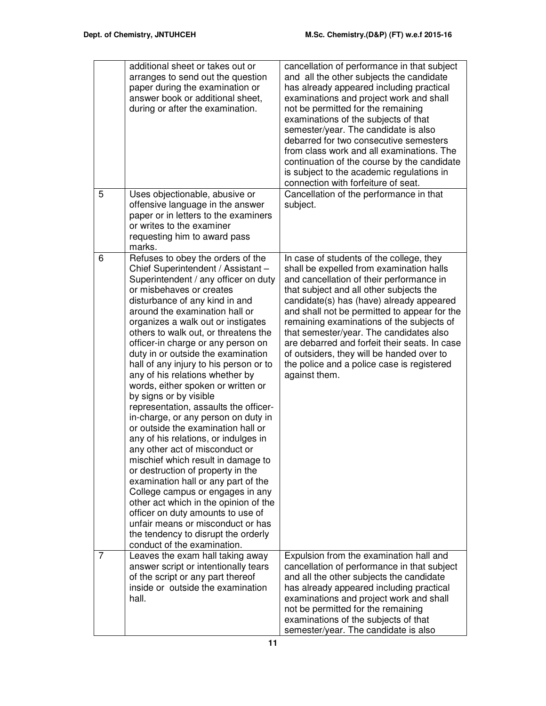|   | additional sheet or takes out or<br>arranges to send out the question<br>paper during the examination or<br>answer book or additional sheet,<br>during or after the examination.                                                                                                                                                                                                                                                                                                                                                                                                                                                                                                                                                                                                                                                                                                                                                                                                                                                                                      | cancellation of performance in that subject<br>and all the other subjects the candidate<br>has already appeared including practical<br>examinations and project work and shall<br>not be permitted for the remaining<br>examinations of the subjects of that<br>semester/year. The candidate is also<br>debarred for two consecutive semesters<br>from class work and all examinations. The<br>continuation of the course by the candidate<br>is subject to the academic regulations in<br>connection with forfeiture of seat. |
|---|-----------------------------------------------------------------------------------------------------------------------------------------------------------------------------------------------------------------------------------------------------------------------------------------------------------------------------------------------------------------------------------------------------------------------------------------------------------------------------------------------------------------------------------------------------------------------------------------------------------------------------------------------------------------------------------------------------------------------------------------------------------------------------------------------------------------------------------------------------------------------------------------------------------------------------------------------------------------------------------------------------------------------------------------------------------------------|--------------------------------------------------------------------------------------------------------------------------------------------------------------------------------------------------------------------------------------------------------------------------------------------------------------------------------------------------------------------------------------------------------------------------------------------------------------------------------------------------------------------------------|
| 5 | Uses objectionable, abusive or<br>offensive language in the answer<br>paper or in letters to the examiners<br>or writes to the examiner<br>requesting him to award pass<br>marks.                                                                                                                                                                                                                                                                                                                                                                                                                                                                                                                                                                                                                                                                                                                                                                                                                                                                                     | Cancellation of the performance in that<br>subject.                                                                                                                                                                                                                                                                                                                                                                                                                                                                            |
| 6 | Refuses to obey the orders of the<br>Chief Superintendent / Assistant -<br>Superintendent / any officer on duty<br>or misbehaves or creates<br>disturbance of any kind in and<br>around the examination hall or<br>organizes a walk out or instigates<br>others to walk out, or threatens the<br>officer-in charge or any person on<br>duty in or outside the examination<br>hall of any injury to his person or to<br>any of his relations whether by<br>words, either spoken or written or<br>by signs or by visible<br>representation, assaults the officer-<br>in-charge, or any person on duty in<br>or outside the examination hall or<br>any of his relations, or indulges in<br>any other act of misconduct or<br>mischief which result in damage to<br>or destruction of property in the<br>examination hall or any part of the<br>College campus or engages in any<br>other act which in the opinion of the<br>officer on duty amounts to use of<br>unfair means or misconduct or has<br>the tendency to disrupt the orderly<br>conduct of the examination. | In case of students of the college, they<br>shall be expelled from examination halls<br>and cancellation of their performance in<br>that subject and all other subjects the<br>candidate(s) has (have) already appeared<br>and shall not be permitted to appear for the<br>remaining examinations of the subjects of<br>that semester/year. The candidates also<br>are debarred and forfeit their seats. In case<br>of outsiders, they will be handed over to<br>the police and a police case is registered<br>against them.   |
| 7 | Leaves the exam hall taking away<br>answer script or intentionally tears<br>of the script or any part thereof<br>inside or outside the examination<br>hall.                                                                                                                                                                                                                                                                                                                                                                                                                                                                                                                                                                                                                                                                                                                                                                                                                                                                                                           | Expulsion from the examination hall and<br>cancellation of performance in that subject<br>and all the other subjects the candidate<br>has already appeared including practical<br>examinations and project work and shall<br>not be permitted for the remaining<br>examinations of the subjects of that<br>semester/year. The candidate is also                                                                                                                                                                                |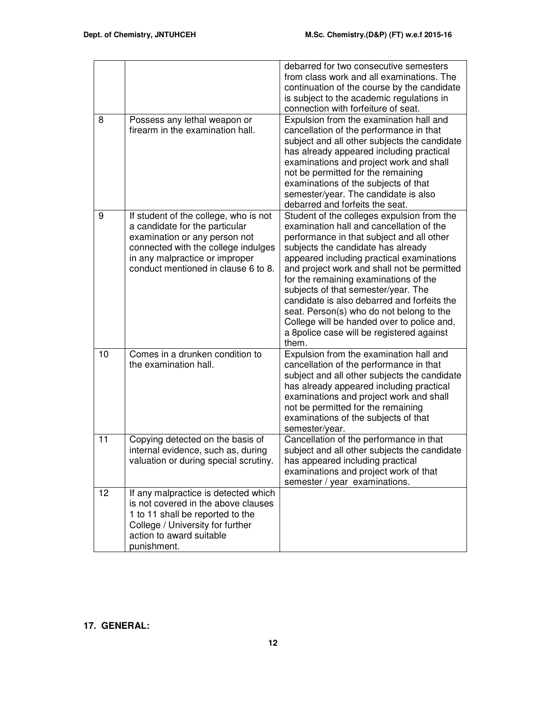|    |                                                                                                                                                                                                                          | debarred for two consecutive semesters<br>from class work and all examinations. The<br>continuation of the course by the candidate<br>is subject to the academic regulations in<br>connection with forfeiture of seat.                                                                                                                                                                                                                                                                                                                               |
|----|--------------------------------------------------------------------------------------------------------------------------------------------------------------------------------------------------------------------------|------------------------------------------------------------------------------------------------------------------------------------------------------------------------------------------------------------------------------------------------------------------------------------------------------------------------------------------------------------------------------------------------------------------------------------------------------------------------------------------------------------------------------------------------------|
| 8  | Possess any lethal weapon or<br>firearm in the examination hall.                                                                                                                                                         | Expulsion from the examination hall and<br>cancellation of the performance in that<br>subject and all other subjects the candidate<br>has already appeared including practical<br>examinations and project work and shall<br>not be permitted for the remaining<br>examinations of the subjects of that<br>semester/year. The candidate is also<br>debarred and forfeits the seat.                                                                                                                                                                   |
| 9  | If student of the college, who is not<br>a candidate for the particular<br>examination or any person not<br>connected with the college indulges<br>in any malpractice or improper<br>conduct mentioned in clause 6 to 8. | Student of the colleges expulsion from the<br>examination hall and cancellation of the<br>performance in that subject and all other<br>subjects the candidate has already<br>appeared including practical examinations<br>and project work and shall not be permitted<br>for the remaining examinations of the<br>subjects of that semester/year. The<br>candidate is also debarred and forfeits the<br>seat. Person(s) who do not belong to the<br>College will be handed over to police and,<br>a 8police case will be registered against<br>them. |
| 10 | Comes in a drunken condition to<br>the examination hall.                                                                                                                                                                 | Expulsion from the examination hall and<br>cancellation of the performance in that<br>subject and all other subjects the candidate<br>has already appeared including practical<br>examinations and project work and shall<br>not be permitted for the remaining<br>examinations of the subjects of that<br>semester/year.                                                                                                                                                                                                                            |
| 11 | Copying detected on the basis of<br>internal evidence, such as, during<br>valuation or during special scrutiny.                                                                                                          | Cancellation of the performance in that<br>subject and all other subjects the candidate<br>has appeared including practical<br>examinations and project work of that<br>semester / year examinations.                                                                                                                                                                                                                                                                                                                                                |
| 12 | If any malpractice is detected which<br>is not covered in the above clauses<br>1 to 11 shall be reported to the<br>College / University for further<br>action to award suitable<br>punishment.                           |                                                                                                                                                                                                                                                                                                                                                                                                                                                                                                                                                      |

# **17. GENERAL:**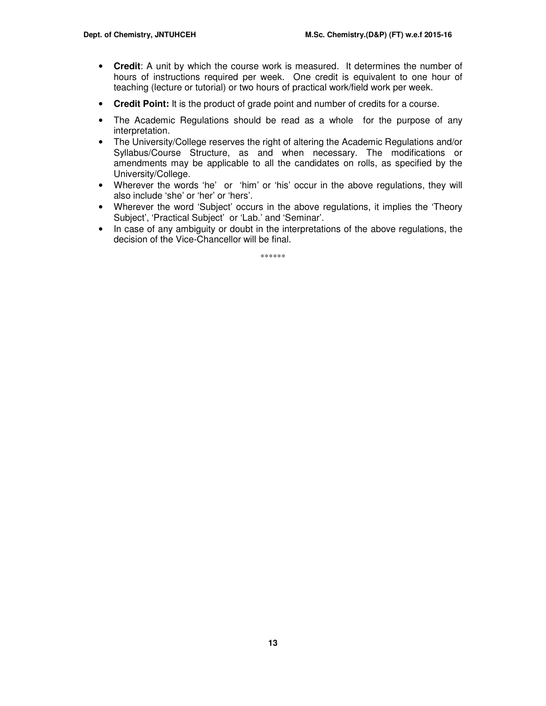- **Credit**: A unit by which the course work is measured. It determines the number of hours of instructions required per week. One credit is equivalent to one hour of teaching (lecture or tutorial) or two hours of practical work/field work per week.
- **Credit Point:** It is the product of grade point and number of credits for a course.
- The Academic Regulations should be read as a whole for the purpose of any interpretation.
- The University/College reserves the right of altering the Academic Regulations and/or Syllabus/Course Structure, as and when necessary. The modifications or amendments may be applicable to all the candidates on rolls, as specified by the University/College.
- Wherever the words 'he' or 'him' or 'his' occur in the above regulations, they will also include 'she' or 'her' or 'hers'.
- Wherever the word 'Subject' occurs in the above regulations, it implies the 'Theory' Subject', 'Practical Subject' or 'Lab.' and 'Seminar'.
- In case of any ambiguity or doubt in the interpretations of the above regulations, the decision of the Vice-Chancellor will be final.

\*\*\*\*\*\*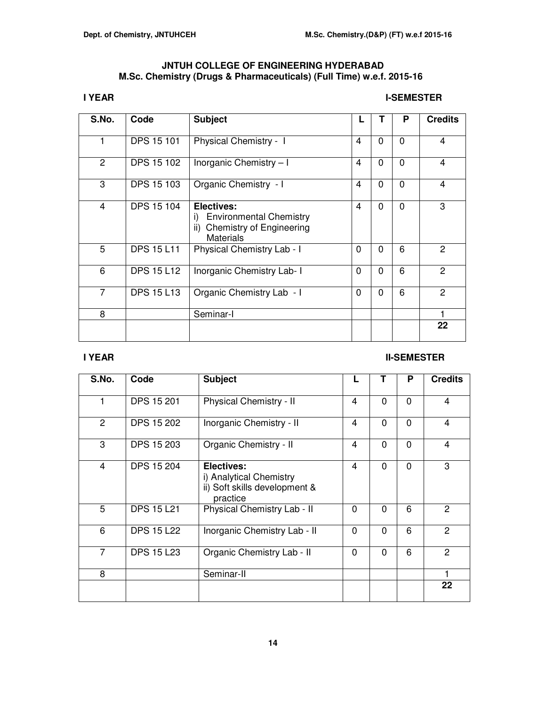# **JNTUH COLLEGE OF ENGINEERING HYDERABAD M.Sc. Chemistry (Drugs & Pharmaceuticals) (Full Time) w.e.f. 2015-16**

# **I YEAR** I-SEMESTER

| S.No.          | Code              | <b>Subject</b>                                                                                                   |                |          | P        | <b>Credits</b> |
|----------------|-------------------|------------------------------------------------------------------------------------------------------------------|----------------|----------|----------|----------------|
| 1              | <b>DPS 15 101</b> | Physical Chemistry - I                                                                                           | $\overline{4}$ | $\Omega$ | $\Omega$ | $\overline{4}$ |
| 2              | <b>DPS 15 102</b> | Inorganic Chemistry - I                                                                                          | $\overline{4}$ | $\Omega$ | $\Omega$ | $\overline{4}$ |
| 3              | <b>DPS 15 103</b> | Organic Chemistry - I                                                                                            | $\overline{4}$ | $\Omega$ | $\Omega$ | $\overline{4}$ |
| 4              | DPS 15 104        | Electives:<br><b>Environmental Chemistry</b><br>i)<br><b>Chemistry of Engineering</b><br>ii)<br><b>Materials</b> | $\overline{4}$ | $\Omega$ | $\Omega$ | 3              |
| 5              | <b>DPS 15 L11</b> | Physical Chemistry Lab - I                                                                                       | 0              | $\Omega$ | 6        | 2              |
| 6              | <b>DPS 15 L12</b> | Inorganic Chemistry Lab- I                                                                                       | $\mathbf 0$    | $\Omega$ | 6        | 2              |
| $\overline{7}$ | <b>DPS 15 L13</b> | Organic Chemistry Lab - I                                                                                        | $\mathbf 0$    | $\Omega$ | 6        | $\overline{2}$ |
| 8              |                   | Seminar-I                                                                                                        |                |          |          | 1              |
|                |                   |                                                                                                                  |                |          |          | 22             |

# **II-SEMESTER** II-SEMESTER

| S.No.          | Code              | <b>Subject</b>                                                                            |                | Т        | P        | <b>Credits</b> |
|----------------|-------------------|-------------------------------------------------------------------------------------------|----------------|----------|----------|----------------|
| 1              | <b>DPS 15 201</b> | Physical Chemistry - II                                                                   | 4              | 0        | $\Omega$ | 4              |
| 2              | <b>DPS 15 202</b> | Inorganic Chemistry - II                                                                  | $\overline{4}$ | $\Omega$ | $\Omega$ | $\overline{4}$ |
| 3              | DPS 15 203        | Organic Chemistry - II                                                                    | 4              | $\Omega$ | $\Omega$ | 4              |
| $\overline{4}$ | <b>DPS 15 204</b> | <b>Electives:</b><br>i) Analytical Chemistry<br>ii) Soft skills development &<br>practice | $\overline{4}$ | $\Omega$ | $\Omega$ | 3              |
| 5              | <b>DPS 15 L21</b> | Physical Chemistry Lab - II                                                               | $\Omega$       | $\Omega$ | 6        | 2              |
| 6              | <b>DPS 15 L22</b> | Inorganic Chemistry Lab - II                                                              | $\mathbf 0$    | $\Omega$ | 6        | 2              |
| $\overline{7}$ | <b>DPS 15 L23</b> | Organic Chemistry Lab - II                                                                | $\mathbf 0$    | $\Omega$ | 6        | 2              |
| 8              |                   | Seminar-II                                                                                |                |          |          |                |
|                |                   |                                                                                           |                |          |          | 22             |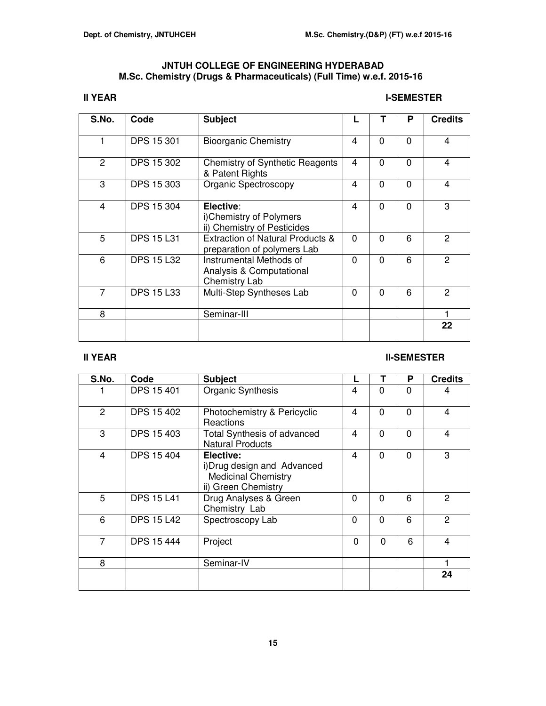# **JNTUH COLLEGE OF ENGINEERING HYDERABAD M.Sc. Chemistry (Drugs & Pharmaceuticals) (Full Time) w.e.f. 2015-16**

# **II YEAR** I-SEMESTER

| S.No.          | Code              | <b>Subject</b>                                                       |          |          | Р        | <b>Credits</b> |
|----------------|-------------------|----------------------------------------------------------------------|----------|----------|----------|----------------|
| 1              | <b>DPS 15 301</b> | <b>Bioorganic Chemistry</b>                                          | 4        | $\Omega$ | $\Omega$ | 4              |
| 2              | <b>DPS 15 302</b> | <b>Chemistry of Synthetic Reagents</b><br>& Patent Rights            | 4        | $\Omega$ | $\Omega$ | 4              |
| 3              | <b>DPS 15 303</b> | <b>Organic Spectroscopy</b>                                          | 4        | $\Omega$ | $\Omega$ | 4              |
| 4              | <b>DPS 15 304</b> | Elective:<br>i)Chemistry of Polymers<br>ii) Chemistry of Pesticides  | 4        | $\Omega$ | $\Omega$ | 3              |
| 5              | <b>DPS 15 L31</b> | Extraction of Natural Products &<br>preparation of polymers Lab      | $\Omega$ | $\Omega$ | 6        | 2              |
| 6              | <b>DPS 15 L32</b> | Instrumental Methods of<br>Analysis & Computational<br>Chemistry Lab | $\Omega$ | $\Omega$ | 6        | 2              |
| $\overline{7}$ | <b>DPS 15 L33</b> | Multi-Step Syntheses Lab                                             | 0        | $\Omega$ | 6        | 2              |
| 8              |                   | Seminar-III                                                          |          |          |          |                |
|                |                   |                                                                      |          |          |          | 22             |

# **III YEAR** III-SEMESTER

| S.No.          | Code              | <b>Subject</b>                                                                                |                |          | Р        | <b>Credits</b> |
|----------------|-------------------|-----------------------------------------------------------------------------------------------|----------------|----------|----------|----------------|
|                | <b>DPS 15 401</b> | Organic Synthesis                                                                             | 4              | $\Omega$ | 0        | 4              |
| 2              | <b>DPS 15 402</b> | Photochemistry & Pericyclic<br>Reactions                                                      | 4              | $\Omega$ | $\Omega$ | 4              |
| 3              | <b>DPS 15 403</b> | <b>Total Synthesis of advanced</b><br><b>Natural Products</b>                                 | $\overline{4}$ | $\Omega$ | $\Omega$ | 4              |
| 4              | <b>DPS 15 404</b> | Elective:<br>i) Drug design and Advanced<br><b>Medicinal Chemistry</b><br>ii) Green Chemistry | 4              | $\Omega$ | $\Omega$ | 3              |
| 5              | <b>DPS 15 L41</b> | Drug Analyses & Green<br>Chemistry Lab                                                        | $\Omega$       | $\Omega$ | 6        | 2              |
| 6              | <b>DPS 15 L42</b> | Spectroscopy Lab                                                                              | $\mathbf 0$    | $\Omega$ | 6        | $\overline{2}$ |
| $\overline{7}$ | <b>DPS 15 444</b> | Project                                                                                       | $\Omega$       | $\Omega$ | 6        | 4              |
| 8              |                   | Seminar-IV                                                                                    |                |          |          |                |
|                |                   |                                                                                               |                |          |          | 24             |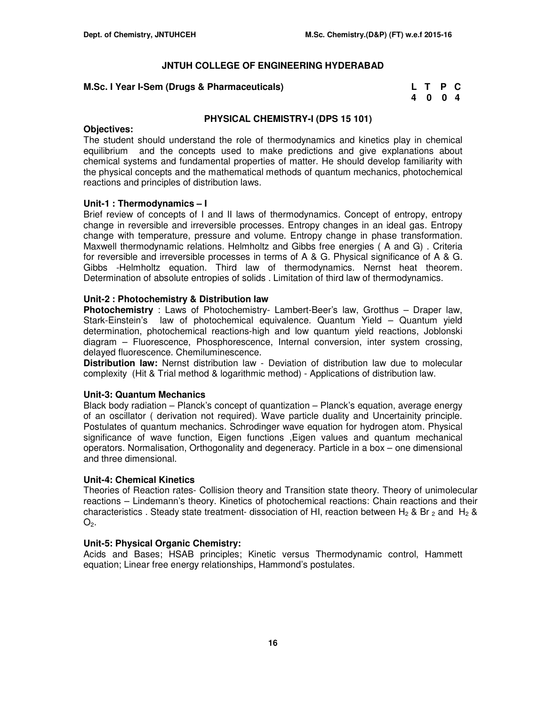# **M.Sc. I Year I-Sem (Drugs & Pharmaceuticals)**

| M.Sc. I Year I-Sem (Drugs & Pharmaceuticals) | L T P C |  |  |
|----------------------------------------------|---------|--|--|
|                                              | 4004    |  |  |

# **PHYSICAL CHEMISTRY-I (DPS 15 101)**

## **Objectives:**

The student should understand the role of thermodynamics and kinetics play in chemical equilibrium and the concepts used to make predictions and give explanations about chemical systems and fundamental properties of matter. He should develop familiarity with the physical concepts and the mathematical methods of quantum mechanics, photochemical reactions and principles of distribution laws.

# **Unit-1 : Thermodynamics – I**

Brief review of concepts of I and II laws of thermodynamics. Concept of entropy, entropy change in reversible and irreversible processes. Entropy changes in an ideal gas. Entropy change with temperature, pressure and volume. Entropy change in phase transformation. Maxwell thermodynamic relations. Helmholtz and Gibbs free energies ( A and G) . Criteria for reversible and irreversible processes in terms of A & G. Physical significance of A & G. Gibbs -Helmholtz equation. Third law of thermodynamics. Nernst heat theorem. Determination of absolute entropies of solids . Limitation of third law of thermodynamics.

# **Unit-2 : Photochemistry & Distribution law**

**Photochemistry** : Laws of Photochemistry- Lambert-Beer's law, Grotthus – Draper law, Stark-Einstein's law of photochemical equivalence. Quantum Yield – Quantum yield determination, photochemical reactions-high and low quantum yield reactions, Joblonski diagram – Fluorescence, Phosphorescence, Internal conversion, inter system crossing, delayed fluorescence. Chemiluminescence.

**Distribution law:** Nernst distribution law - Deviation of distribution law due to molecular complexity (Hit & Trial method & logarithmic method) - Applications of distribution law.

## **Unit-3: Quantum Mechanics**

Black body radiation – Planck's concept of quantization – Planck's equation, average energy of an oscillator ( derivation not required). Wave particle duality and Uncertainity principle. Postulates of quantum mechanics. Schrodinger wave equation for hydrogen atom. Physical significance of wave function, Eigen functions ,Eigen values and quantum mechanical operators. Normalisation, Orthogonality and degeneracy. Particle in a box – one dimensional and three dimensional.

## **Unit-4: Chemical Kinetics**

Theories of Reaction rates- Collision theory and Transition state theory. Theory of unimolecular reactions – Lindemann's theory. Kinetics of photochemical reactions: Chain reactions and their characteristics . Steady state treatment- dissociation of HI, reaction between H<sub>2</sub> & Br <sub>2</sub> and H<sub>2</sub> &  $O<sub>2</sub>$ .

# **Unit-5: Physical Organic Chemistry:**

Acids and Bases; HSAB principles; Kinetic versus Thermodynamic control, Hammett equation; Linear free energy relationships, Hammond's postulates.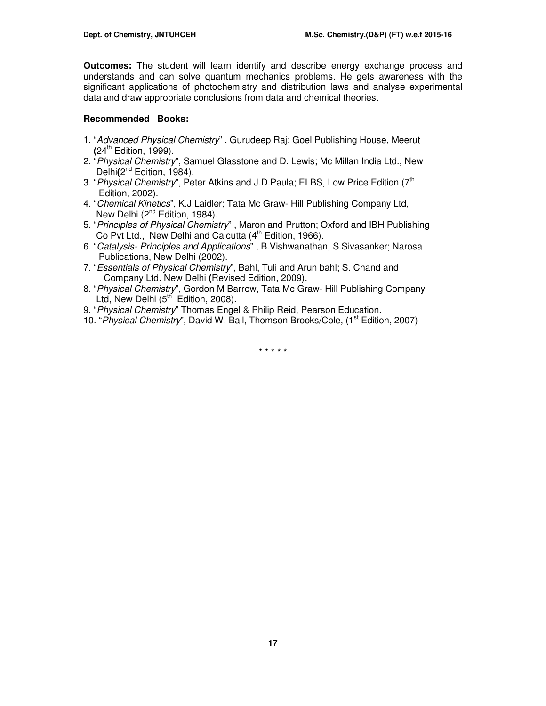**Outcomes:** The student will learn identify and describe energy exchange process and understands and can solve quantum mechanics problems. He gets awareness with the significant applications of photochemistry and distribution laws and analyse experimental data and draw appropriate conclusions from data and chemical theories.

## **Recommended Books:**

- 1. "Advanced Physical Chemistry" , Gurudeep Raj; Goel Publishing House, Meerut **(**24th Edition, 1999).
- 2. "Physical Chemistry", Samuel Glasstone and D. Lewis; Mc Millan India Ltd., New Delhi(2<sup>nd</sup> Edition, 1984).
- 3. "Physical Chemistry", Peter Atkins and J.D.Paula; ELBS, Low Price Edition (7<sup>th</sup> Edition, 2002).
- 4. "Chemical Kinetics", K.J.Laidler; Tata Mc Graw- Hill Publishing Company Ltd, New Delhi (2<sup>nd</sup> Edition, 1984).
- 5. "Principles of Physical Chemistry" , Maron and Prutton; Oxford and IBH Publishing Co Pvt Ltd., New Delhi and Calcutta  $(4^{th}$  Edition, 1966).
- 6. "Catalysis- Principles and Applications" , B.Vishwanathan, S.Sivasanker; Narosa Publications, New Delhi (2002).
- 7. "Essentials of Physical Chemistry", Bahl, Tuli and Arun bahl; S. Chand and Company Ltd. New Delhi **(**Revised Edition, 2009).
- 8. "Physical Chemistry", Gordon M Barrow, Tata Mc Graw- Hill Publishing Company Ltd, New Delhi  $(5<sup>th</sup>$  Edition, 2008).
- 9. "Physical Chemistry" Thomas Engel & Philip Reid, Pearson Education.
- 10. "Physical Chemistry", David W. Ball, Thomson Brooks/Cole, (1<sup>st</sup> Edition, 2007)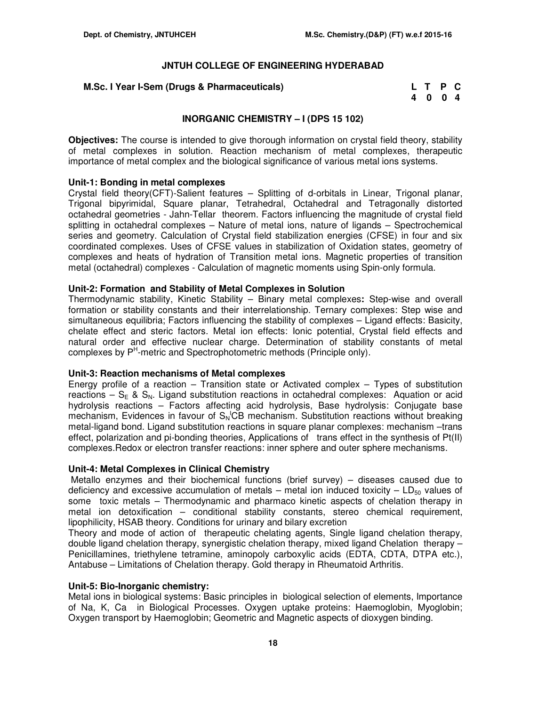#### **M.Sc. I Year I-Sem (Drugs & Pharmaceuticals)**

| M.Sc. I Year I-Sem (Drugs & Pharmaceuticals) | L T P C |  |
|----------------------------------------------|---------|--|
|                                              | 4004    |  |

## **INORGANIC CHEMISTRY – I (DPS 15 102)**

**Objectives:** The course is intended to give thorough information on crystal field theory, stability of metal complexes in solution. Reaction mechanism of metal complexes, therapeutic importance of metal complex and the biological significance of various metal ions systems.

#### **Unit-1: Bonding in metal complexes**

Crystal field theory(CFT)-Salient features – Splitting of d-orbitals in Linear, Trigonal planar, Trigonal bipyrimidal, Square planar, Tetrahedral, Octahedral and Tetragonally distorted octahedral geometries - Jahn-Tellar theorem. Factors influencing the magnitude of crystal field splitting in octahedral complexes – Nature of metal ions, nature of ligands – Spectrochemical series and geometry. Calculation of Crystal field stabilization energies (CFSE) in four and six coordinated complexes. Uses of CFSE values in stabilization of Oxidation states, geometry of complexes and heats of hydration of Transition metal ions. Magnetic properties of transition metal (octahedral) complexes - Calculation of magnetic moments using Spin-only formula.

#### **Unit-2: Formation and Stability of Metal Complexes in Solution**

Thermodynamic stability, Kinetic Stability – Binary metal complexes**:** Step-wise and overall formation or stability constants and their interrelationship. Ternary complexes: Step wise and simultaneous equilibria; Factors influencing the stability of complexes – Ligand effects: Basicity, chelate effect and steric factors. Metal ion effects: Ionic potential, Crystal field effects and natural order and effective nuclear charge. Determination of stability constants of metal complexes by P<sup>H</sup>-metric and Spectrophotometric methods (Principle only).

#### **Unit-3: Reaction mechanisms of Metal complexes**

Energy profile of a reaction – Transition state or Activated complex – Types of substitution reactions –  $S_E$  &  $S_N$ . Ligand substitution reactions in octahedral complexes: Aquation or acid hydrolysis reactions – Factors affecting acid hydrolysis, Base hydrolysis: Conjugate base mechanism, Evidences in favour of  $S_N$ CB mechanism. Substitution reactions without breaking metal-ligand bond. Ligand substitution reactions in square planar complexes: mechanism -trans effect, polarization and pi-bonding theories, Applications of trans effect in the synthesis of Pt(II) complexes.Redox or electron transfer reactions: inner sphere and outer sphere mechanisms.

#### **Unit-4: Metal Complexes in Clinical Chemistry**

Metallo enzymes and their biochemical functions (brief survey) – diseases caused due to deficiency and excessive accumulation of metals – metal ion induced toxicity –  $LD_{50}$  values of some toxic metals – Thermodynamic and pharmaco kinetic aspects of chelation therapy in metal ion detoxification – conditional stability constants, stereo chemical requirement, lipophilicity, HSAB theory. Conditions for urinary and bilary excretion

Theory and mode of action of therapeutic chelating agents, Single ligand chelation therapy, double ligand chelation therapy, synergistic chelation therapy, mixed ligand Chelation therapy – Penicillamines, triethylene tetramine, aminopoly carboxylic acids (EDTA, CDTA, DTPA etc.), Antabuse – Limitations of Chelation therapy. Gold therapy in Rheumatoid Arthritis.

# **Unit-5: Bio-Inorganic chemistry:**

Metal ions in biological systems: Basic principles in biological selection of elements, Importance of Na, K, Ca in Biological Processes. Oxygen uptake proteins: Haemoglobin, Myoglobin; Oxygen transport by Haemoglobin; Geometric and Magnetic aspects of dioxygen binding.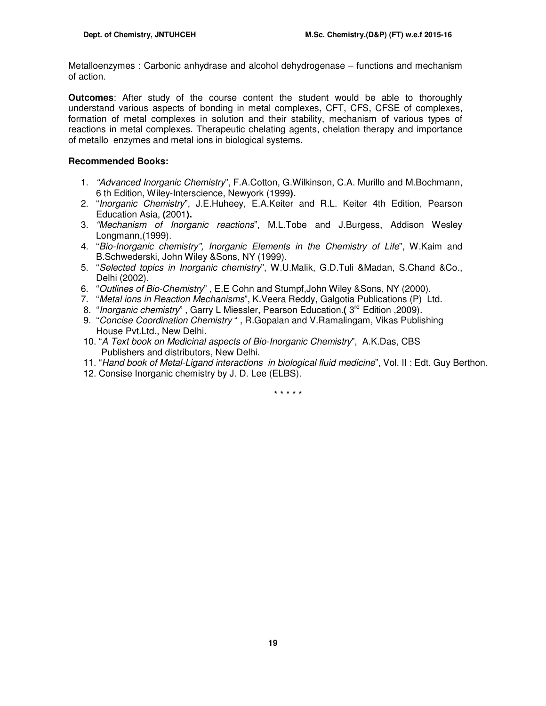Metalloenzymes : Carbonic anhydrase and alcohol dehydrogenase – functions and mechanism of action.

**Outcomes**: After study of the course content the student would be able to thoroughly understand various aspects of bonding in metal complexes, CFT, CFS, CFSE of complexes, formation of metal complexes in solution and their stability, mechanism of various types of reactions in metal complexes. Therapeutic chelating agents, chelation therapy and importance of metallo enzymes and metal ions in biological systems.

# **Recommended Books:**

- 1. "Advanced Inorganic Chemistry", F.A.Cotton, G.Wilkinson, C.A. Murillo and M.Bochmann, 6 th Edition, Wiley-Interscience, Newyork (1999**).**
- 2. "Inorganic Chemistry", J.E.Huheey, E.A.Keiter and R.L. Keiter 4th Edition, Pearson Education Asia, **(**2001**).**
- 3. "Mechanism of Inorganic reactions", M.L.Tobe and J.Burgess, Addison Wesley Longmann,(1999).
- 4. "Bio-Inorganic chemistry", Inorganic Elements in the Chemistry of Life", W.Kaim and B.Schwederski, John Wiley &Sons, NY (1999).
- 5. "Selected topics in Inorganic chemistry", W.U.Malik, G.D.Tuli &Madan, S.Chand &Co., Delhi (2002).
- 6. "Outlines of Bio-Chemistry" , E.E Cohn and Stumpf,John Wiley &Sons, NY (2000).
- 7. "Metal ions in Reaction Mechanisms", K.Veera Reddy, Galgotia Publications (P) Ltd.
- 8. "Inorganic chemistry", Garry L Miessler, Pearson Education. ( 3<sup>rd</sup> Edition, 2009).
- 9. "Concise Coordination Chemistry " , R.Gopalan and V.Ramalingam, Vikas Publishing House Pvt.Ltd., New Delhi.
- 10. "A Text book on Medicinal aspects of Bio-Inorganic Chemistry", A.K.Das, CBS Publishers and distributors, New Delhi.
- 11. "Hand book of Metal-Ligand interactions in biological fluid medicine", Vol. II : Edt. Guy Berthon.
- 12. Consise Inorganic chemistry by J. D. Lee (ELBS).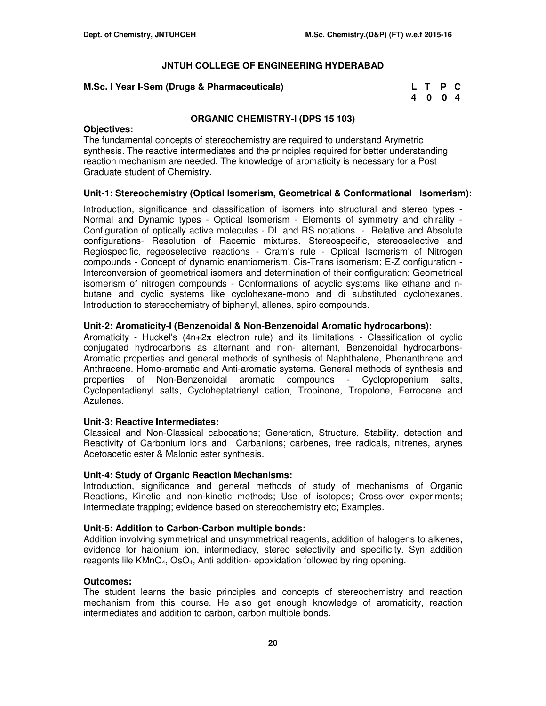# **M.Sc. I Year I-Sem (Drugs & Pharmaceuticals)**

| M.Sc. I Year I-Sem (Drugs & Pharmaceuticals) | L T P C |  |
|----------------------------------------------|---------|--|
|                                              | 4004    |  |

# **ORGANIC CHEMISTRY-I (DPS 15 103)**

## **Objectives:**

The fundamental concepts of stereochemistry are required to understand Arymetric synthesis. The reactive intermediates and the principles required for better understanding reaction mechanism are needed. The knowledge of aromaticity is necessary for a Post Graduate student of Chemistry.

# **Unit-1: Stereochemistry (Optical Isomerism, Geometrical & Conformational Isomerism):**

Introduction, significance and classification of isomers into structural and stereo types - Normal and Dynamic types - Optical Isomerism - Elements of symmetry and chirality - Configuration of optically active molecules - DL and RS notations - Relative and Absolute configurations- Resolution of Racemic mixtures. Stereospecific, stereoselective and Regiospecific, regeoselective reactions - Cram's rule - Optical Isomerism of Nitrogen compounds - Concept of dynamic enantiomerism. Cis-Trans isomerism; E-Z configuration - Interconversion of geometrical isomers and determination of their configuration; Geometrical isomerism of nitrogen compounds - Conformations of acyclic systems like ethane and nbutane and cyclic systems like cyclohexane-mono and di substituted cyclohexanes. Introduction to stereochemistry of biphenyl, allenes, spiro compounds.

## **Unit-2: Aromaticity-I (Benzenoidal & Non-Benzenoidal Aromatic hydrocarbons):**

Aromaticity - Huckel's  $(4n+2\pi)$  electron rule) and its limitations - Classification of cyclic conjugated hydrocarbons as alternant and non- alternant, Benzenoidal hydrocarbons-Aromatic properties and general methods of synthesis of Naphthalene, Phenanthrene and Anthracene. Homo-aromatic and Anti-aromatic systems. General methods of synthesis and properties of Non-Benzenoidal aromatic compounds - Cyclopropenium salts, Cyclopentadienyl salts, Cycloheptatrienyl cation, Tropinone, Tropolone, Ferrocene and Azulenes.

## **Unit-3: Reactive Intermediates:**

Classical and Non-Classical cabocations; Generation, Structure, Stability, detection and Reactivity of Carbonium ions and Carbanions; carbenes, free radicals, nitrenes, arynes Acetoacetic ester & Malonic ester synthesis.

## **Unit-4: Study of Organic Reaction Mechanisms:**

Introduction, significance and general methods of study of mechanisms of Organic Reactions, Kinetic and non-kinetic methods; Use of isotopes; Cross-over experiments; Intermediate trapping; evidence based on stereochemistry etc; Examples.

## **Unit-5: Addition to Carbon-Carbon multiple bonds:**

Addition involving symmetrical and unsymmetrical reagents, addition of halogens to alkenes, evidence for halonium ion, intermediacy, stereo selectivity and specificity. Syn addition reagents lile  $KMD<sub>4</sub>$ , OsO<sub>4</sub>, Anti addition- epoxidation followed by ring opening.

## **Outcomes:**

The student learns the basic principles and concepts of stereochemistry and reaction mechanism from this course. He also get enough knowledge of aromaticity, reaction intermediates and addition to carbon, carbon multiple bonds.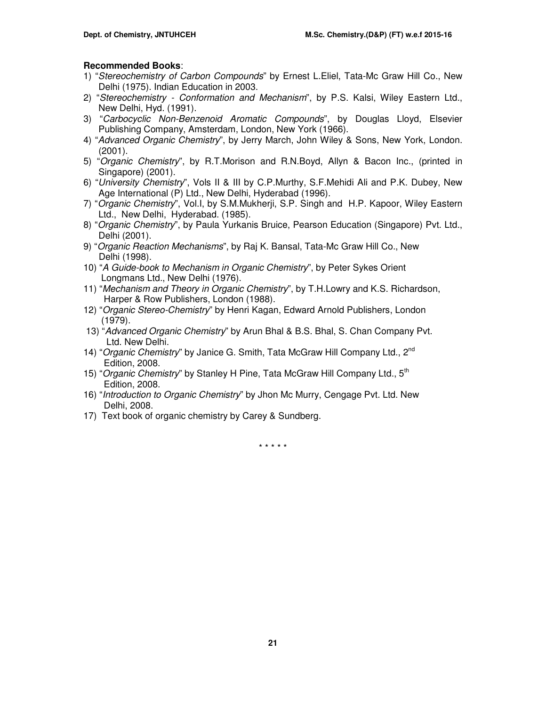# **Recommended Books**:

- 1) "Stereochemistry of Carbon Compounds" by Ernest L.Eliel, Tata-Mc Graw Hill Co., New Delhi (1975). Indian Education in 2003.
- 2) "Stereochemistry Conformation and Mechanism", by P.S. Kalsi, Wiley Eastern Ltd., New Delhi, Hyd. (1991).
- 3) "Carbocyclic Non-Benzenoid Aromatic Compounds", by Douglas Lloyd, Elsevier Publishing Company, Amsterdam, London, New York (1966).
- 4) "Advanced Organic Chemistry", by Jerry March, John Wiley & Sons, New York, London. (2001).
- 5) "Organic Chemistry", by R.T.Morison and R.N.Boyd, Allyn & Bacon Inc., (printed in Singapore) (2001).
- 6) "University Chemistry", Vols II & III by C.P.Murthy, S.F.Mehidi Ali and P.K. Dubey, New Age International (P) Ltd., New Delhi, Hyderabad (1996).
- 7) "Organic Chemistry", Vol.I, by S.M.Mukherji, S.P. Singh and H.P. Kapoor, Wiley Eastern Ltd., New Delhi, Hyderabad. (1985).
- 8) "Organic Chemistry", by Paula Yurkanis Bruice, Pearson Education (Singapore) Pvt. Ltd., Delhi (2001).
- 9) "Organic Reaction Mechanisms", by Raj K. Bansal, Tata-Mc Graw Hill Co., New Delhi (1998).
- 10) "A Guide-book to Mechanism in Organic Chemistry", by Peter Sykes Orient Longmans Ltd., New Delhi (1976).
- 11) "Mechanism and Theory in Organic Chemistry", by T.H.Lowry and K.S. Richardson, Harper & Row Publishers, London (1988).
- 12) "Organic Stereo-Chemistry" by Henri Kagan, Edward Arnold Publishers, London (1979).
- 13) "Advanced Organic Chemistry" by Arun Bhal & B.S. Bhal, S. Chan Company Pvt. Ltd. New Delhi.
- 14) "Organic Chemistry" by Janice G. Smith, Tata McGraw Hill Company Ltd., 2<sup>nd</sup> Edition, 2008.
- 15) "Organic Chemistry" by Stanley H Pine, Tata McGraw Hill Company Ltd., 5<sup>th</sup> Edition, 2008.
- 16) "Introduction to Organic Chemistry" by Jhon Mc Murry, Cengage Pvt. Ltd. New Delhi, 2008.
- 17) Text book of organic chemistry by Carey & Sundberg.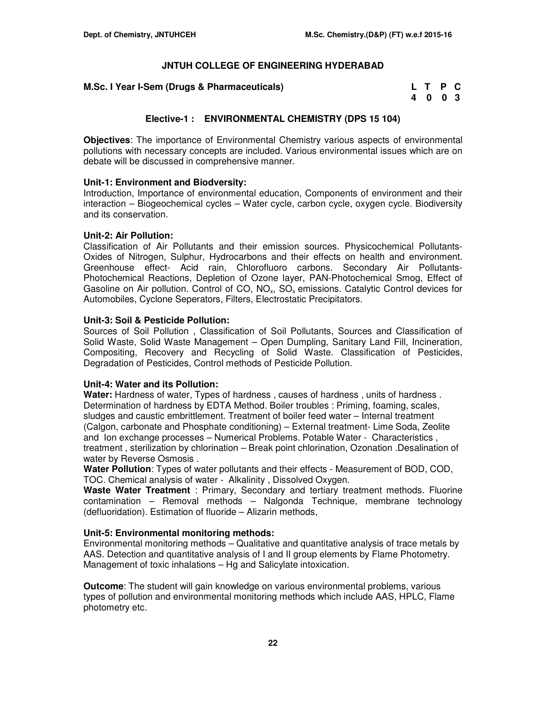| M.Sc. I Year I-Sem (Drugs & Pharmaceuticals) | L T P C |  |  |
|----------------------------------------------|---------|--|--|
|                                              | 4 0 0 3 |  |  |

# **Elective-1 : ENVIRONMENTAL CHEMISTRY (DPS 15 104)**

**Objectives**: The importance of Environmental Chemistry various aspects of environmental pollutions with necessary concepts are included. Various environmental issues which are on debate will be discussed in comprehensive manner.

## **Unit-1: Environment and Biodversity:**

Introduction, Importance of environmental education, Components of environment and their interaction – Biogeochemical cycles – Water cycle, carbon cycle, oxygen cycle. Biodiversity and its conservation.

### **Unit-2: Air Pollution:**

Classification of Air Pollutants and their emission sources. Physicochemical Pollutants-Oxides of Nitrogen, Sulphur, Hydrocarbons and their effects on health and environment. Greenhouse effect- Acid rain, Chlorofluoro carbons. Secondary Air Pollutants-Photochemical Reactions, Depletion of Ozone layer, PAN-Photochemical Smog, Effect of Gasoline on Air pollution. Control of CO,  $NO<sub>x</sub>$ , SO<sub>x</sub> emissions. Catalytic Control devices for Automobiles, Cyclone Seperators, Filters, Electrostatic Precipitators.

## **Unit-3: Soil & Pesticide Pollution:**

Sources of Soil Pollution , Classification of Soil Pollutants, Sources and Classification of Solid Waste, Solid Waste Management – Open Dumpling, Sanitary Land Fill, Incineration, Compositing, Recovery and Recycling of Solid Waste. Classification of Pesticides, Degradation of Pesticides, Control methods of Pesticide Pollution.

## **Unit-4: Water and its Pollution:**

**Water:** Hardness of water, Types of hardness , causes of hardness , units of hardness . Determination of hardness by EDTA Method. Boiler troubles : Priming, foaming, scales, sludges and caustic embrittlement. Treatment of boiler feed water – Internal treatment (Calgon, carbonate and Phosphate conditioning) – External treatment- Lime Soda, Zeolite and Ion exchange processes – Numerical Problems. Potable Water - Characteristics , treatment , sterilization by chlorination – Break point chlorination, Ozonation .Desalination of water by Reverse Osmosis .

**Water Pollution**: Types of water pollutants and their effects - Measurement of BOD, COD, TOC. Chemical analysis of water - Alkalinity , Dissolved Oxygen.

**Waste Water Treatment** : Primary, Secondary and tertiary treatment methods. Fluorine contamination – Removal methods – Nalgonda Technique, membrane technology (defluoridation). Estimation of fluoride – Alizarin methods,

## **Unit-5: Environmental monitoring methods:**

Environmental monitoring methods – Qualitative and quantitative analysis of trace metals by AAS. Detection and quantitative analysis of I and II group elements by Flame Photometry. Management of toxic inhalations – Hg and Salicylate intoxication.

**Outcome**: The student will gain knowledge on various environmental problems, various types of pollution and environmental monitoring methods which include AAS, HPLC, Flame photometry etc.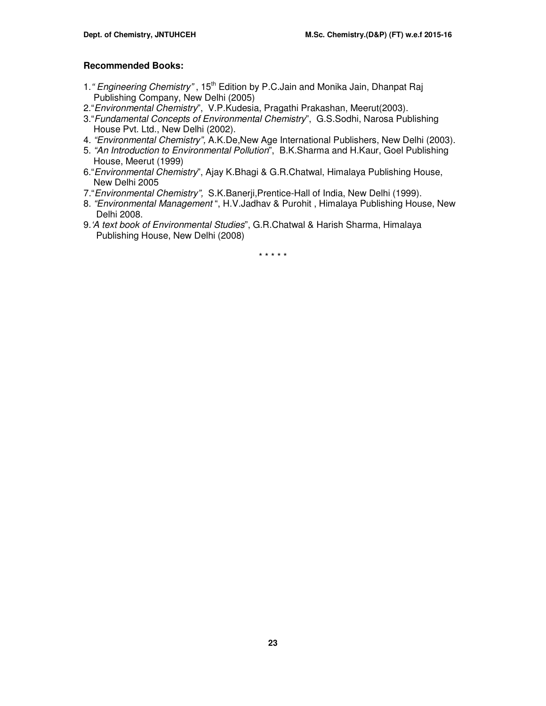# **Recommended Books:**

- 1. " Engineering Chemistry", 15<sup>th</sup> Edition by P.C.Jain and Monika Jain, Dhanpat Raj Publishing Company, New Delhi (2005)
- 2."Environmental Chemistry", V.P.Kudesia, Pragathi Prakashan, Meerut(2003).
- 3."Fundamental Concepts of Environmental Chemistry", G.S.Sodhi, Narosa Publishing House Pvt. Ltd., New Delhi (2002).
- 4. "Environmental Chemistry", A.K.De,New Age International Publishers, New Delhi (2003).
- 5. "An Introduction to Environmental Pollution", B.K.Sharma and H.Kaur, Goel Publishing House, Meerut (1999)
- 6."Environmental Chemistry", Ajay K.Bhagi & G.R.Chatwal, Himalaya Publishing House, New Delhi 2005
- 7."Environmental Chemistry", S.K.Banerji,Prentice-Hall of India, New Delhi (1999).
- 8. "Environmental Management ", H.V.Jadhav & Purohit , Himalaya Publishing House, New Delhi 2008.
- 9.'A text book of Environmental Studies", G.R.Chatwal & Harish Sharma, Himalaya Publishing House, New Delhi (2008)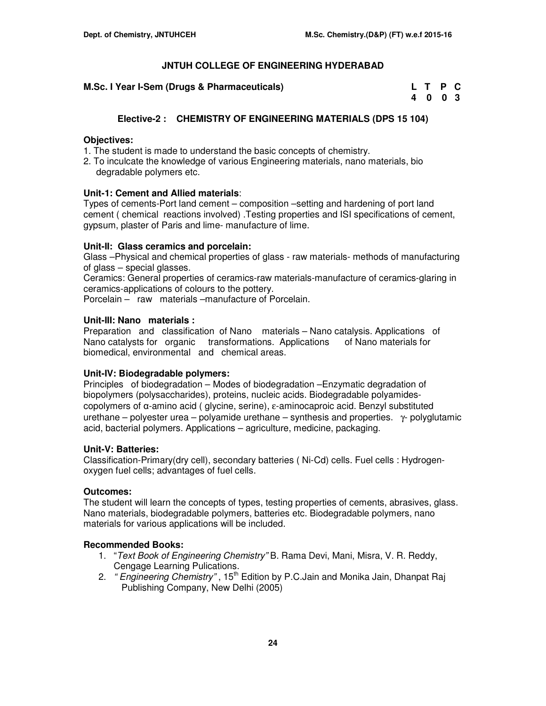**M.Sc. I Year I-Sem (Drugs & Pharmaceuticals)** 

| M.Sc. I Year I-Sem (Drugs & Pharmaceuticals) | L T P C |  |
|----------------------------------------------|---------|--|
|                                              | 4003    |  |

# **Elective-2 : CHEMISTRY OF ENGINEERING MATERIALS (DPS 15 104)**

## **Objectives:**

- 1. The student is made to understand the basic concepts of chemistry.
- 2. To inculcate the knowledge of various Engineering materials, nano materials, bio degradable polymers etc.

## **Unit-1: Cement and Allied materials**:

Types of cements-Port land cement – composition –setting and hardening of port land cement ( chemical reactions involved) .Testing properties and ISI specifications of cement, gypsum, plaster of Paris and lime- manufacture of lime.

### **Unit-II: Glass ceramics and porcelain:**

Glass –Physical and chemical properties of glass - raw materials- methods of manufacturing of glass – special glasses.

Ceramics: General properties of ceramics-raw materials-manufacture of ceramics-glaring in ceramics-applications of colours to the pottery.

Porcelain – raw materials –manufacture of Porcelain.

### **Unit-III: Nano materials :**

Preparation and classification of Nano materials – Nano catalysis. Applications of Nano catalysts for organic transformations. Applications of Nano materials for biomedical, environmental and chemical areas.

## **Unit-IV: Biodegradable polymers:**

Principles of biodegradation – Modes of biodegradation –Enzymatic degradation of biopolymers (polysaccharides), proteins, nucleic acids. Biodegradable polyamidescopolymers of α-amino acid ( glycine, serine), ε-aminocaproic acid. Benzyl substituted urethane – polyester urea – polyamide urethane – synthesis and properties. γ- polyglutamic acid, bacterial polymers. Applications – agriculture, medicine, packaging.

#### **Unit-V: Batteries:**

Classification-Primary(dry cell), secondary batteries ( Ni-Cd) cells. Fuel cells : Hydrogenoxygen fuel cells; advantages of fuel cells.

### **Outcomes:**

The student will learn the concepts of types, testing properties of cements, abrasives, glass. Nano materials, biodegradable polymers, batteries etc. Biodegradable polymers, nano materials for various applications will be included.

### **Recommended Books:**

- 1. "Text Book of Engineering Chemistry" B. Rama Devi, Mani, Misra, V. R. Reddy, Cengage Learning Pulications.
- 2. " Engineering Chemistry", 15<sup>th</sup> Edition by P.C.Jain and Monika Jain, Dhanpat Raj Publishing Company, New Delhi (2005)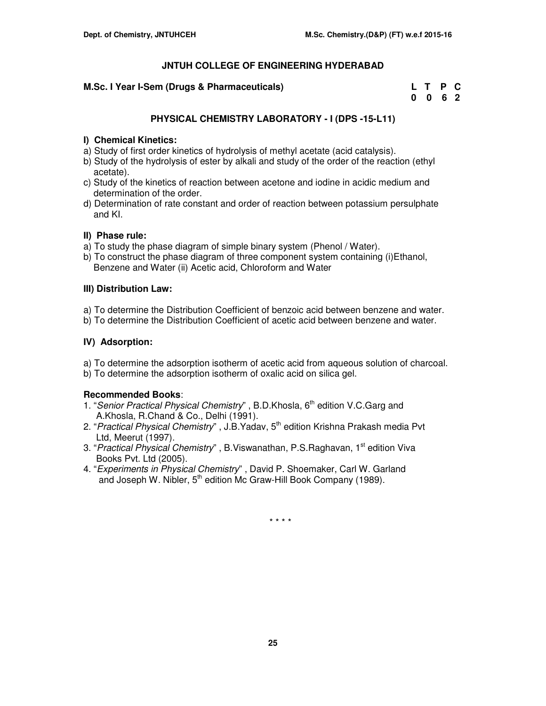# **M.Sc. I Year I-Sem (Drugs & Pharmaceuticals)**

| M.Sc. I Year I-Sem (Drugs & Pharmaceuticals) | L T P C         |  |
|----------------------------------------------|-----------------|--|
|                                              | $0 \t0 \t6 \t2$ |  |

# **PHYSICAL CHEMISTRY LABORATORY - I (DPS -15-L11)**

# **I) Chemical Kinetics:**

- a) Study of first order kinetics of hydrolysis of methyl acetate (acid catalysis).
- b) Study of the hydrolysis of ester by alkali and study of the order of the reaction (ethyl acetate).
- c) Study of the kinetics of reaction between acetone and iodine in acidic medium and determination of the order.
- d) Determination of rate constant and order of reaction between potassium persulphate and KI.

# **II) Phase rule:**

- a) To study the phase diagram of simple binary system (Phenol / Water).
- b) To construct the phase diagram of three component system containing (i)Ethanol, Benzene and Water (ii) Acetic acid, Chloroform and Water

# **III) Distribution Law:**

- a) To determine the Distribution Coefficient of benzoic acid between benzene and water.
- b) To determine the Distribution Coefficient of acetic acid between benzene and water.

# **IV) Adsorption:**

a) To determine the adsorption isotherm of acetic acid from aqueous solution of charcoal. b) To determine the adsorption isotherm of oxalic acid on silica gel.

# **Recommended Books**:

- 1. "Senior Practical Physical Chemistry", B.D.Khosla, 6<sup>th</sup> edition V.C.Garg and A.Khosla, R.Chand & Co., Delhi (1991).
- 2. "Practical Physical Chemistry", J.B.Yadav, 5<sup>th</sup> edition Krishna Prakash media Pvt Ltd, Meerut (1997).
- 3. "Practical Physical Chemistry", B.Viswanathan, P.S.Raghavan, 1<sup>st</sup> edition Viva Books Pvt. Ltd (2005).
- 4. "Experiments in Physical Chemistry" , David P. Shoemaker, Carl W. Garland and Joseph W. Nibler, 5<sup>th</sup> edition Mc Graw-Hill Book Company (1989).

\* \* \* \*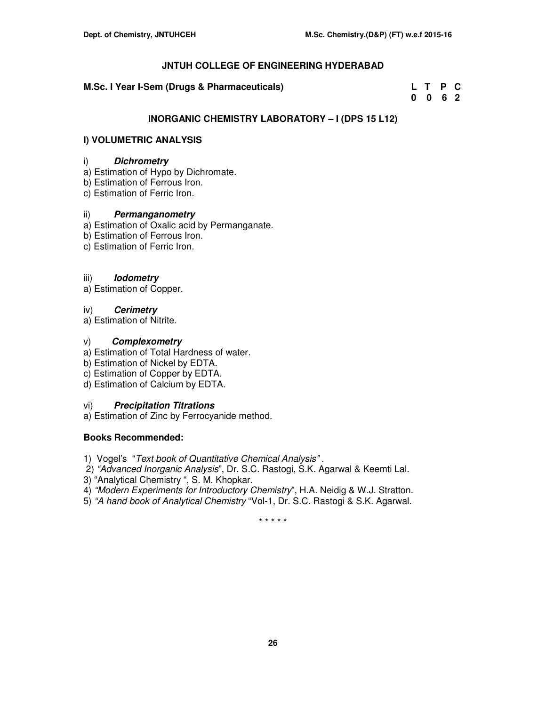# **M.Sc. I Year I-Sem (Drugs & Pharmaceuticals)**

| M.Sc. I Year I-Sem (Drugs & Pharmaceuticals) | L T P C |  |
|----------------------------------------------|---------|--|
|                                              | 0 0 6 2 |  |

# **INORGANIC CHEMISTRY LABORATORY – I (DPS 15 L12)**

# **I) VOLUMETRIC ANALYSIS**

# i) **Dichrometry**

- a) Estimation of Hypo by Dichromate.
- b) Estimation of Ferrous Iron.
- c) Estimation of Ferric Iron.

# ii) **Permanganometry**

- a) Estimation of Oxalic acid by Permanganate.
- b) Estimation of Ferrous Iron.
- c) Estimation of Ferric Iron.

# iii) **Iodometry**

a) Estimation of Copper.

# iv) **Cerimetry**

a) Estimation of Nitrite.

# v) **Complexometry**

- a) Estimation of Total Hardness of water.
- b) Estimation of Nickel by EDTA.
- c) Estimation of Copper by EDTA.
- d) Estimation of Calcium by EDTA.

# vi) **Precipitation Titrations**

a) Estimation of Zinc by Ferrocyanide method.

# **Books Recommended:**

- 1) Vogel's "Text book of Quantitative Chemical Analysis" .
- 2) "Advanced Inorganic Analysis", Dr. S.C. Rastogi, S.K. Agarwal & Keemti Lal.
- 3) "Analytical Chemistry ", S. M. Khopkar.
- 4) "Modern Experiments for Introductory Chemistry", H.A. Neidig & W.J. Stratton.
- 5) "A hand book of Analytical Chemistry "Vol-1, Dr. S.C. Rastogi & S.K. Agarwal.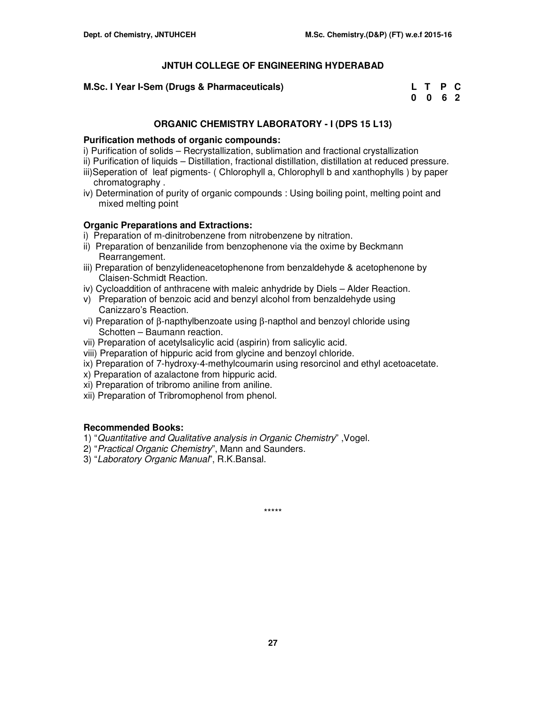# **M.Sc. I Year I-Sem (Drugs & Pharmaceuticals)**

| M.Sc. I Year I-Sem (Drugs & Pharmaceuticals) | L T P C                     |  |
|----------------------------------------------|-----------------------------|--|
|                                              | $0 \quad 0 \quad 6 \quad 2$ |  |

# **ORGANIC CHEMISTRY LABORATORY - I (DPS 15 L13)**

## **Purification methods of organic compounds:**

- i) Purification of solids Recrystallization, sublimation and fractional crystallization
- ii) Purification of liquids Distillation, fractional distillation, distillation at reduced pressure. iii)Seperation of leaf pigments- ( Chlorophyll a, Chlorophyll b and xanthophylls ) by paper chromatography .
- iv) Determination of purity of organic compounds : Using boiling point, melting point and mixed melting point

# **Organic Preparations and Extractions:**

- i) Preparation of m-dinitrobenzene from nitrobenzene by nitration.
- ii) Preparation of benzanilide from benzophenone via the oxime by Beckmann Rearrangement.
- iii) Preparation of benzylideneacetophenone from benzaldehyde & acetophenone by Claisen-Schmidt Reaction.
- iv) Cycloaddition of anthracene with maleic anhydride by Diels Alder Reaction.
- v) Preparation of benzoic acid and benzyl alcohol from benzaldehyde using Canizzaro's Reaction.
- vi) Preparation of β-napthylbenzoate using β-napthol and benzoyl chloride using Schotten – Baumann reaction.
- vii) Preparation of acetylsalicylic acid (aspirin) from salicylic acid.
- viii) Preparation of hippuric acid from glycine and benzoyl chloride.
- ix) Preparation of 7-hydroxy-4-methylcoumarin using resorcinol and ethyl acetoacetate.
- x) Preparation of azalactone from hippuric acid.
- xi) Preparation of tribromo aniline from aniline.
- xii) Preparation of Tribromophenol from phenol.

# **Recommended Books:**

- 1) "Quantitative and Qualitative analysis in Organic Chemistry" ,Vogel.
- 2) "Practical Organic Chemistry", Mann and Saunders.
- 3) "Laboratory Organic Manual", R.K.Bansal.

\*\*\*\*\*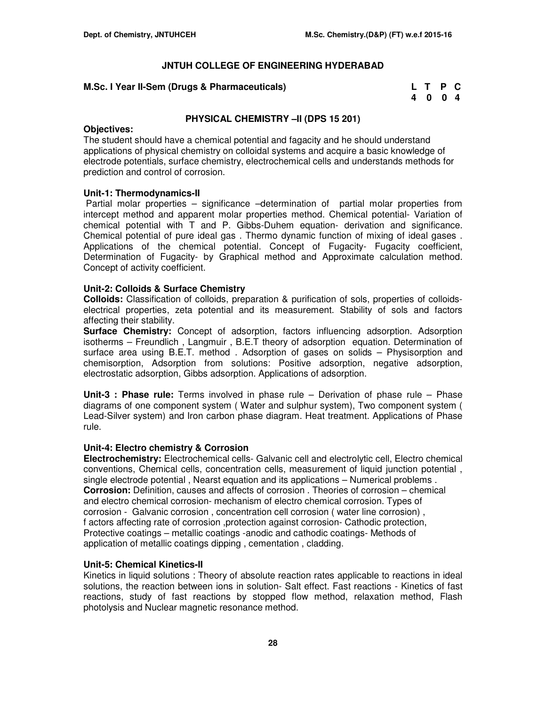# **M.Sc. I Year II-Sem (Drugs & Pharmaceuticals)**

| M.Sc. I Year II-Sem (Drugs & Pharmaceuticals) | L T P C |  |
|-----------------------------------------------|---------|--|
|                                               | 4004    |  |

# **PHYSICAL CHEMISTRY –II (DPS 15 201)**

## **Objectives:**

The student should have a chemical potential and fagacity and he should understand applications of physical chemistry on colloidal systems and acquire a basic knowledge of electrode potentials, surface chemistry, electrochemical cells and understands methods for prediction and control of corrosion.

## **Unit-1: Thermodynamics-II**

 Partial molar properties – significance –determination of partial molar properties from intercept method and apparent molar properties method. Chemical potential- Variation of chemical potential with T and P. Gibbs-Duhem equation- derivation and significance. Chemical potential of pure ideal gas . Thermo dynamic function of mixing of ideal gases . Applications of the chemical potential. Concept of Fugacity- Fugacity coefficient, Determination of Fugacity- by Graphical method and Approximate calculation method. Concept of activity coefficient.

# **Unit-2: Colloids & Surface Chemistry**

**Colloids:** Classification of colloids, preparation & purification of sols, properties of colloidselectrical properties, zeta potential and its measurement. Stability of sols and factors affecting their stability.

**Surface Chemistry:** Concept of adsorption, factors influencing adsorption. Adsorption isotherms – Freundlich , Langmuir , B.E.T theory of adsorption equation. Determination of surface area using B.E.T. method . Adsorption of gases on solids – Physisorption and chemisorption, Adsorption from solutions: Positive adsorption, negative adsorption, electrostatic adsorption, Gibbs adsorption. Applications of adsorption.

**Unit-3 : Phase rule:** Terms involved in phase rule – Derivation of phase rule – Phase diagrams of one component system ( Water and sulphur system), Two component system ( Lead-Silver system) and Iron carbon phase diagram. Heat treatment. Applications of Phase rule.

## **Unit-4: Electro chemistry & Corrosion**

**Electrochemistry:** Electrochemical cells- Galvanic cell and electrolytic cell, Electro chemical conventions, Chemical cells, concentration cells, measurement of liquid junction potential , single electrode potential , Nearst equation and its applications – Numerical problems . **Corrosion:** Definition, causes and affects of corrosion . Theories of corrosion – chemical and electro chemical corrosion- mechanism of electro chemical corrosion. Types of corrosion - Galvanic corrosion , concentration cell corrosion ( water line corrosion) , f actors affecting rate of corrosion ,protection against corrosion- Cathodic protection, Protective coatings – metallic coatings -anodic and cathodic coatings- Methods of application of metallic coatings dipping , cementation , cladding.

## **Unit-5: Chemical Kinetics-II**

Kinetics in liquid solutions : Theory of absolute reaction rates applicable to reactions in ideal solutions, the reaction between ions in solution- Salt effect. Fast reactions - Kinetics of fast reactions, study of fast reactions by stopped flow method, relaxation method, Flash photolysis and Nuclear magnetic resonance method.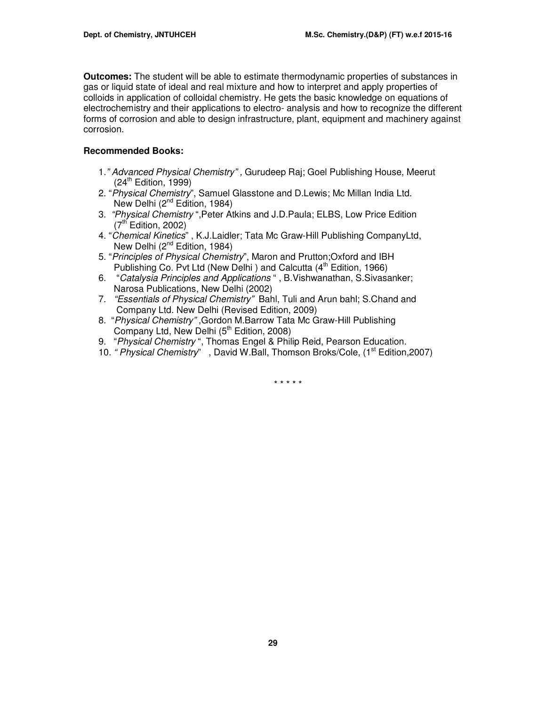**Outcomes:** The student will be able to estimate thermodynamic properties of substances in gas or liquid state of ideal and real mixture and how to interpret and apply properties of colloids in application of colloidal chemistry. He gets the basic knowledge on equations of electrochemistry and their applications to electro- analysis and how to recognize the different forms of corrosion and able to design infrastructure, plant, equipment and machinery against corrosion.

# **Recommended Books:**

- 1." Advanced Physical Chemistry" , Gurudeep Raj; Goel Publishing House, Meerut  $(24^{\text{th}}$  Edition, 1999)
- 2. "Physical Chemistry", Samuel Glasstone and D.Lewis; Mc Millan India Ltd. New Delhi (2<sup>nd</sup> Edition, 1984)
- 3. "Physical Chemistry ",Peter Atkins and J.D.Paula; ELBS, Low Price Edition  $(7<sup>th</sup>$  Edition, 2002)
- 4. "Chemical Kinetics" , K.J.Laidler; Tata Mc Graw-Hill Publishing CompanyLtd, New Delhi (2<sup>nd</sup> Edition, 1984)
- 5. "Principles of Physical Chemistry", Maron and Prutton;Oxford and IBH Publishing Co. Pvt Ltd (New Delhi) and Calcutta  $(4<sup>th</sup>$  Edition, 1966)
- 6. "Catalysia Principles and Applications " , B.Vishwanathan, S.Sivasanker; Narosa Publications, New Delhi (2002)
- 7. "Essentials of Physical Chemistry" Bahl, Tuli and Arun bahl; S.Chand and Company Ltd. New Delhi (Revised Edition, 2009)
- 8. "Physical Chemistry" ,Gordon M.Barrow Tata Mc Graw-Hill Publishing Company Ltd, New Delhi (5<sup>th</sup> Edition, 2008)
- 9. "Physical Chemistry", Thomas Engel & Philip Reid, Pearson Education.
- 10. " Physical Chemistry", David W.Ball, Thomson Broks/Cole, (1<sup>st</sup> Edition, 2007)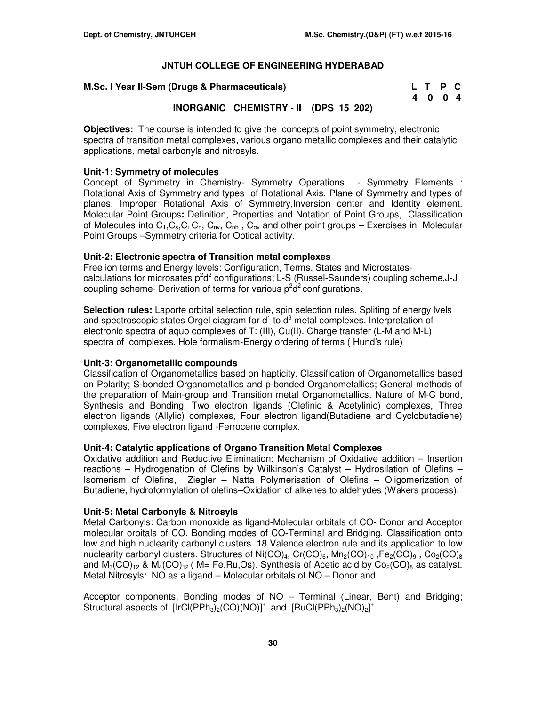#### **M.Sc. I Year II-Sem (Drugs & Pharmaceuticals)**

| M.Sc. I Year II-Sem (Drugs & Pharmaceuticals) | L T P C |  |
|-----------------------------------------------|---------|--|
|                                               | 4 0 0 4 |  |

# **INORGANIC CHEMISTRY - II (DPS 15 202)**

**Objectives:** The course is intended to give the concepts of point symmetry, electronic spectra of transition metal complexes, various organo metallic complexes and their catalytic applications, metal carbonyls and nitrosyls.

## **Unit-1: Symmetry of molecules**

Concept of Symmetry in Chemistry- Symmetry Operations - Symmetry Elements : Rotational Axis of Symmetry and types of Rotational Axis. Plane of Symmetry and types of planes. Improper Rotational Axis of Symmetry,Inversion center and Identity element. Molecular Point Groups**:** Definition, Properties and Notation of Point Groups, Classification of Molecules into  $C_1$ , $C_s$ , $C_i$ ,  $C_n$ ,  $C_{nv}$ ,  $C_{nh}$ ,  $C_{av}$  and other point groups – Exercises in Molecular Point Groups –Symmetry criteria for Optical activity.

## **Unit-2: Electronic spectra of Transition metal complexes**

Free ion terms and Energy levels: Configuration, Terms, States and Microstatescalculations for microsates  $p^2d^2$  configurations; L-S (Russel-Saunders) coupling scheme, J-J coupling scheme- Derivation of terms for various  $p^2d^2$  configurations.

**Selection rules:** Laporte orbital selection rule, spin selection rules. Spliting of energy lvels and spectroscopic states Orgel diagram for  $d^1$  to  $d^9$  metal complexes. Interpretation of electronic spectra of aquo complexes of T: (III), Cu(II). Charge transfer (L-M and M-L) spectra of complexes. Hole formalism-Energy ordering of terms ( Hund's rule)

## **Unit-3: Organometallic compounds**

Classification of Organometallics based on hapticity. Classification of Organometallics based on Polarity; S-bonded Organometallics and p-bonded Organometallics; General methods of the preparation of Main-group and Transition metal Organometallics. Nature of M-C bond, Synthesis and Bonding. Two electron ligands (Olefinic & Acetylinic) complexes, Three electron ligands (Allylic) complexes, Four electron ligand(Butadiene and Cyclobutadiene) complexes, Five electron ligand -Ferrocene complex.

## **Unit-4: Catalytic applications of Organo Transition Metal Complexes**

Oxidative addition and Reductive Elimination: Mechanism of Oxidative addition – Insertion reactions – Hydrogenation of Olefins by Wilkinson's Catalyst – Hydrosilation of Olefins – Isomerism of Olefins, Ziegler – Natta Polymerisation of Olefins – Oligomerization of Butadiene, hydroformylation of olefins–Oxidation of alkenes to aldehydes (Wakers process).

## **Unit-5: Metal Carbonyls & Nitrosyls**

Metal Carbonyls: Carbon monoxide as ligand-Molecular orbitals of CO- Donor and Acceptor molecular orbitals of CO. Bonding modes of CO-Terminal and Bridging. Classification onto low and high nuclearity carbonyl clusters. 18 Valence electron rule and its application to low nuclearity carbonyl clusters. Structures of  $Ni(CO)<sub>4</sub>, Cr(CO)<sub>6</sub>, Mn<sub>2</sub>(CO)<sub>10</sub>, Fe<sub>2</sub>(CO)<sub>9</sub>, Co<sub>2</sub>(CO)<sub>8</sub>$ and  $M_3(CO)_{12}$  &  $M_4(CO)_{12}$  ( M= Fe, Ru, Os). Synthesis of Acetic acid by Co<sub>2</sub>(CO)<sub>8</sub> as catalyst. Metal Nitrosyls: NO as a ligand – Molecular orbitals of NO – Donor and

Acceptor components, Bonding modes of NO – Terminal (Linear, Bent) and Bridging; Structural aspects of  $[IrCl(PPh<sub>3</sub>)<sub>2</sub>(CO)(NO)]<sup>+</sup>$  and  $[RuCl(PPh<sub>3</sub>)<sub>2</sub>(NO)<sub>2</sub>]<sup>+</sup>$ .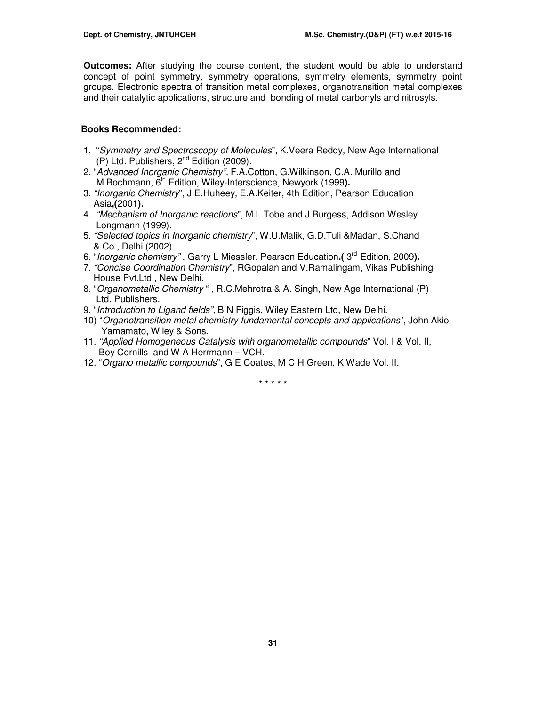**Outcomes:** After studying the course content, **t**he student would be able to understand concept of point symmetry, symmetry operations, symmetry elements, symmetry point groups. Electronic spectra of transition metal complexes, organotransition metal complexes and their catalytic applications, structure and bonding of metal carbonyls and nitrosyls.

# **Books Recommended:**

- 1. "Symmetry and Spectroscopy of Molecules", K.Veera Reddy, New Age International (P) Ltd. Publishers, 2<sup>nd</sup> Edition (2009).
- 2. "Advanced Inorganic Chemistry", F.A.Cotton, G.Wilkinson, C.A. Murillo and M.Bochmann, 6<sup>th</sup> Edition, Wiley-Interscience, Newyork (1999).
- 3. "Inorganic Chemistry", J.E.Huheey, E.A.Keiter, 4th Edition, Pearson Education Asia**,(**2001**).**
- 4. "Mechanism of Inorganic reactions", M.L.Tobe and J.Burgess, Addison Wesley Longmann (1999).
- 5. "Selected topics in Inorganic chemistry", W.U.Malik, G.D.Tuli &Madan, S.Chand & Co., Delhi (2002).
- 6. "Inorganic chemistry", Garry L Miessler, Pearson Education.( 3<sup>rd</sup> Edition, 2009).
- 7. "Concise Coordination Chemistry", RGopalan and V.Ramalingam, Vikas Publishing House Pvt.Ltd., New Delhi.
- 8. "Organometallic Chemistry " , R.C.Mehrotra & A. Singh, New Age International (P) Ltd. Publishers.
- 9. "Introduction to Ligand fields", B N Figgis, Wiley Eastern Ltd, New Delhi.
- 10) "Organotransition metal chemistry fundamental concepts and applications", John Akio Yamamato, Wiley & Sons.
- 11. "Applied Homogeneous Catalysis with organometallic compounds" Vol. I & Vol. II, Boy Cornills and W A Herrmann – VCH.
- 12. "Organo metallic compounds", G E Coates, M C H Green, K Wade Vol. II.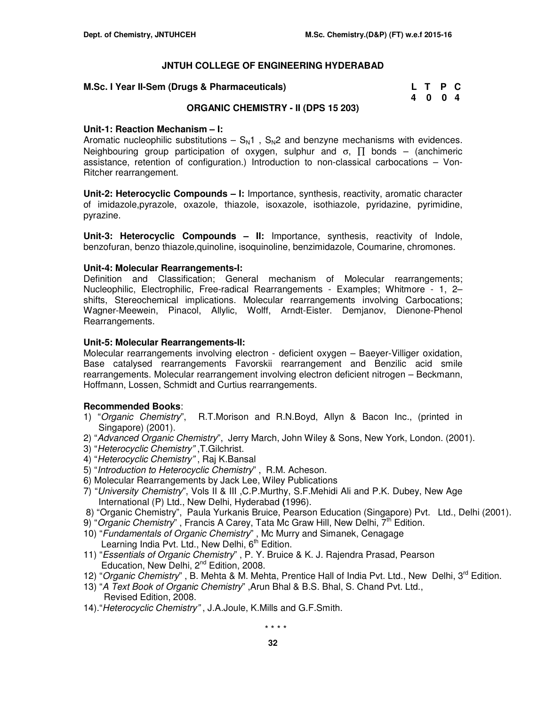| M.Sc. I Year II-Sem (Drugs & Pharmaceuticals) |  |  | L T P C |  |  |
|-----------------------------------------------|--|--|---------|--|--|
|-----------------------------------------------|--|--|---------|--|--|

| M.Sc. I Year II-Sem (Drugs & Pharmaceuticals) | L T P C |  |
|-----------------------------------------------|---------|--|
|                                               | 4004    |  |

# **ORGANIC CHEMISTRY - II (DPS 15 203)**

## **Unit-1: Reaction Mechanism – I:**

Aromatic nucleophilic substitutions  $- S<sub>N</sub>1$ ,  $S<sub>N</sub>2$  and benzyne mechanisms with evidences. Neighbouring group participation of oxygen, sulphur and  $\sigma$ ,  $\prod$  bonds – (anchimeric assistance, retention of configuration.) Introduction to non-classical carbocations – Von-Ritcher rearrangement.

**Unit-2: Heterocyclic Compounds – I:** Importance, synthesis, reactivity, aromatic character of imidazole,pyrazole, oxazole, thiazole, isoxazole, isothiazole, pyridazine, pyrimidine, pyrazine.

**Unit-3: Heterocyclic Compounds – II:** Importance, synthesis, reactivity of Indole, benzofuran, benzo thiazole,quinoline, isoquinoline, benzimidazole, Coumarine, chromones.

### **Unit-4: Molecular Rearrangements-I:**

Definition and Classification; General mechanism of Molecular rearrangements; Nucleophilic, Electrophilic, Free-radical Rearrangements - Examples; Whitmore - 1, 2– shifts, Stereochemical implications. Molecular rearrangements involving Carbocations; Wagner-Meewein, Pinacol, Allylic, Wolff, Arndt-Eister. Demjanov, Dienone-Phenol Rearrangements.

### **Unit-5: Molecular Rearrangements-II:**

Molecular rearrangements involving electron - deficient oxygen – Baeyer-Villiger oxidation, Base catalysed rearrangements Favorskii rearrangement and Benzilic acid smile rearrangements. Molecular rearrangement involving electron deficient nitrogen – Beckmann, Hoffmann, Lossen, Schmidt and Curtius rearrangements.

## **Recommended Books**:

- 1) "Organic Chemistry", R.T.Morison and R.N.Boyd, Allyn & Bacon Inc., (printed in Singapore) (2001).
- 2) "Advanced Organic Chemistry", Jerry March, John Wiley & Sons, New York, London. (2001).
- 3) "Heterocyclic Chemistry" ,T.Gilchrist.
- 4) "Heterocyclic Chemistry" , Raj K.Bansal
- 5) "Introduction to Heterocyclic Chemistry" , R.M. Acheson.
- 6) Molecular Rearrangements by Jack Lee, Wiley Publications
- 7) "University Chemistry", Vols II & III ,C.P.Murthy, S.F.Mehidi Ali and P.K. Dubey, New Age International (P) Ltd., New Delhi, Hyderabad **(**1996).
- 8) "Organic Chemistry", Paula Yurkanis Bruice, Pearson Education (Singapore) Pvt. Ltd., Delhi (2001).
- 9) "Organic Chemistry", Francis A Carey, Tata Mc Graw Hill, New Delhi, 7<sup>th</sup> Edition.
- 10) "Fundamentals of Organic Chemistry" , Mc Murry and Simanek, Cenagage Learning India Pvt. Ltd., New Delhi, 6<sup>th</sup> Edition.
- 11) "Essentials of Organic Chemistry" , P. Y. Bruice & K. J. Rajendra Prasad, Pearson Education, New Delhi, 2<sup>nd</sup> Edition, 2008.
- 12) "Organic Chemistry", B. Mehta & M. Mehta, Prentice Hall of India Pvt. Ltd., New Delhi, 3<sup>rd</sup> Edition.
- 13) "A Text Book of Organic Chemistry" ,Arun Bhal & B.S. Bhal, S. Chand Pvt. Ltd., Revised Edition, 2008.
- 14)."Heterocyclic Chemistry" , J.A.Joule, K.Mills and G.F.Smith.

\* \* \* \*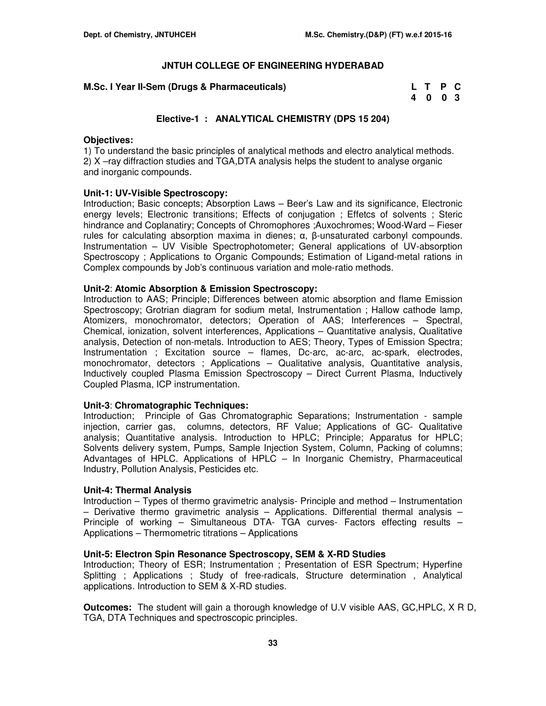# **M.Sc. I Year II-Sem (Drugs & Pharmaceuticals)**

| M.Sc. I Year II-Sem (Drugs & Pharmaceuticals) | L T P C |  |
|-----------------------------------------------|---------|--|
|                                               | 4 0 0 3 |  |

# **Elective-1 : ANALYTICAL CHEMISTRY (DPS 15 204)**

# **Objectives:**

1) To understand the basic principles of analytical methods and electro analytical methods. 2) X –ray diffraction studies and TGA,DTA analysis helps the student to analyse organic and inorganic compounds.

# **Unit-1: UV-Visible Spectroscopy:**

Introduction; Basic concepts; Absorption Laws – Beer's Law and its significance, Electronic energy levels; Electronic transitions; Effects of conjugation ; Effetcs of solvents ; Steric hindrance and Coplanatiry; Concepts of Chromophores ; Auxochromes; Wood-Ward – Fieser rules for calculating absorption maxima in dienes;  $\alpha$ , β-unsaturated carbonyl compounds. Instrumentation – UV Visible Spectrophotometer; General applications of UV-absorption Spectroscopy ; Applications to Organic Compounds; Estimation of Ligand-metal rations in Complex compounds by Job's continuous variation and mole-ratio methods.

## **Unit-2**: **Atomic Absorption & Emission Spectroscopy:**

Introduction to AAS; Principle; Differences between atomic absorption and flame Emission Spectroscopy; Grotrian diagram for sodium metal, Instrumentation ; Hallow cathode lamp, Atomizers, monochromator, detectors; Operation of AAS; Interferences – Spectral, Chemical, ionization, solvent interferences, Applications – Quantitative analysis, Qualitative analysis, Detection of non-metals. Introduction to AES; Theory, Types of Emission Spectra; Instrumentation ; Excitation source – flames, Dc-arc, ac-arc, ac-spark, electrodes, monochromator, detectors ; Applications – Qualitative analysis, Quantitative analysis, Inductively coupled Plasma Emission Spectroscopy – Direct Current Plasma, Inductively Coupled Plasma, ICP instrumentation.

## **Unit-3**: **Chromatographic Techniques:**

Introduction; Principle of Gas Chromatographic Separations; Instrumentation - sample injection, carrier gas, columns, detectors, RF Value; Applications of GC- Qualitative analysis; Quantitative analysis. Introduction to HPLC; Principle; Apparatus for HPLC; Solvents delivery system, Pumps, Sample Injection System, Column, Packing of columns; Advantages of HPLC. Applications of HPLC – In Inorganic Chemistry, Pharmaceutical Industry, Pollution Analysis, Pesticides etc.

# **Unit-4: Thermal Analysis**

Introduction – Types of thermo gravimetric analysis- Principle and method – Instrumentation  $-$  Derivative thermo gravimetric analysis  $-$  Applications. Differential thermal analysis  $-$ Principle of working – Simultaneous DTA- TGA curves- Factors effecting results – Applications – Thermometric titrations – Applications

## **Unit-5: Electron Spin Resonance Spectroscopy, SEM & X-RD Studies**

Introduction; Theory of ESR; Instrumentation ; Presentation of ESR Spectrum; Hyperfine Splitting ; Applications ; Study of free-radicals, Structure determination , Analytical applications. Introduction to SEM & X-RD studies.

**Outcomes:** The student will gain a thorough knowledge of U.V visible AAS, GC,HPLC, X R D, TGA, DTA Techniques and spectroscopic principles.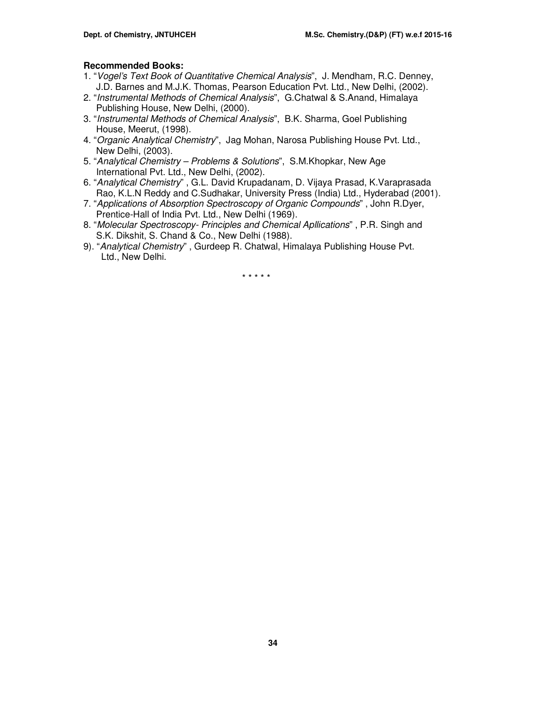# **Recommended Books:**

- 1. "Vogel's Text Book of Quantitative Chemical Analysis", J. Mendham, R.C. Denney, J.D. Barnes and M.J.K. Thomas, Pearson Education Pvt. Ltd., New Delhi, (2002).
- 2. "Instrumental Methods of Chemical Analysis", G.Chatwal & S.Anand, Himalaya Publishing House, New Delhi, (2000).
- 3. "Instrumental Methods of Chemical Analysis", B.K. Sharma, Goel Publishing House, Meerut, (1998).
- 4. "Organic Analytical Chemistry", Jag Mohan, Narosa Publishing House Pvt. Ltd., New Delhi, (2003).
- 5. "Analytical Chemistry Problems & Solutions", S.M.Khopkar, New Age International Pvt. Ltd., New Delhi, (2002).
- 6. "Analytical Chemistry" , G.L. David Krupadanam, D. Vijaya Prasad, K.Varaprasada Rao, K.L.N Reddy and C.Sudhakar, University Press (India) Ltd., Hyderabad (2001).
- 7. "Applications of Absorption Spectroscopy of Organic Compounds" , John R.Dyer, Prentice-Hall of India Pvt. Ltd., New Delhi (1969).
- 8. "Molecular Spectroscopy- Principles and Chemical Apllications" , P.R. Singh and S.K. Dikshit, S. Chand & Co., New Delhi (1988).
- 9). "Analytical Chemistry" , Gurdeep R. Chatwal, Himalaya Publishing House Pvt. Ltd., New Delhi.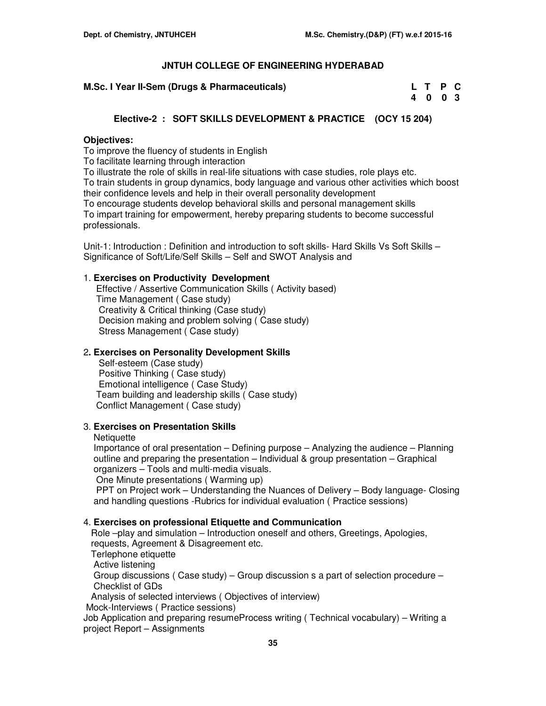**M.Sc. I Year II-Sem (Drugs & Pharmaceuticals)** 

| M.Sc. I Year II-Sem (Drugs & Pharmaceuticals) | L T P C |  |
|-----------------------------------------------|---------|--|
|                                               | 4 0 0 3 |  |

# **Elective-2 : SOFT SKILLS DEVELOPMENT & PRACTICE (OCY 15 204)**

# **Objectives:**

To improve the fluency of students in English

To facilitate learning through interaction

To illustrate the role of skills in real-life situations with case studies, role plays etc. To train students in group dynamics, body language and various other activities which boost their confidence levels and help in their overall personality development To encourage students develop behavioral skills and personal management skills

To impart training for empowerment, hereby preparing students to become successful professionals.

Unit-1: Introduction : Definition and introduction to soft skills- Hard Skills Vs Soft Skills -Significance of Soft/Life/Self Skills – Self and SWOT Analysis and

# 1. **Exercises on Productivity Development**

 Effective / Assertive Communication Skills ( Activity based) Time Management ( Case study) Creativity & Critical thinking (Case study) Decision making and problem solving ( Case study) Stress Management ( Case study)

# 2**. Exercises on Personality Development Skills**

 Self-esteem (Case study) Positive Thinking ( Case study) Emotional intelligence ( Case Study) Team building and leadership skills ( Case study) Conflict Management ( Case study)

# 3. **Exercises on Presentation Skills**

#### **Netiquette**

 Importance of oral presentation – Defining purpose – Analyzing the audience – Planning outline and preparing the presentation – Individual & group presentation – Graphical organizers – Tools and multi-media visuals. One Minute presentations ( Warming up)

 PPT on Project work – Understanding the Nuances of Delivery – Body language- Closing and handling questions -Rubrics for individual evaluation ( Practice sessions)

## 4. **Exercises on professional Etiquette and Communication**

 Role –play and simulation – Introduction oneself and others, Greetings, Apologies, requests, Agreement & Disagreement etc. Terlephone etiquette Active listening Group discussions ( Case study) – Group discussion s a part of selection procedure – Checklist of GDs Analysis of selected interviews ( Objectives of interview) Mock-Interviews ( Practice sessions) Job Application and preparing resumeProcess writing ( Technical vocabulary) – Writing a project Report – Assignments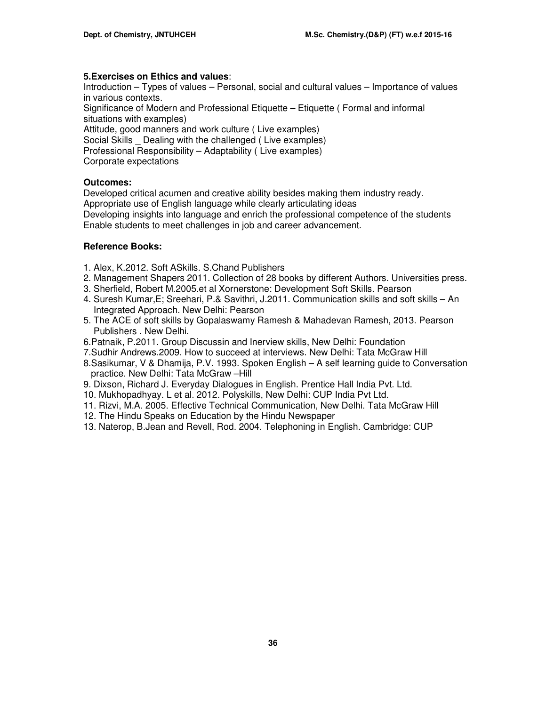# **5.Exercises on Ethics and values**:

Introduction – Types of values – Personal, social and cultural values – Importance of values in various contexts.

Significance of Modern and Professional Etiquette – Etiquette ( Formal and informal situations with examples)

Attitude, good manners and work culture (Live examples) Social Skills \_ Dealing with the challenged ( Live examples) Professional Responsibility – Adaptability ( Live examples)

Corporate expectations

# **Outcomes:**

Developed critical acumen and creative ability besides making them industry ready. Appropriate use of English language while clearly articulating ideas Developing insights into language and enrich the professional competence of the students Enable students to meet challenges in job and career advancement.

# **Reference Books:**

- 1. Alex, K.2012. Soft ASkills. S.Chand Publishers
- 2. Management Shapers 2011. Collection of 28 books by different Authors. Universities press.
- 3. Sherfield, Robert M.2005.et al Xornerstone: Development Soft Skills. Pearson
- 4. Suresh Kumar,E; Sreehari, P.& Savithri, J.2011. Communication skills and soft skills An Integrated Approach. New Delhi: Pearson
- 5. The ACE of soft skills by Gopalaswamy Ramesh & Mahadevan Ramesh, 2013. Pearson Publishers . New Delhi.
- 6.Patnaik, P.2011. Group Discussin and Inerview skills, New Delhi: Foundation
- 7.Sudhir Andrews.2009. How to succeed at interviews. New Delhi: Tata McGraw Hill
- 8.Sasikumar, V & Dhamija, P.V. 1993. Spoken English A self learning guide to Conversation practice. New Delhi: Tata McGraw –Hill
- 9. Dixson, Richard J. Everyday Dialogues in English. Prentice Hall India Pvt. Ltd.
- 10. Mukhopadhyay. L et al. 2012. Polyskills, New Delhi: CUP India Pvt Ltd.
- 11. Rizvi, M.A. 2005. Effective Technical Communication, New Delhi. Tata McGraw Hill
- 12. The Hindu Speaks on Education by the Hindu Newspaper
- 13. Naterop, B.Jean and Revell, Rod. 2004. Telephoning in English. Cambridge: CUP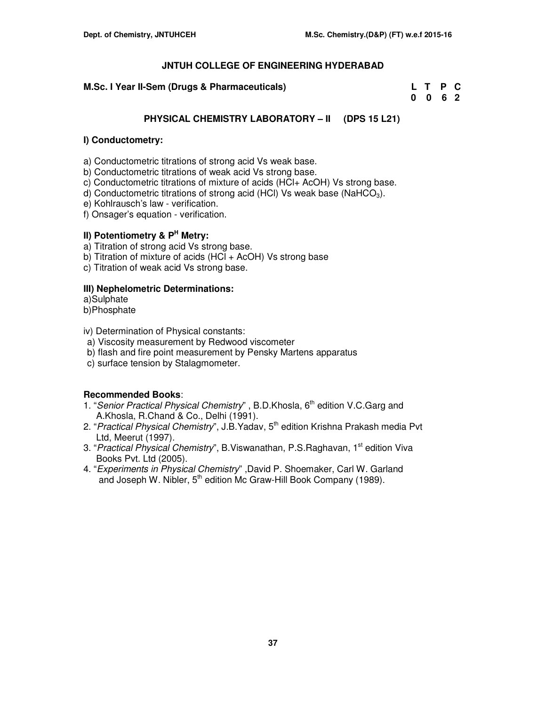# **M.Sc. I Year II-Sem (Drugs & Pharmaceuticals)**

| M.Sc. I Year II-Sem (Drugs & Pharmaceuticals) | L T P C         |  |
|-----------------------------------------------|-----------------|--|
|                                               | $0 \t0 \t6 \t2$ |  |

# **PHYSICAL CHEMISTRY LABORATORY – II (DPS 15 L21)**

# **I) Conductometry:**

- a) Conductometric titrations of strong acid Vs weak base.
- b) Conductometric titrations of weak acid Vs strong base.
- c) Conductometric titrations of mixture of acids (HCl+ AcOH) Vs strong base.
- d) Conductometric titrations of strong acid (HCI) Vs weak base (NaHCO<sub>3</sub>).
- e) Kohlrausch's law verification.
- f) Onsager's equation verification.

# **II) Potentiometry & P<sup>H</sup> Metry:**

- a) Titration of strong acid Vs strong base.
- b) Titration of mixture of acids (HCl + AcOH) Vs strong base
- c) Titration of weak acid Vs strong base.

# **III) Nephelometric Determinations:**

a)Sulphate

b)Phosphate

- iv) Determination of Physical constants:
- a) Viscosity measurement by Redwood viscometer
- b) flash and fire point measurement by Pensky Martens apparatus
- c) surface tension by Stalagmometer.

# **Recommended Books**:

- 1. "Senior Practical Physical Chemistry", B.D.Khosla, 6<sup>th</sup> edition V.C.Garg and A.Khosla, R.Chand & Co., Delhi (1991).
- 2. "Practical Physical Chemistry", J.B.Yadav, 5<sup>th</sup> edition Krishna Prakash media Pvt Ltd, Meerut (1997).
- 3. "Practical Physical Chemistry", B. Viswanathan, P.S. Raghavan, 1<sup>st</sup> edition Viva Books Pvt. Ltd (2005).
- 4. "Experiments in Physical Chemistry" ,David P. Shoemaker, Carl W. Garland and Joseph W. Nibler, 5<sup>th</sup> edition Mc Graw-Hill Book Company (1989).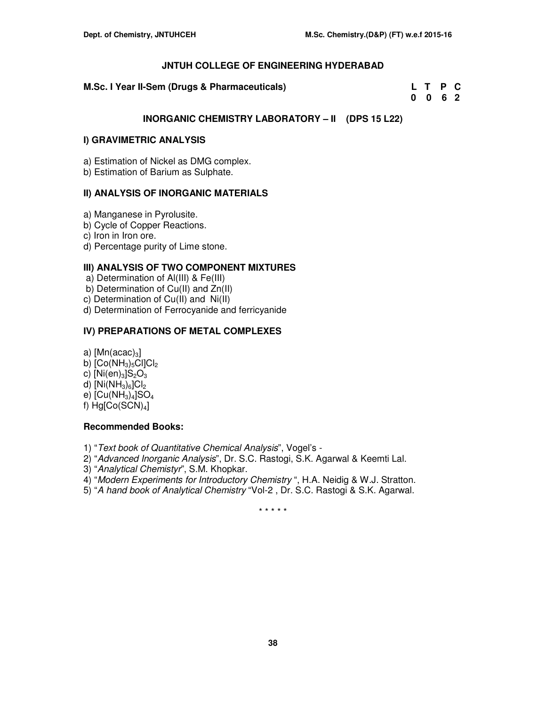**M.Sc. I Year II-Sem (Drugs & Pharmaceuticals)** 

| M.Sc. I Year II-Sem (Drugs & Pharmaceuticals) | L T P C |  |
|-----------------------------------------------|---------|--|
|                                               | 0 0 6 2 |  |

# **INORGANIC CHEMISTRY LABORATORY – II (DPS 15 L22)**

# **I) GRAVIMETRIC ANALYSIS**

a) Estimation of Nickel as DMG complex.

b) Estimation of Barium as Sulphate.

# **II) ANALYSIS OF INORGANIC MATERIALS**

- a) Manganese in Pyrolusite.
- b) Cycle of Copper Reactions.

c) Iron in Iron ore.

d) Percentage purity of Lime stone.

# **III) ANALYSIS OF TWO COMPONENT MIXTURES**

a) Determination of Al(III) & Fe(III)

b) Determination of Cu(II) and Zn(II)

c) Determination of Cu(II) and Ni(II)

d) Determination of Ferrocyanide and ferricyanide

# **IV) PREPARATIONS OF METAL COMPLEXES**

a)  $[Mn(acac)<sub>3</sub>]$ 

- b)  $[Co(NH<sub>3</sub>)<sub>5</sub>Cl]Cl<sub>2</sub>$
- c)  $[Ni(en)_3]S_2O_3$
- d)  $[Ni(NH_3)_6]Cl_2$

e)  $[Cu(NH<sub>3</sub>)<sub>4</sub>]SO<sub>4</sub>$ 

f)  $Hg[Co(SCN)<sub>4</sub>]$ 

# **Recommended Books:**

1) "Text book of Quantitative Chemical Analysis", Vogel's -

- 2) "Advanced Inorganic Analysis", Dr. S.C. Rastogi, S.K. Agarwal & Keemti Lal.
- 3) "Analytical Chemistyr", S.M. Khopkar.
- 4) "Modern Experiments for Introductory Chemistry ", H.A. Neidig & W.J. Stratton.
- 5) "A hand book of Analytical Chemistry "Vol-2 , Dr. S.C. Rastogi & S.K. Agarwal.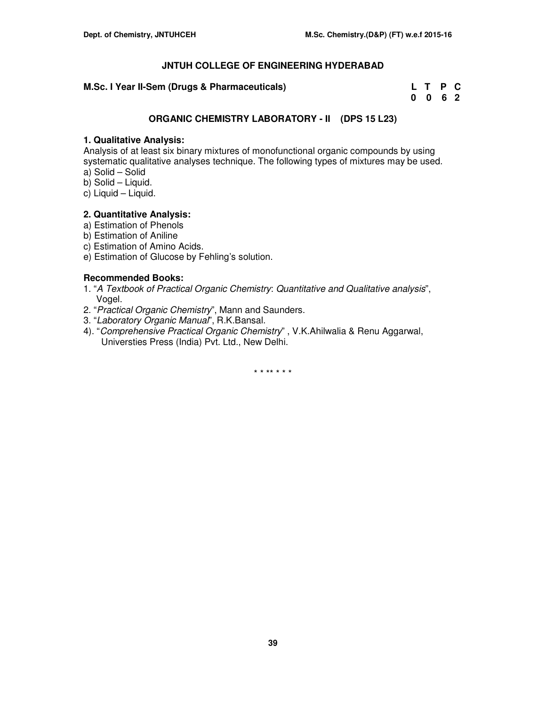# **M.Sc. I Year II-Sem (Drugs & Pharmaceuticals)**

| M.Sc. I Year II-Sem (Drugs & Pharmaceuticals) | L T P C |  |
|-----------------------------------------------|---------|--|
|                                               | 0 0 6 2 |  |

# **ORGANIC CHEMISTRY LABORATORY - II (DPS 15 L23)**

# **1. Qualitative Analysis:**

Analysis of at least six binary mixtures of monofunctional organic compounds by using systematic qualitative analyses technique. The following types of mixtures may be used. a) Solid – Solid

- b) Solid Liquid.
- c) Liquid Liquid.

# **2. Quantitative Analysis:**

- a) Estimation of Phenols
- b) Estimation of Aniline
- c) Estimation of Amino Acids.
- e) Estimation of Glucose by Fehling's solution.

# **Recommended Books:**

- 1. "A Textbook of Practical Organic Chemistry: Quantitative and Qualitative analysis", Vogel.
- 2. "Practical Organic Chemistry", Mann and Saunders.
- 3. "Laboratory Organic Manual", R.K.Bansal.
- 4). "Comprehensive Practical Organic Chemistry" , V.K.Ahilwalia & Renu Aggarwal, Universties Press (India) Pvt. Ltd., New Delhi.

\* \* \*\* \* \* \*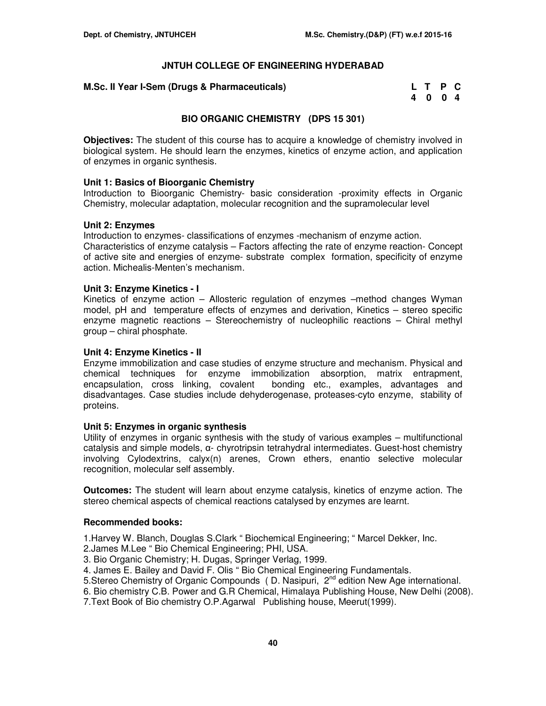## **M.Sc. II Year I-Sem (Drugs & Pharmaceuticals)**

| M.Sc. II Year I-Sem (Drugs & Pharmaceuticals) | L T P C |  |
|-----------------------------------------------|---------|--|
|                                               | 4004    |  |

# **BIO ORGANIC CHEMISTRY (DPS 15 301)**

**Objectives:** The student of this course has to acquire a knowledge of chemistry involved in biological system. He should learn the enzymes, kinetics of enzyme action, and application of enzymes in organic synthesis.

## **Unit 1: Basics of Bioorganic Chemistry**

Introduction to Bioorganic Chemistry- basic consideration -proximity effects in Organic Chemistry, molecular adaptation, molecular recognition and the supramolecular level

### **Unit 2: Enzymes**

Introduction to enzymes- classifications of enzymes -mechanism of enzyme action. Characteristics of enzyme catalysis – Factors affecting the rate of enzyme reaction- Concept of active site and energies of enzyme- substrate complex formation, specificity of enzyme action. Michealis-Menten's mechanism.

### **Unit 3: Enzyme Kinetics - I**

Kinetics of enzyme action – Allosteric regulation of enzymes –method changes Wyman model, pH and temperature effects of enzymes and derivation, Kinetics – stereo specific enzyme magnetic reactions – Stereochemistry of nucleophilic reactions – Chiral methyl group – chiral phosphate.

#### **Unit 4: Enzyme Kinetics - II**

Enzyme immobilization and case studies of enzyme structure and mechanism. Physical and chemical techniques for enzyme immobilization absorption, matrix entrapment, encapsulation, cross linking, covalent bonding etc., examples, advantages and disadvantages. Case studies include dehyderogenase, proteases-cyto enzyme, stability of proteins.

## **Unit 5: Enzymes in organic synthesis**

Utility of enzymes in organic synthesis with the study of various examples – multifunctional catalysis and simple models, α- chyrotripsin tetrahydral intermediates. Guest-host chemistry involving Cylodextrins, calyx(n) arenes, Crown ethers, enantio selective molecular recognition, molecular self assembly.

**Outcomes:** The student will learn about enzyme catalysis, kinetics of enzyme action. The stereo chemical aspects of chemical reactions catalysed by enzymes are learnt.

## **Recommended books:**

1.Harvey W. Blanch, Douglas S.Clark " Biochemical Engineering; " Marcel Dekker, Inc.

- 2.James M.Lee " Bio Chemical Engineering; PHI, USA.
- 3. Bio Organic Chemistry; H. Dugas, Springer Verlag, 1999.
- 4. James E. Bailey and David F. Olis " Bio Chemical Engineering Fundamentals.
- 5. Stereo Chemistry of Organic Compounds (D. Nasipuri, 2<sup>nd</sup> edition New Age international.
- 6. Bio chemistry C.B. Power and G.R Chemical, Himalaya Publishing House, New Delhi (2008).
- 7.Text Book of Bio chemistry O.P.Agarwal Publishing house, Meerut(1999).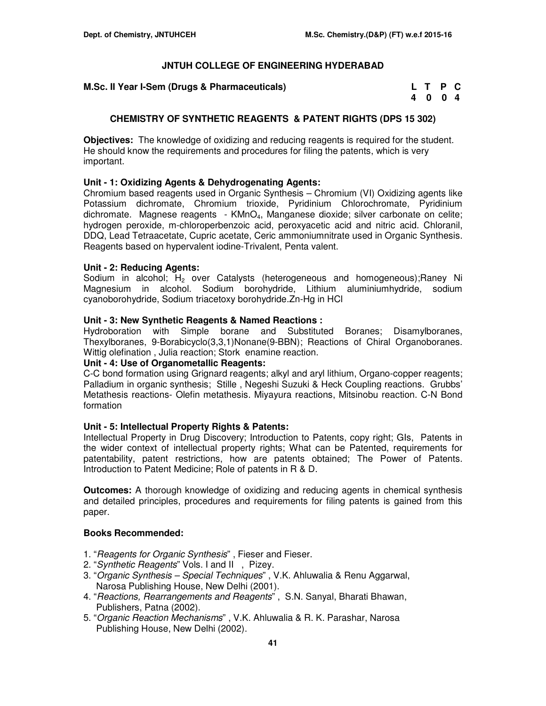| M.Sc. II Year I-Sem (Drugs & Pharmaceuticals) | L T P C |  |
|-----------------------------------------------|---------|--|
|                                               | 4 0 0 4 |  |

# **CHEMISTRY OF SYNTHETIC REAGENTS & PATENT RIGHTS (DPS 15 302)**

**Objectives:** The knowledge of oxidizing and reducing reagents is required for the student. He should know the requirements and procedures for filing the patents, which is very important.

# **Unit - 1: Oxidizing Agents & Dehydrogenating Agents:**

Chromium based reagents used in Organic Synthesis – Chromium (VI) Oxidizing agents like Potassium dichromate, Chromium trioxide, Pyridinium Chlorochromate, Pyridinium dichromate. Magnese reagents - KMnO4, Manganese dioxide; silver carbonate on celite; hydrogen peroxide, m-chloroperbenzoic acid, peroxyacetic acid and nitric acid. Chloranil, DDQ, Lead Tetraacetate, Cupric acetate, Ceric ammoniumnitrate used in Organic Synthesis. Reagents based on hypervalent iodine-Trivalent, Penta valent.

# **Unit - 2: Reducing Agents:**

Sodium in alcohol;  $H_2$  over Catalysts (heterogeneous and homogeneous); Raney Ni Magnesium in alcohol. Sodium borohydride, Lithium aluminiumhydride, sodium cyanoborohydride, Sodium triacetoxy borohydride.Zn-Hg in HCl

# **Unit - 3: New Synthetic Reagents & Named Reactions :**

Hydroboration with Simple borane and Substituted Boranes; Disamylboranes, Thexylboranes, 9-Borabicyclo(3,3,1)Nonane(9-BBN); Reactions of Chiral Organoboranes. Wittig olefination , Julia reaction; Stork enamine reaction.

## **Unit - 4: Use of Organometallic Reagents:**

C-C bond formation using Grignard reagents; alkyl and aryl lithium, Organo-copper reagents; Palladium in organic synthesis; Stille , Negeshi Suzuki & Heck Coupling reactions. Grubbs' Metathesis reactions- Olefin metathesis. Miyayura reactions, Mitsinobu reaction. C-N Bond formation

# **Unit - 5: Intellectual Property Rights & Patents:**

Intellectual Property in Drug Discovery; Introduction to Patents, copy right; GIs, Patents in the wider context of intellectual property rights; What can be Patented, requirements for patentability, patent restrictions, how are patents obtained; The Power of Patents. Introduction to Patent Medicine; Role of patents in R & D.

**Outcomes:** A thorough knowledge of oxidizing and reducing agents in chemical synthesis and detailed principles, procedures and requirements for filing patents is gained from this paper.

## **Books Recommended:**

- 1. "Reagents for Organic Synthesis", Fieser and Fieser.
- 2. "Synthetic Reagents" Vols. I and II , Pizey.
- 3. "Organic Synthesis Special Techniques" , V.K. Ahluwalia & Renu Aggarwal, Narosa Publishing House, New Delhi (2001).
- 4. "Reactions, Rearrangements and Reagents", S.N. Sanyal, Bharati Bhawan, Publishers, Patna (2002).
- 5. "Organic Reaction Mechanisms" , V.K. Ahluwalia & R. K. Parashar, Narosa Publishing House, New Delhi (2002).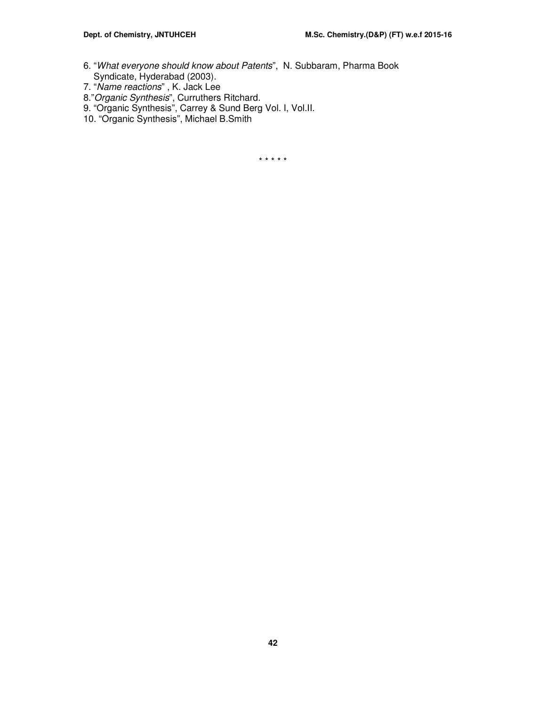- 6. "What everyone should know about Patents", N. Subbaram, Pharma Book Syndicate, Hyderabad (2003).
- 7. "Name reactions" , K. Jack Lee
- 8."Organic Synthesis", Curruthers Ritchard.
- 9. "Organic Synthesis", Carrey & Sund Berg Vol. I, Vol.II.
- 10. "Organic Synthesis", Michael B.Smith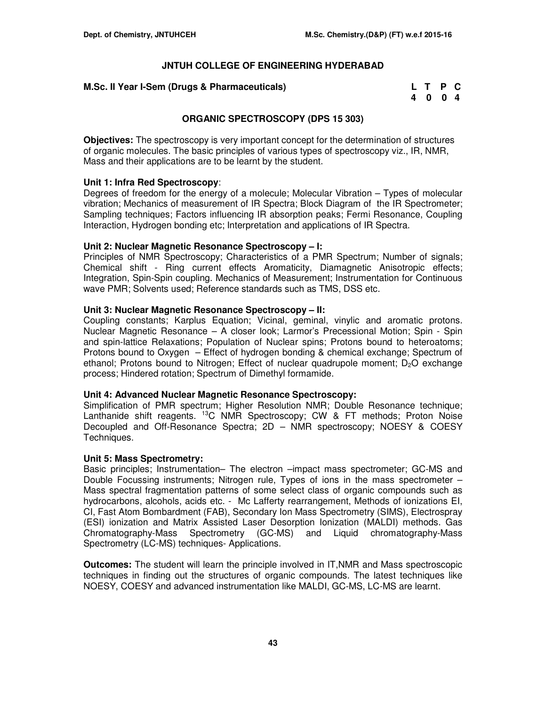# **M.Sc. II Year I-Sem (Drugs & Pharmaceuticals)**

| M.Sc. II Year I-Sem (Drugs & Pharmaceuticals) | L T P C |  |
|-----------------------------------------------|---------|--|
|                                               | 4004    |  |

# **ORGANIC SPECTROSCOPY (DPS 15 303)**

**Objectives:** The spectroscopy is very important concept for the determination of structures of organic molecules. The basic principles of various types of spectroscopy viz., IR, NMR, Mass and their applications are to be learnt by the student.

# **Unit 1: Infra Red Spectroscopy**:

Degrees of freedom for the energy of a molecule; Molecular Vibration – Types of molecular vibration; Mechanics of measurement of IR Spectra; Block Diagram of the IR Spectrometer; Sampling techniques; Factors influencing IR absorption peaks; Fermi Resonance, Coupling Interaction, Hydrogen bonding etc; Interpretation and applications of IR Spectra.

# **Unit 2: Nuclear Magnetic Resonance Spectroscopy – I:**

Principles of NMR Spectroscopy; Characteristics of a PMR Spectrum; Number of signals; Chemical shift - Ring current effects Aromaticity, Diamagnetic Anisotropic effects; Integration, Spin-Spin coupling. Mechanics of Measurement; Instrumentation for Continuous wave PMR; Solvents used; Reference standards such as TMS, DSS etc.

# **Unit 3: Nuclear Magnetic Resonance Spectroscopy – II:**

Coupling constants; Karplus Equation; Vicinal, geminal, vinylic and aromatic protons. Nuclear Magnetic Resonance – A closer look; Larmor's Precessional Motion; Spin - Spin and spin-lattice Relaxations; Population of Nuclear spins; Protons bound to heteroatoms; Protons bound to Oxygen – Effect of hydrogen bonding & chemical exchange; Spectrum of ethanol; Protons bound to Nitrogen; Effect of nuclear quadrupole moment;  $D<sub>2</sub>O$  exchange process; Hindered rotation; Spectrum of Dimethyl formamide.

## **Unit 4: Advanced Nuclear Magnetic Resonance Spectroscopy:**

Simplification of PMR spectrum; Higher Resolution NMR; Double Resonance technique; Lanthanide shift reagents. <sup>13</sup>C NMR Spectroscopy; CW & FT methods; Proton Noise Decoupled and Off-Resonance Spectra; 2D – NMR spectroscopy; NOESY & COESY Techniques.

## **Unit 5: Mass Spectrometry:**

Basic principles; Instrumentation– The electron –impact mass spectrometer; GC-MS and Double Focussing instruments; Nitrogen rule, Types of ions in the mass spectrometer – Mass spectral fragmentation patterns of some select class of organic compounds such as hydrocarbons, alcohols, acids etc. - Mc Lafferty rearrangement, Methods of ionizations EI, CI, Fast Atom Bombardment (FAB), Secondary Ion Mass Spectrometry (SIMS), Electrospray (ESI) ionization and Matrix Assisted Laser Desorption Ionization (MALDI) methods. Gas Chromatography-Mass Spectrometry (GC-MS) and Liquid chromatography-Mass Spectrometry (LC-MS) techniques- Applications.

**Outcomes:** The student will learn the principle involved in IT,NMR and Mass spectroscopic techniques in finding out the structures of organic compounds. The latest techniques like NOESY, COESY and advanced instrumentation like MALDI, GC-MS, LC-MS are learnt.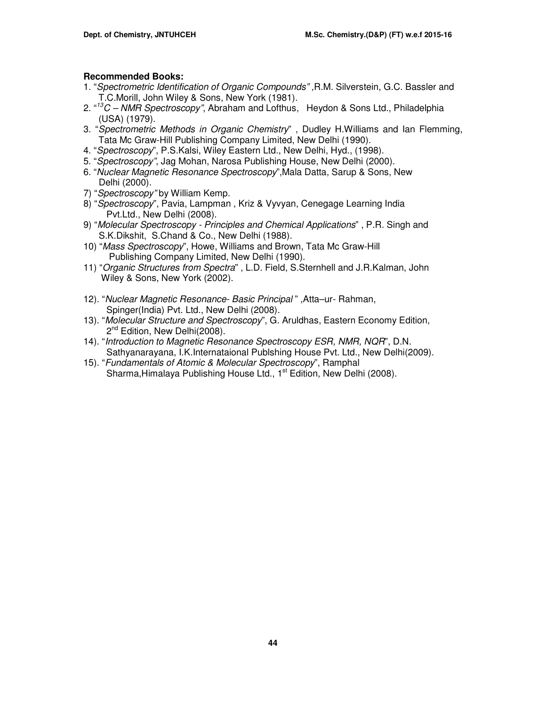# **Recommended Books:**

- 1. "Spectrometric Identification of Organic Compounds" ,R.M. Silverstein, G.C. Bassler and T.C.Morill, John Wiley & Sons, New York (1981).
- 2. "<sup>13</sup>C NMR Spectroscopy", Abraham and Lofthus, Heydon & Sons Ltd., Philadelphia (USA) (1979).
- 3. "Spectrometric Methods in Organic Chemistry" , Dudley H.Williams and Ian Flemming, Tata Mc Graw-Hill Publishing Company Limited, New Delhi (1990).
- 4. "Spectroscopy", P.S.Kalsi, Wiley Eastern Ltd., New Delhi, Hyd., (1998).
- 5. "Spectroscopy", Jag Mohan, Narosa Publishing House, New Delhi (2000).
- 6. "Nuclear Magnetic Resonance Spectroscopy",Mala Datta, Sarup & Sons, New Delhi (2000).
- 7) "Spectroscopy" by William Kemp.
- 8) "Spectroscopy", Pavia, Lampman, Kriz & Vyvyan, Cenegage Learning India Pvt.Ltd., New Delhi (2008).
- 9) "Molecular Spectroscopy Principles and Chemical Applications" , P.R. Singh and S.K.Dikshit, S.Chand & Co., New Delhi (1988).
- 10) "Mass Spectroscopy", Howe, Williams and Brown, Tata Mc Graw-Hill Publishing Company Limited, New Delhi (1990).
- 11) "Organic Structures from Spectra" , L.D. Field, S.Sternhell and J.R.Kalman, John Wiley & Sons, New York (2002).
- 12). "Nuclear Magnetic Resonance- Basic Principal " ,Atta–ur- Rahman, Spinger(India) Pvt. Ltd., New Delhi (2008).
- 13). "Molecular Structure and Spectroscopy", G. Aruldhas, Eastern Economy Edition, 2<sup>nd</sup> Edition, New Delhi(2008).
- 14). "Introduction to Magnetic Resonance Spectroscopy ESR, NMR, NQR", D.N. Sathyanarayana, I.K.Internataional Publshing House Pvt. Ltd., New Delhi(2009).
- 15). "Fundamentals of Atomic & Molecular Spectroscopy", Ramphal Sharma, Himalaya Publishing House Ltd., 1<sup>st</sup> Edition, New Delhi (2008).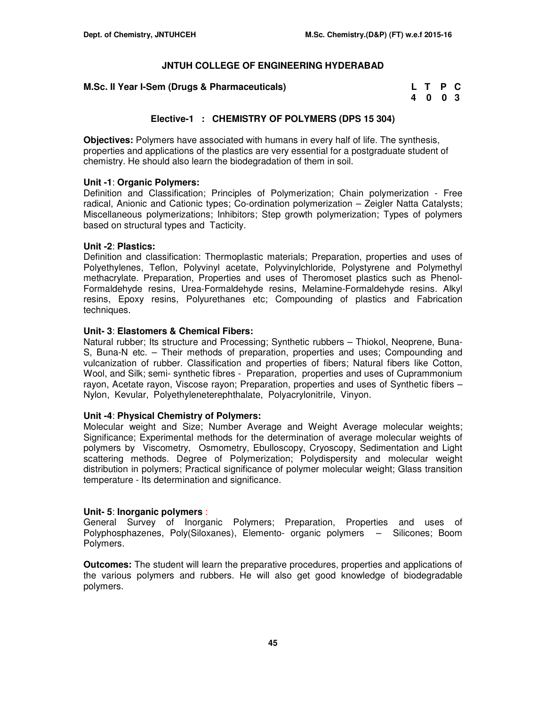| M.Sc. II Year I-Sem (Drugs & Pharmaceuticals) | L T P C |  |
|-----------------------------------------------|---------|--|
|                                               | 4 0 0 3 |  |

# **Elective-1 : CHEMISTRY OF POLYMERS (DPS 15 304)**

**Objectives:** Polymers have associated with humans in every half of life. The synthesis, properties and applications of the plastics are very essential for a postgraduate student of chemistry. He should also learn the biodegradation of them in soil.

## **Unit -1**: **Organic Polymers:**

Definition and Classification; Principles of Polymerization; Chain polymerization - Free radical, Anionic and Cationic types; Co-ordination polymerization – Zeigler Natta Catalysts; Miscellaneous polymerizations; Inhibitors; Step growth polymerization; Types of polymers based on structural types and Tacticity.

## **Unit -2**: **Plastics:**

Definition and classification: Thermoplastic materials; Preparation, properties and uses of Polyethylenes, Teflon, Polyvinyl acetate, Polyvinylchloride, Polystyrene and Polymethyl methacrylate. Preparation, Properties and uses of Theromoset plastics such as Phenol-Formaldehyde resins, Urea-Formaldehyde resins, Melamine-Formaldehyde resins. Alkyl resins, Epoxy resins, Polyurethanes etc; Compounding of plastics and Fabrication techniques.

# **Unit- 3**: **Elastomers & Chemical Fibers:**

Natural rubber; Its structure and Processing; Synthetic rubbers – Thiokol, Neoprene, Buna-S, Buna-N etc. – Their methods of preparation, properties and uses; Compounding and vulcanization of rubber. Classification and properties of fibers; Natural fibers like Cotton, Wool, and Silk; semi- synthetic fibres - Preparation, properties and uses of Cuprammonium rayon, Acetate rayon, Viscose rayon; Preparation, properties and uses of Synthetic fibers – Nylon, Kevular, Polyethyleneterephthalate, Polyacrylonitrile, Vinyon.

## **Unit -4**: **Physical Chemistry of Polymers:**

Molecular weight and Size; Number Average and Weight Average molecular weights; Significance; Experimental methods for the determination of average molecular weights of polymers by Viscometry, Osmometry, Ebulloscopy, Cryoscopy, Sedimentation and Light scattering methods. Degree of Polymerization; Polydispersity and molecular weight distribution in polymers; Practical significance of polymer molecular weight; Glass transition temperature - Its determination and significance.

## **Unit- 5**: **Inorganic polymers** :

General Survey of Inorganic Polymers; Preparation, Properties and uses of Polyphosphazenes, Poly(Siloxanes), Elemento- organic polymers – Silicones; Boom Polymers.

**Outcomes:** The student will learn the preparative procedures, properties and applications of the various polymers and rubbers. He will also get good knowledge of biodegradable polymers.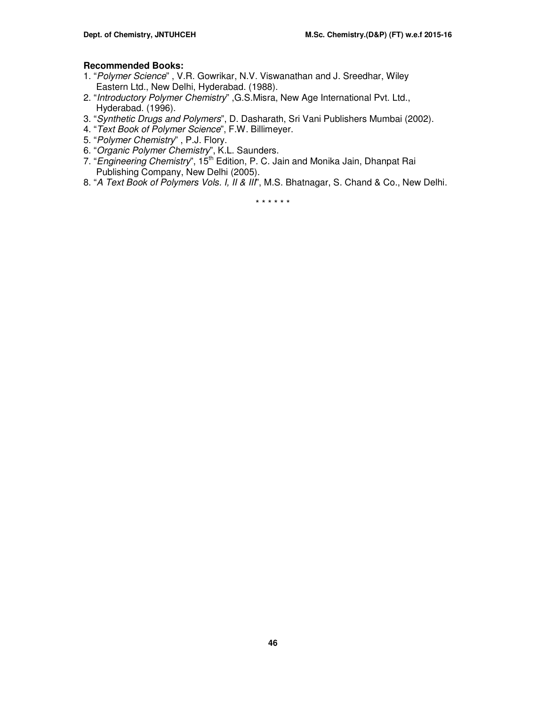# **Recommended Books:**

- 1. "Polymer Science" , V.R. Gowrikar, N.V. Viswanathan and J. Sreedhar, Wiley Eastern Ltd., New Delhi, Hyderabad. (1988).
- 2. "Introductory Polymer Chemistry" ,G.S.Misra, New Age International Pvt. Ltd., Hyderabad. (1996).
- 3. "Synthetic Drugs and Polymers", D. Dasharath, Sri Vani Publishers Mumbai (2002).
- 4. "Text Book of Polymer Science", F.W. Billimeyer.
- 5. "Polymer Chemistry" , P.J. Flory.
- 6. "Organic Polymer Chemistry", K.L. Saunders.
- 7. "Engineering Chemistry", 15<sup>th</sup> Edition, P. C. Jain and Monika Jain, Dhanpat Rai Publishing Company, New Delhi (2005).
- 8. "A Text Book of Polymers Vols. I, II & III", M.S. Bhatnagar, S. Chand & Co., New Delhi.

\* \* \* \* \* \*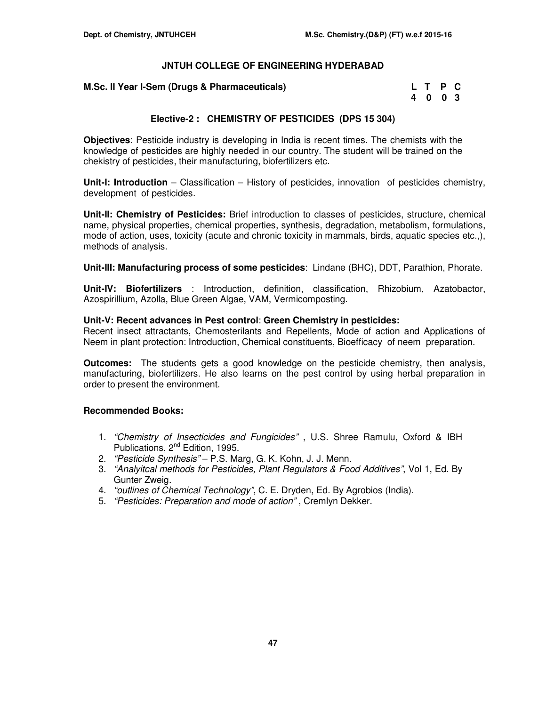## **M.Sc. II Year I-Sem (Drugs & Pharmaceuticals)**

| M.Sc. II Year I-Sem (Drugs & Pharmaceuticals) | L T P C |  |
|-----------------------------------------------|---------|--|
|                                               | 4 0 0 3 |  |

# **Elective-2 : CHEMISTRY OF PESTICIDES (DPS 15 304)**

**Objectives**: Pesticide industry is developing in India is recent times. The chemists with the knowledge of pesticides are highly needed in our country. The student will be trained on the chekistry of pesticides, their manufacturing, biofertilizers etc.

**Unit-I: Introduction** – Classification – History of pesticides, innovation of pesticides chemistry, development of pesticides.

**Unit-II: Chemistry of Pesticides:** Brief introduction to classes of pesticides, structure, chemical name, physical properties, chemical properties, synthesis, degradation, metabolism, formulations, mode of action, uses, toxicity (acute and chronic toxicity in mammals, birds, aquatic species etc.,), methods of analysis.

**Unit-III: Manufacturing process of some pesticides**: Lindane (BHC), DDT, Parathion, Phorate.

**Unit-IV: Biofertilizers** : Introduction, definition, classification, Rhizobium, Azatobactor, Azospirillium, Azolla, Blue Green Algae, VAM, Vermicomposting.

## **Unit-V: Recent advances in Pest control**: **Green Chemistry in pesticides:**

Recent insect attractants, Chemosterilants and Repellents, Mode of action and Applications of Neem in plant protection: Introduction, Chemical constituents, Bioefficacy of neem preparation.

**Outcomes:** The students gets a good knowledge on the pesticide chemistry, then analysis, manufacturing, biofertilizers. He also learns on the pest control by using herbal preparation in order to present the environment.

## **Recommended Books:**

- 1. "Chemistry of Insecticides and Fungicides" , U.S. Shree Ramulu, Oxford & IBH Publications, 2<sup>nd</sup> Edition, 1995.
- 2. "Pesticide Synthesis" P.S. Marg, G. K. Kohn, J. J. Menn.
- 3. "Analyitcal methods for Pesticides, Plant Regulators & Food Additives", Vol 1, Ed. By Gunter Zweig.
- 4. "outlines of Chemical Technology", C. E. Dryden, Ed. By Agrobios (India).
- 5. "Pesticides: Preparation and mode of action" , Cremlyn Dekker.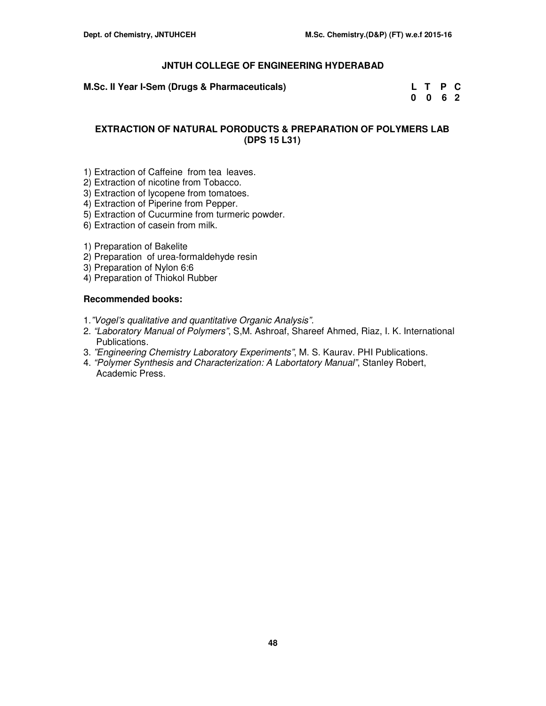| M.Sc. II Year I-Sem (Drugs & Pharmaceuticals) | L T P C                     |  |
|-----------------------------------------------|-----------------------------|--|
|                                               | $0 \quad 0 \quad 6 \quad 2$ |  |

# **EXTRACTION OF NATURAL PORODUCTS & PREPARATION OF POLYMERS LAB (DPS 15 L31)**

- 1) Extraction of Caffeine from tea leaves.
- 2) Extraction of nicotine from Tobacco.
- 3) Extraction of lycopene from tomatoes.
- 4) Extraction of Piperine from Pepper.
- 5) Extraction of Cucurmine from turmeric powder.
- 6) Extraction of casein from milk.
- 1) Preparation of Bakelite
- 2) Preparationof urea-formaldehyde resin
- 3) Preparation of Nylon 6:6
- 4) Preparation of Thiokol Rubber

# **Recommended books:**

- 1."Vogel's qualitative and quantitative Organic Analysis".
- 2. "Laboratory Manual of Polymers", S,M. Ashroaf, Shareef Ahmed, Riaz, I. K. International Publications.
- 3. "Engineering Chemistry Laboratory Experiments", M. S. Kaurav. PHI Publications.
- 4. "Polymer Synthesis and Characterization: A Labortatory Manual", Stanley Robert, Academic Press.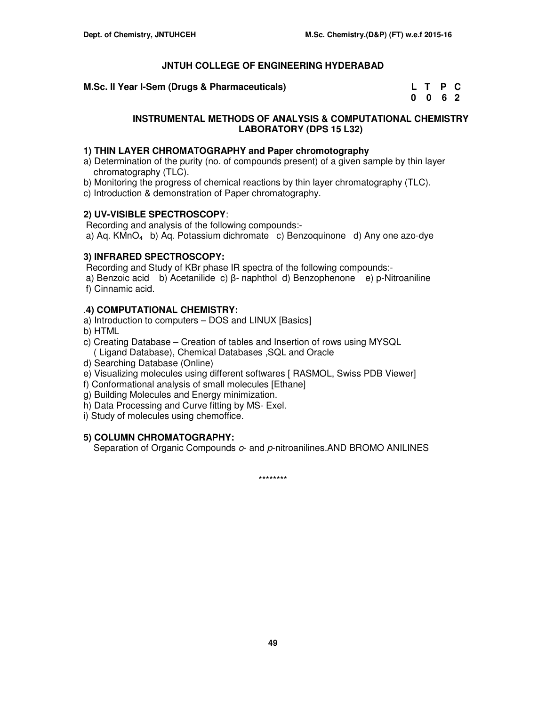**M.Sc. II Year I-Sem (Drugs & Pharmaceuticals)** 

| M.Sc. II Year I-Sem (Drugs & Pharmaceuticals) | L T P C |  |
|-----------------------------------------------|---------|--|
|                                               | 0062    |  |

# **INSTRUMENTAL METHODS OF ANALYSIS & COMPUTATIONAL CHEMISTRY LABORATORY (DPS 15 L32)**

# **1) THIN LAYER CHROMATOGRAPHY and Paper chromotography**

- a) Determination of the purity (no. of compounds present) of a given sample by thin layer chromatography (TLC).
- b) Monitoring the progress of chemical reactions by thin layer chromatography (TLC).
- c) Introduction & demonstration of Paper chromatography.

# **2) UV-VISIBLE SPECTROSCOPY**:

Recording and analysis of the following compounds:-

a) Aq. KMnO4 b) Aq. Potassium dichromate c) Benzoquinone d) Any one azo-dye

# **3) INFRARED SPECTROSCOPY:**

Recording and Study of KBr phase IR spectra of the following compounds:-

 a) Benzoic acid b) Acetanilide c) β- naphthol d) Benzophenone e) p-Nitroaniline f) Cinnamic acid.

# .**4) COMPUTATIONAL CHEMISTRY:**

- a) Introduction to computers DOS and LINUX [Basics]
- b) HTML
- c) Creating Database Creation of tables and Insertion of rows using MYSQL
- ( Ligand Database), Chemical Databases ,SQL and Oracle
- d) Searching Database (Online)
- e) Visualizing molecules using different softwares [ RASMOL, Swiss PDB Viewer]
- f) Conformational analysis of small molecules [Ethane]
- g) Building Molecules and Energy minimization.
- h) Data Processing and Curve fitting by MS- Exel.
- i) Study of molecules using chemoffice.

# **5) COLUMN CHROMATOGRAPHY:**

Separation of Organic Compounds  $o$ - and p-nitroanilines. AND BROMO ANILINES

\*\*\*\*\*\*\*\*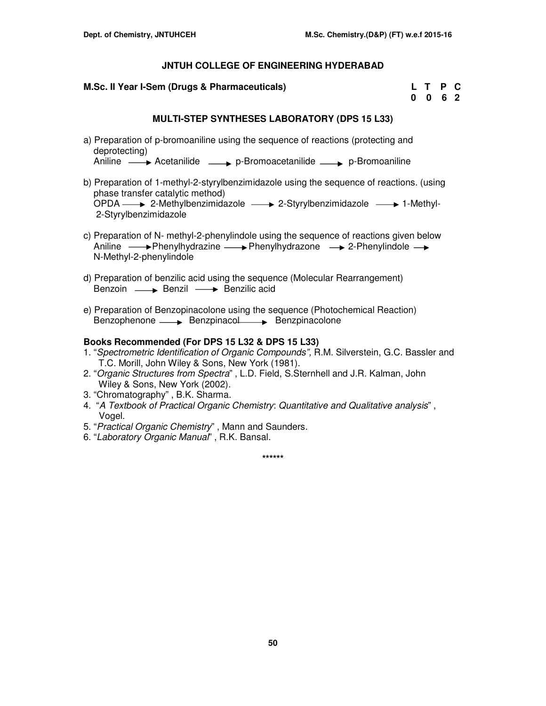### **M.Sc. II Year I-Sem (Drugs & Pharmaceuticals)**

| M.Sc. II Year I-Sem (Drugs & Pharmaceuticals) | L T P C |  |
|-----------------------------------------------|---------|--|
|                                               | 0 0 6 2 |  |

# **MULTI-STEP SYNTHESES LABORATORY (DPS 15 L33)**

a) Preparation of p-bromoaniline using the sequence of reactions (protecting and deprotecting)

Aniline  $\longrightarrow$  Acetanilide  $\longrightarrow$  p-Bromoacetanilide  $\longrightarrow$  p-Bromoaniline

- b) Preparation of 1-methyl-2-styrylbenzimidazole using the sequence of reactions. (using phase transfer catalytic method)  $OPDA \longrightarrow 2-Methylbenzimidazole \longrightarrow 2-Styrylbenzimidazole \longrightarrow 1-Methyl-$ 2-Styrylbenzimidazole
- c) Preparation of N- methyl-2-phenylindole using the sequence of reactions given below Aniline  $\longrightarrow$  Phenylhydrazine  $\longrightarrow$  Phenylhydrazone  $\longrightarrow$  2-Phenylindole  $\longrightarrow$ N-Methyl-2-phenylindole
- d) Preparation of benzilic acid using the sequence (Molecular Rearrangement) Benzoin  $\longrightarrow$  Benzil  $\longrightarrow$  Benzilic acid
- e) Preparation of Benzopinacolone using the sequence (Photochemical Reaction) Benzophenone - Benzpinacol Benzpinacolone

### **Books Recommended (For DPS 15 L32 & DPS 15 L33)**

- 1. "Spectrometric Identification of Organic Compounds", R.M. Silverstein, G.C. Bassler and T.C. Morill, John Wiley & Sons, New York (1981).
- 2. "Organic Structures from Spectra" , L.D. Field, S.Sternhell and J.R. Kalman, John Wiley & Sons, New York (2002).
- 3. "Chromatography" , B.K. Sharma.
- 4. "A Textbook of Practical Organic Chemistry: Quantitative and Qualitative analysis", Vogel.
- 5. "Practical Organic Chemistry" , Mann and Saunders.
- 6. "Laboratory Organic Manual" , R.K. Bansal.

**\*\*\*\*\*\***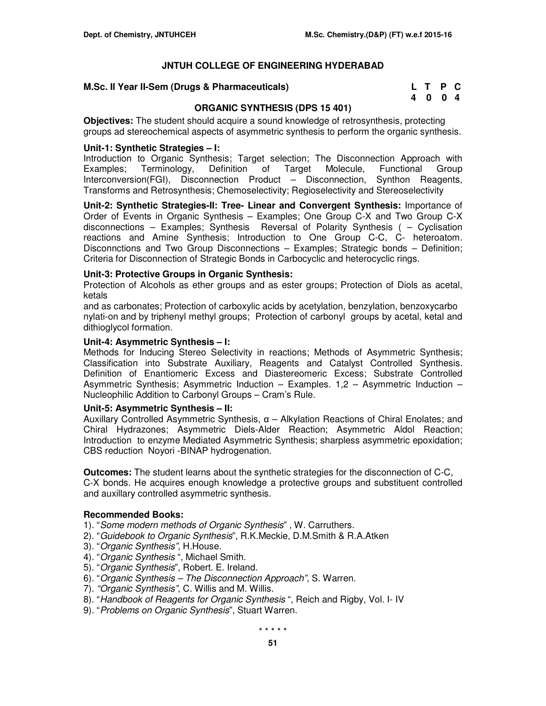## **M.Sc. II Year II-Sem (Drugs & Pharmaceuticals)**

| M.Sc. II Year II-Sem (Drugs & Pharmaceuticals) | L T P C |  |
|------------------------------------------------|---------|--|
|                                                | 4004    |  |

# **ORGANIC SYNTHESIS (DPS 15 401)**

**Objectives:** The student should acquire a sound knowledge of retrosynthesis, protecting groups ad stereochemical aspects of asymmetric synthesis to perform the organic synthesis.

# **Unit-1: Synthetic Strategies – I:**

Introduction to Organic Synthesis; Target selection; The Disconnection Approach with Examples; Terminology, Definition of Target Molecule, Functional Group Interconversion(FGI), Disconnection Product – Disconnection, Synthon Reagents, Transforms and Retrosynthesis; Chemoselectivity; Regioselectivity and Stereoselectivity

**Unit-2: Synthetic Strategies-II: Tree- Linear and Convergent Synthesis:** Importance of Order of Events in Organic Synthesis – Examples; One Group C-X and Two Group C-X disconnections – Examples; Synthesis Reversal of Polarity Synthesis ( – Cyclisation reactions and Amine Synthesis; Introduction to One Group C-C, C- heteroatom. Disconnctions and Two Group Disconnections – Examples; Strategic bonds – Definition; Criteria for Disconnection of Strategic Bonds in Carbocyclic and heterocyclic rings.

# **Unit-3: Protective Groups in Organic Synthesis:**

Protection of Alcohols as ether groups and as ester groups; Protection of Diols as acetal, ketals

and as carbonates; Protection of carboxylic acids by acetylation, benzylation, benzoxycarbo nylati-on and by triphenyl methyl groups; Protection of carbonyl groups by acetal, ketal and dithioglycol formation.

## **Unit-4: Asymmetric Synthesis – I:**

Methods for Inducing Stereo Selectivity in reactions; Methods of Asymmetric Synthesis; Classification into Substrate Auxiliary, Reagents and Catalyst Controlled Synthesis. Definition of Enantiomeric Excess and Diastereomeric Excess; Substrate Controlled Asymmetric Synthesis; Asymmetric Induction – Examples. 1,2 – Asymmetric Induction – Nucleophilic Addition to Carbonyl Groups – Cram's Rule.

## **Unit-5: Asymmetric Synthesis – II:**

Auxillary Controlled Asymmetric Synthesis, α – Alkylation Reactions of Chiral Enolates; and Chiral Hydrazones; Asymmetric Diels-Alder Reaction; Asymmetric Aldol Reaction; Introduction to enzyme Mediated Asymmetric Synthesis; sharpless asymmetric epoxidation; CBS reduction Noyori -BINAP hydrogenation.

**Outcomes:** The student learns about the synthetic strategies for the disconnection of C-C, C-X bonds. He acquires enough knowledge a protective groups and substituent controlled and auxillary controlled asymmetric synthesis.

## **Recommended Books:**

1). "Some modern methods of Organic Synthesis" , W. Carruthers.

- 2). "Guidebook to Organic Synthesis", R.K.Meckie, D.M.Smith & R.A.Atken
- 3). "Organic Synthesis", H.House.
- 4). "Organic Synthesis ", Michael Smith.
- 5). "Organic Synthesis", Robert. E. Ireland.
- 6). "Organic Synthesis The Disconnection Approach", S. Warren.
- 7). "Organic Synthesis", C. Willis and M. Willis.
- 8). "Handbook of Reagents for Organic Synthesis ", Reich and Rigby, Vol. I- IV
- 9). "Problems on Organic Synthesis", Stuart Warren.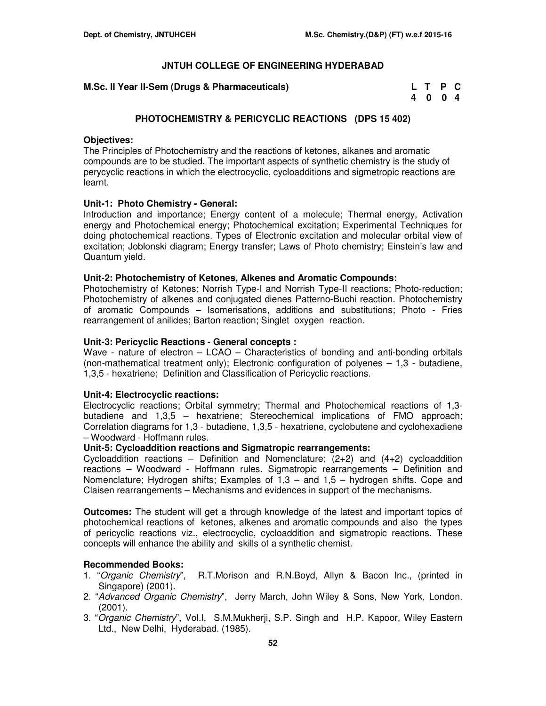# **M.Sc. II Year II-Sem (Drugs & Pharmaceuticals)**

| M.Sc. II Year II-Sem (Drugs & Pharmaceuticals) | L T P C |  |
|------------------------------------------------|---------|--|
|                                                | 4004    |  |

# **PHOTOCHEMISTRY & PERICYCLIC REACTIONS (DPS 15 402)**

# **Objectives:**

The Principles of Photochemistry and the reactions of ketones, alkanes and aromatic compounds are to be studied. The important aspects of synthetic chemistry is the study of perycyclic reactions in which the electrocyclic, cycloadditions and sigmetropic reactions are learnt.

# **Unit-1: Photo Chemistry - General:**

Introduction and importance; Energy content of a molecule; Thermal energy, Activation energy and Photochemical energy; Photochemical excitation; Experimental Techniques for doing photochemical reactions. Types of Electronic excitation and molecular orbital view of excitation; Joblonski diagram; Energy transfer; Laws of Photo chemistry; Einstein's law and Quantum yield.

# **Unit-2: Photochemistry of Ketones, Alkenes and Aromatic Compounds:**

Photochemistry of Ketones; Norrish Type-I and Norrish Type-II reactions; Photo-reduction; Photochemistry of alkenes and conjugated dienes Patterno-Buchi reaction. Photochemistry of aromatic Compounds – Isomerisations, additions and substitutions; Photo - Fries rearrangement of anilides; Barton reaction; Singlet oxygen reaction.

# **Unit-3: Pericyclic Reactions - General concepts :**

Wave - nature of electron  $-$  LCAO  $-$  Characteristics of bonding and anti-bonding orbitals (non-mathematical treatment only); Electronic configuration of polyenes – 1,3 - butadiene, 1,3,5 - hexatriene; Definition and Classification of Pericyclic reactions.

# **Unit-4: Electrocyclic reactions:**

Electrocyclic reactions; Orbital symmetry; Thermal and Photochemical reactions of 1,3 butadiene and 1,3,5 – hexatriene; Stereochemical implications of FMO approach; Correlation diagrams for 1,3 - butadiene, 1,3,5 - hexatriene, cyclobutene and cyclohexadiene – Woodward - Hoffmann rules.

## **Unit-5: Cycloaddition reactions and Sigmatropic rearrangements:**

Cycloaddition reactions – Definition and Nomenclature;  $(2+2)$  and  $(4+2)$  cycloaddition reactions – Woodward - Hoffmann rules. Sigmatropic rearrangements – Definition and Nomenclature; Hydrogen shifts; Examples of 1,3 – and 1,5 – hydrogen shifts. Cope and Claisen rearrangements – Mechanisms and evidences in support of the mechanisms.

**Outcomes:** The student will get a through knowledge of the latest and important topics of photochemical reactions of ketones, alkenes and aromatic compounds and also the types of pericyclic reactions viz., electrocyclic, cycloaddition and sigmatropic reactions. These concepts will enhance the ability and skills of a synthetic chemist.

## **Recommended Books:**

- 1. "Organic Chemistry", R.T.Morison and R.N.Boyd, Allyn & Bacon Inc., (printed in Singapore) (2001).
- 2. "Advanced Organic Chemistry", Jerry March, John Wiley & Sons, New York, London. (2001).
- 3. "Organic Chemistry", Vol.I, S.M.Mukherji, S.P. Singh and H.P. Kapoor, Wiley Eastern Ltd., New Delhi, Hyderabad. (1985).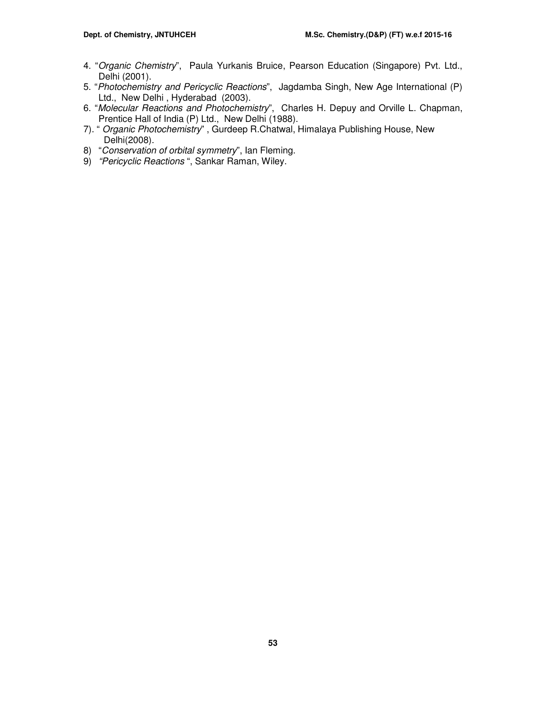- 4. "Organic Chemistry", Paula Yurkanis Bruice, Pearson Education (Singapore) Pvt. Ltd., Delhi (2001).
- 5. "Photochemistry and Pericyclic Reactions", Jagdamba Singh, New Age International (P) Ltd., New Delhi , Hyderabad (2003).
- 6. "Molecular Reactions and Photochemistry", Charles H. Depuy and Orville L. Chapman, Prentice Hall of India (P) Ltd., New Delhi (1988).
- 7). " Organic Photochemistry" , Gurdeep R.Chatwal, Himalaya Publishing House, New Delhi(2008).
- 8) "Conservation of orbital symmetry", Ian Fleming.
- 9) "Pericyclic Reactions", Sankar Raman, Wiley.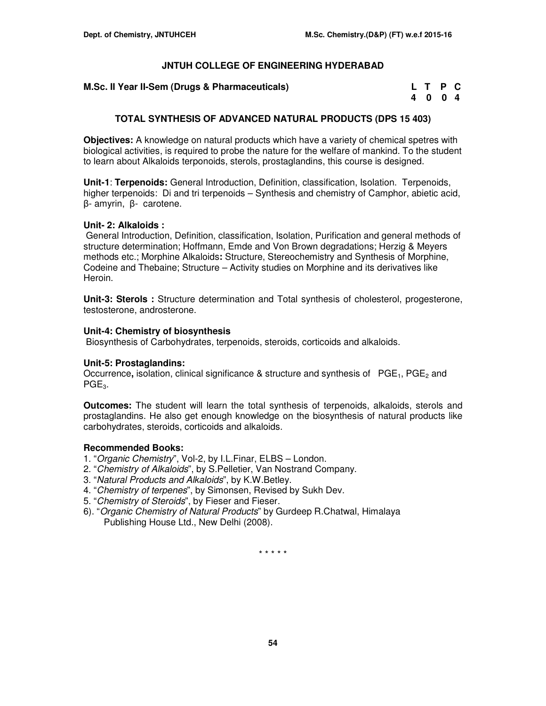| M.Sc. II Year II-Sem (Drugs & Pharmaceuticals) | L T P C |
|------------------------------------------------|---------|
|------------------------------------------------|---------|

| M.Sc. II Year II-Sem (Drugs & Pharmaceuticals) | L T P C |  |
|------------------------------------------------|---------|--|
|                                                | 4004    |  |

# **TOTAL SYNTHESIS OF ADVANCED NATURAL PRODUCTS (DPS 15 403)**

**Objectives:** A knowledge on natural products which have a variety of chemical spetres with biological activities, is required to probe the nature for the welfare of mankind. To the student to learn about Alkaloids terponoids, sterols, prostaglandins, this course is designed.

**Unit-1**: **Terpenoids:** General Introduction, Definition, classification, Isolation. Terpenoids, higher terpenoids: Di and tri terpenoids – Synthesis and chemistry of Camphor, abietic acid, β- amyrin, β- carotene.

## **Unit- 2: Alkaloids :**

General Introduction, Definition, classification, Isolation, Purification and general methods of structure determination; Hoffmann, Emde and Von Brown degradations; Herzig & Meyers methods etc.; Morphine Alkaloids**:** Structure, Stereochemistry and Synthesis of Morphine, Codeine and Thebaine; Structure – Activity studies on Morphine and its derivatives like Heroin.

**Unit-3: Sterols :** Structure determination and Total synthesis of cholesterol, progesterone, testosterone, androsterone.

# **Unit-4: Chemistry of biosynthesis**

Biosynthesis of Carbohydrates, terpenoids, steroids, corticoids and alkaloids.

## **Unit-5: Prostaglandins:**

Occurrence, isolation, clinical significance & structure and synthesis of PGE<sub>1</sub>, PGE<sub>2</sub> and  $PGE<sub>3</sub>$ .

**Outcomes:** The student will learn the total synthesis of terpenoids, alkaloids, sterols and prostaglandins. He also get enough knowledge on the biosynthesis of natural products like carbohydrates, steroids, corticoids and alkaloids.

# **Recommended Books:**

- 1. "Organic Chemistry", Vol-2, by I.L.Finar, ELBS London.
- 2. "Chemistry of Alkaloids", by S.Pelletier, Van Nostrand Company.
- 3. "Natural Products and Alkaloids", by K.W.Betley.
- 4. "Chemistry of terpenes", by Simonsen, Revised by Sukh Dev.
- 5. "Chemistry of Steroids", by Fieser and Fieser.
- 6). "Organic Chemistry of Natural Products" by Gurdeep R.Chatwal, Himalaya Publishing House Ltd., New Delhi (2008).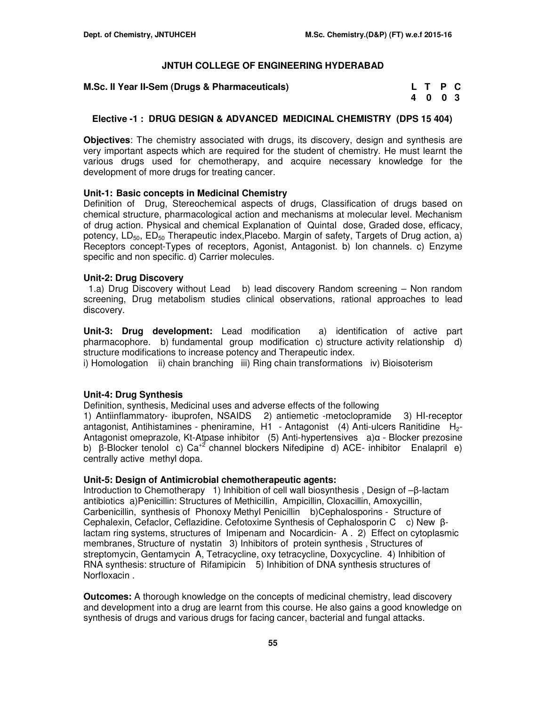**M.Sc. II Year II-Sem (Drugs & Pharmaceuticals)** 

| M.Sc. II Year II-Sem (Drugs & Pharmaceuticals) |         | L T P C |  |
|------------------------------------------------|---------|---------|--|
|                                                | 4 0 0 3 |         |  |

## **Elective -1 : DRUG DESIGN & ADVANCED MEDICINAL CHEMISTRY (DPS 15 404)**

**Objectives**: The chemistry associated with drugs, its discovery, design and synthesis are very important aspects which are required for the student of chemistry. He must learnt the various drugs used for chemotherapy, and acquire necessary knowledge for the development of more drugs for treating cancer.

### **Unit-1: Basic concepts in Medicinal Chemistry**

Definition of Drug, Stereochemical aspects of drugs, Classification of drugs based on chemical structure, pharmacological action and mechanisms at molecular level. Mechanism of drug action. Physical and chemical Explanation of Quintal dose, Graded dose, efficacy, potency,  $LD_{50}$ ,  $ED_{50}$  Therapeutic index, Placebo. Margin of safety, Targets of Drug action, a) Receptors concept-Types of receptors, Agonist, Antagonist. b) Ion channels. c) Enzyme specific and non specific. d) Carrier molecules.

### **Unit-2: Drug Discovery**

 1.a) Drug Discovery without Lead b) lead discovery Random screening – Non random screening, Drug metabolism studies clinical observations, rational approaches to lead discovery.

**Unit-3: Drug development:** Lead modification a) identification of active part pharmacophore. b) fundamental group modification c) structure activity relationship d) structure modifications to increase potency and Therapeutic index.

i) Homologation ii) chain branching iii) Ring chain transformations iv) Bioisoterism

#### **Unit-4: Drug Synthesis**

Definition, synthesis, Medicinal uses and adverse effects of the following

1) Antiinflammatory- ibuprofen, NSAIDS 2) antiemetic -metoclopramide 3) HI-receptor antagonist, Antihistamines - pheniramine, H1 - Antagonist (4) Anti-ulcers Ranitidine H<sub>2</sub>-Antagonist omeprazole, Kt-Atpase inhibitor (5) Anti-hypertensives a)α - Blocker prezosine b) β-Blocker tenolol c) Ca<sup>+2</sup> channel blockers Nifedipine d) ACE- inhibitor Enalapril e) centrally active methyl dopa.

#### **Unit-5: Design of Antimicrobial chemotherapeutic agents:**

Introduction to Chemotherapy 1) Inhibition of cell wall biosynthesis , Design of –β-lactam antibiotics a)Penicillin: Structures of Methicillin, Ampicillin, Cloxacillin, Amoxycillin, Carbenicillin, synthesis of Phonoxy Methyl Penicillin b)Cephalosporins - Structure of Cephalexin, Cefaclor, Ceflazidine. Cefotoxime Synthesis of Cephalosporin C c) New βlactam ring systems, structures of Imipenam and Nocardicin- A . 2) Effect on cytoplasmic membranes, Structure of nystatin 3) Inhibitors of protein synthesis , Structures of streptomycin, Gentamycin A, Tetracycline, oxy tetracycline, Doxycycline. 4) Inhibition of RNA synthesis: structure of Rifamipicin 5) Inhibition of DNA synthesis structures of Norfloxacin .

**Outcomes:** A thorough knowledge on the concepts of medicinal chemistry, lead discovery and development into a drug are learnt from this course. He also gains a good knowledge on synthesis of drugs and various drugs for facing cancer, bacterial and fungal attacks.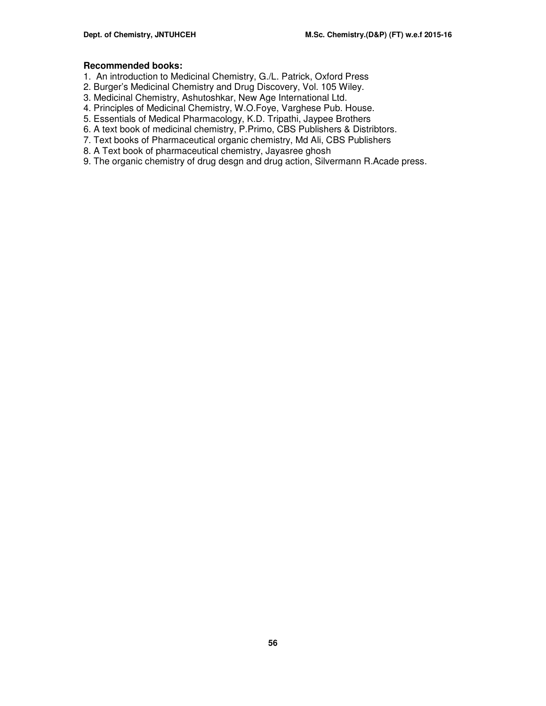#### **Recommended books:**

- 1. An introduction to Medicinal Chemistry, G./L. Patrick, Oxford Press
- 2. Burger's Medicinal Chemistry and Drug Discovery, Vol. 105 Wiley.
- 3. Medicinal Chemistry, Ashutoshkar, New Age International Ltd.
- 4. Principles of Medicinal Chemistry, W.O.Foye, Varghese Pub. House.
- 5. Essentials of Medical Pharmacology, K.D. Tripathi, Jaypee Brothers
- 6. A text book of medicinal chemistry, P.Primo, CBS Publishers & Distribtors.
- 7. Text books of Pharmaceutical organic chemistry, Md Ali, CBS Publishers
- 8. A Text book of pharmaceutical chemistry, Jayasree ghosh
- 9. The organic chemistry of drug desgn and drug action, Silvermann R.Acade press.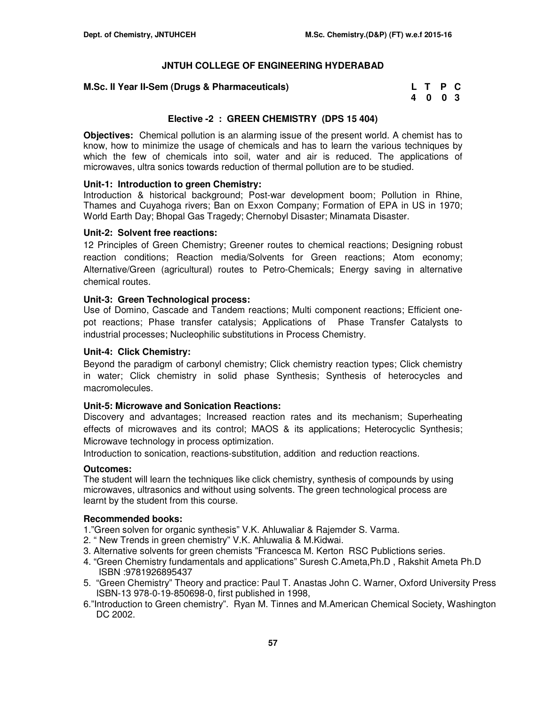## **M.Sc. II Year II-Sem (Drugs & Pharmaceuticals)**

| M.Sc. II Year II-Sem (Drugs & Pharmaceuticals) | L T P C |  |  |
|------------------------------------------------|---------|--|--|
|                                                | 4 0 0 3 |  |  |

# **Elective -2 : GREEN CHEMISTRY (DPS 15 404)**

**Objectives:** Chemical pollution is an alarming issue of the present world. A chemist has to know, how to minimize the usage of chemicals and has to learn the various techniques by which the few of chemicals into soil, water and air is reduced. The applications of microwaves, ultra sonics towards reduction of thermal pollution are to be studied.

## **Unit-1: Introduction to green Chemistry:**

Introduction & historical background; Post-war development boom; Pollution in Rhine, Thames and Cuyahoga rivers; Ban on Exxon Company; Formation of EPA in US in 1970; World Earth Day; Bhopal Gas Tragedy; Chernobyl Disaster; Minamata Disaster.

### **Unit-2: Solvent free reactions:**

12 Principles of Green Chemistry; Greener routes to chemical reactions; Designing robust reaction conditions; Reaction media/Solvents for Green reactions; Atom economy; Alternative/Green (agricultural) routes to Petro-Chemicals; Energy saving in alternative chemical routes.

## **Unit-3: Green Technological process:**

Use of Domino, Cascade and Tandem reactions; Multi component reactions; Efficient onepot reactions; Phase transfer catalysis; Applications of Phase Transfer Catalysts to industrial processes; Nucleophilic substitutions in Process Chemistry.

### **Unit-4: Click Chemistry:**

Beyond the paradigm of carbonyl chemistry; Click chemistry reaction types; Click chemistry in water; Click chemistry in solid phase Synthesis; Synthesis of heterocycles and macromolecules.

## **Unit-5: Microwave and Sonication Reactions:**

Discovery and advantages; Increased reaction rates and its mechanism; Superheating effects of microwaves and its control; MAOS & its applications; Heterocyclic Synthesis; Microwave technology in process optimization.

Introduction to sonication, reactions-substitution, addition and reduction reactions.

#### **Outcomes:**

The student will learn the techniques like click chemistry, synthesis of compounds by using microwaves, ultrasonics and without using solvents. The green technological process are learnt by the student from this course.

#### **Recommended books:**

- 1."Green solven for organic synthesis" V.K. Ahluwaliar & Rajemder S. Varma.
- 2. " New Trends in green chemistry" V.K. Ahluwalia & M.Kidwai.
- 3. Alternative solvents for green chemists "Francesca M. Kerton RSC Publictions series.
- 4. "Green Chemistry fundamentals and applications" Suresh C.Ameta,Ph.D , Rakshit Ameta Ph.D ISBN :9781926895437
- 5. "Green Chemistry" Theory and practice: Paul T. Anastas John C. Warner, Oxford University Press ISBN-13 978-0-19-850698-0, first published in 1998,
- 6."Introduction to Green chemistry". Ryan M. Tinnes and M.American Chemical Society, Washington DC 2002.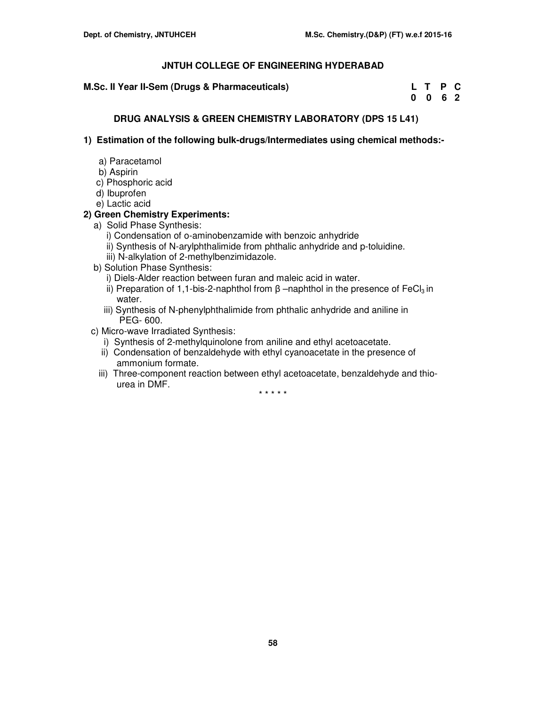**M.Sc. II Year II-Sem (Drugs & Pharmaceuticals)** 

| M.Sc. II Year II-Sem (Drugs & Pharmaceuticals) | L T P C |  |
|------------------------------------------------|---------|--|
|                                                | 0 0 6 2 |  |

# **DRUG ANALYSIS & GREEN CHEMISTRY LABORATORY (DPS 15 L41)**

**1) Estimation of the following bulk-drugs/Intermediates using chemical methods:-** 

- a) Paracetamol
- b) Aspirin
- c) Phosphoric acid
- d) Ibuprofen
- e) Lactic acid

# **2) Green Chemistry Experiments:**

- a) Solid Phase Synthesis:
	- i) Condensation of o-aminobenzamide with benzoic anhydride
	- ii) Synthesis of N-arylphthalimide from phthalic anhydride and p-toluidine.
	- iii) N-alkylation of 2-methylbenzimidazole.
- b) Solution Phase Synthesis:
	- i) Diels-Alder reaction between furan and maleic acid in water.
	- ii) Preparation of 1,1-bis-2-naphthol from  $β$  –naphthol in the presence of FeCl<sub>3</sub> in water.
	- iii) Synthesis of N-phenylphthalimide from phthalic anhydride and aniline in PEG- 600.
- c) Micro-wave Irradiated Synthesis:
	- i) Synthesis of 2-methylquinolone from aniline and ethyl acetoacetate.
	- ii) Condensation of benzaldehyde with ethyl cyanoacetate in the presence of ammonium formate.
	- iii) Three-component reaction between ethyl acetoacetate, benzaldehyde and thio urea in DMF.